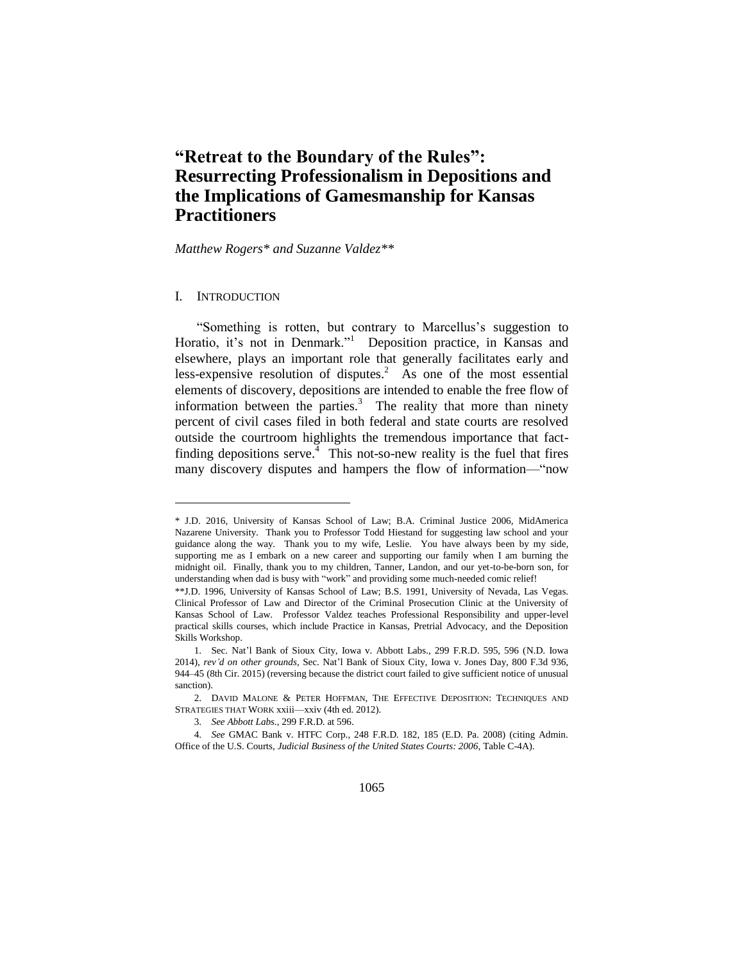# **"Retreat to the Boundary of the Rules": Resurrecting Professionalism in Depositions and the Implications of Gamesmanship for Kansas Practitioners**

*Matthew Rogers\* and Suzanne Valdez\*\**

#### I. INTRODUCTION

l

"Something is rotten, but contrary to Marcellus's suggestion to Horatio, it's not in Denmark."<sup>1</sup> Deposition practice, in Kansas and elsewhere, plays an important role that generally facilitates early and less-expensive resolution of disputes.<sup>2</sup> As one of the most essential elements of discovery, depositions are intended to enable the free flow of information between the parties. $3$  The reality that more than ninety percent of civil cases filed in both federal and state courts are resolved outside the courtroom highlights the tremendous importance that factfinding depositions serve.<sup> $\frac{1}{4}$ </sup> This not-so-new reality is the fuel that fires many discovery disputes and hampers the flow of information—"now

<sup>\*</sup> J.D. 2016, University of Kansas School of Law; B.A. Criminal Justice 2006, MidAmerica Nazarene University. Thank you to Professor Todd Hiestand for suggesting law school and your guidance along the way. Thank you to my wife, Leslie. You have always been by my side, supporting me as I embark on a new career and supporting our family when I am burning the midnight oil. Finally, thank you to my children, Tanner, Landon, and our yet-to-be-born son, for understanding when dad is busy with "work" and providing some much-needed comic relief!

<sup>\*\*</sup>J.D. 1996, University of Kansas School of Law; B.S. 1991, University of Nevada, Las Vegas. Clinical Professor of Law and Director of the Criminal Prosecution Clinic at the University of Kansas School of Law. Professor Valdez teaches Professional Responsibility and upper-level practical skills courses, which include Practice in Kansas, Pretrial Advocacy, and the Deposition Skills Workshop.

<sup>1.</sup> Sec. Nat'l Bank of Sioux City, Iowa v. Abbott Labs., 299 F.R.D. 595, 596 (N.D. Iowa 2014), *rev'd on other grounds*, Sec. Nat'l Bank of Sioux City, Iowa v. Jones Day, 800 F.3d 936, 944–45 (8th Cir. 2015) (reversing because the district court failed to give sufficient notice of unusual sanction).

<sup>2.</sup> DAVID MALONE & PETER HOFFMAN, THE EFFECTIVE DEPOSITION: TECHNIQUES AND STRATEGIES THAT WORK xxiii––xxiv (4th ed. 2012).

<sup>3.</sup> *See Abbott Labs.*, 299 F.R.D. at 596.

<sup>4.</sup> *See* GMAC Bank v. HTFC Corp., 248 F.R.D. 182, 185 (E.D. Pa. 2008) (citing Admin. Office of the U.S. Courts, *Judicial Business of the United States Courts: 2006*, Table C-4A).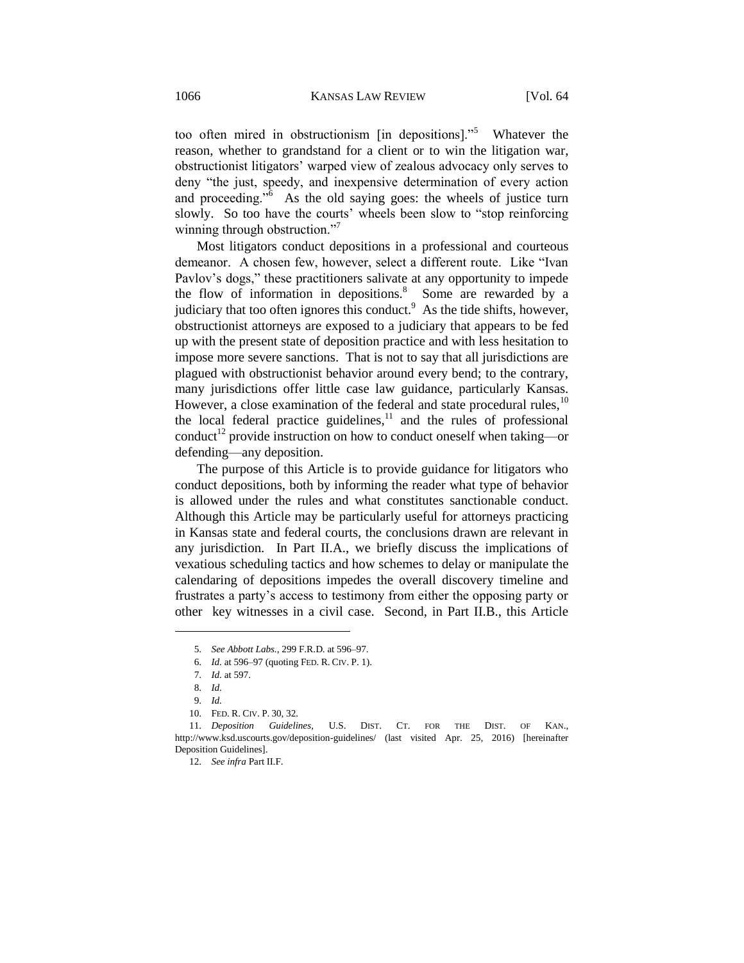too often mired in obstructionism [in depositions]."<sup>5</sup> Whatever the reason, whether to grandstand for a client or to win the litigation war, obstructionist litigators' warped view of zealous advocacy only serves to deny "the just, speedy, and inexpensive determination of every action and proceeding.<sup> $56$ </sup> As the old saying goes: the wheels of justice turn slowly. So too have the courts' wheels been slow to "stop reinforcing winning through obstruction."<sup>7</sup>

Most litigators conduct depositions in a professional and courteous demeanor. A chosen few, however, select a different route. Like "Ivan Pavlov's dogs," these practitioners salivate at any opportunity to impede the flow of information in depositions.<sup>8</sup> Some are rewarded by a judiciary that too often ignores this conduct.<sup>9</sup> As the tide shifts, however, obstructionist attorneys are exposed to a judiciary that appears to be fed up with the present state of deposition practice and with less hesitation to impose more severe sanctions. That is not to say that all jurisdictions are plagued with obstructionist behavior around every bend; to the contrary, many jurisdictions offer little case law guidance, particularly Kansas. However, a close examination of the federal and state procedural rules,<sup>10</sup> the local federal practice guidelines, $11$  and the rules of professional conduct<sup>12</sup> provide instruction on how to conduct oneself when taking—or defending—any deposition.

The purpose of this Article is to provide guidance for litigators who conduct depositions, both by informing the reader what type of behavior is allowed under the rules and what constitutes sanctionable conduct. Although this Article may be particularly useful for attorneys practicing in Kansas state and federal courts, the conclusions drawn are relevant in any jurisdiction. In Part II.A., we briefly discuss the implications of vexatious scheduling tactics and how schemes to delay or manipulate the calendaring of depositions impedes the overall discovery timeline and frustrates a party's access to testimony from either the opposing party or other key witnesses in a civil case. Second, in Part II.B., this Article

<sup>5.</sup> *See Abbott Labs.*, 299 F.R.D. at 596–97.

<sup>6.</sup> *Id.* at 596–97 (quoting FED. R. CIV. P. 1).

<sup>7.</sup> *Id.* at 597.

<sup>8.</sup> *Id.* 

<sup>9.</sup> *Id.*

<sup>10.</sup> FED. R. CIV. P. 30, 32.

<sup>11.</sup> *Deposition Guidelines*, U.S. DIST. CT. FOR THE DIST. OF KAN., <http://www.ksd.uscourts.gov/deposition-guidelines/> (last visited Apr. 25, 2016) [hereinafter Deposition Guidelines].

<sup>12.</sup> *See infra* Part II.F.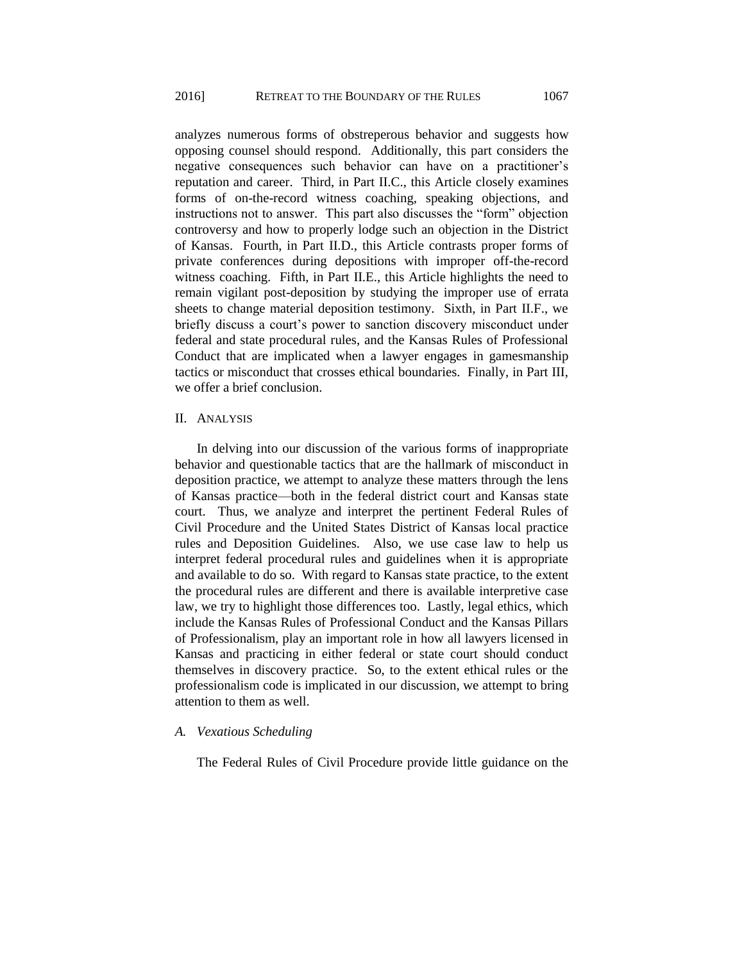analyzes numerous forms of obstreperous behavior and suggests how opposing counsel should respond. Additionally, this part considers the negative consequences such behavior can have on a practitioner's reputation and career. Third, in Part II.C., this Article closely examines forms of on-the-record witness coaching, speaking objections, and instructions not to answer. This part also discusses the "form" objection controversy and how to properly lodge such an objection in the District of Kansas. Fourth, in Part II.D., this Article contrasts proper forms of private conferences during depositions with improper off-the-record witness coaching. Fifth, in Part II.E., this Article highlights the need to remain vigilant post-deposition by studying the improper use of errata sheets to change material deposition testimony. Sixth, in Part II.F., we briefly discuss a court's power to sanction discovery misconduct under federal and state procedural rules, and the Kansas Rules of Professional Conduct that are implicated when a lawyer engages in gamesmanship tactics or misconduct that crosses ethical boundaries. Finally, in Part III, we offer a brief conclusion.

## II. ANALYSIS

In delving into our discussion of the various forms of inappropriate behavior and questionable tactics that are the hallmark of misconduct in deposition practice, we attempt to analyze these matters through the lens of Kansas practice—both in the federal district court and Kansas state court. Thus, we analyze and interpret the pertinent Federal Rules of Civil Procedure and the United States District of Kansas local practice rules and Deposition Guidelines. Also, we use case law to help us interpret federal procedural rules and guidelines when it is appropriate and available to do so. With regard to Kansas state practice, to the extent the procedural rules are different and there is available interpretive case law, we try to highlight those differences too. Lastly, legal ethics, which include the Kansas Rules of Professional Conduct and the Kansas Pillars of Professionalism, play an important role in how all lawyers licensed in Kansas and practicing in either federal or state court should conduct themselves in discovery practice. So, to the extent ethical rules or the professionalism code is implicated in our discussion, we attempt to bring attention to them as well.

## *A. Vexatious Scheduling*

The Federal Rules of Civil Procedure provide little guidance on the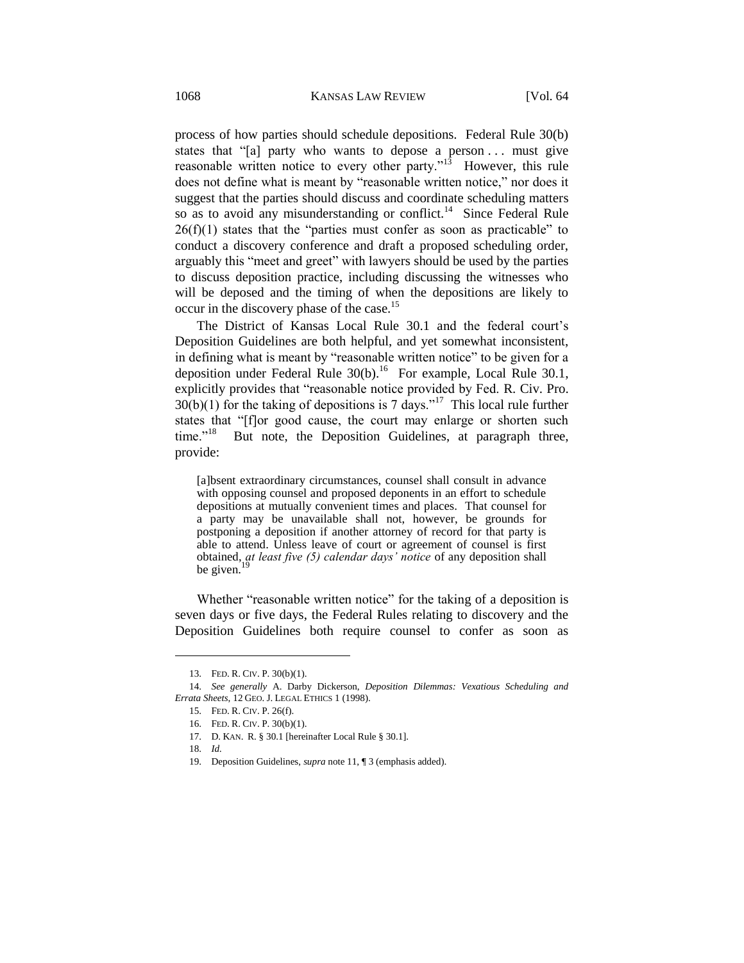process of how parties should schedule depositions. Federal Rule 30(b) states that "[a] party who wants to depose a person ... must give reasonable written notice to every other party."<sup>13</sup> However, this rule does not define what is meant by "reasonable written notice," nor does it suggest that the parties should discuss and coordinate scheduling matters so as to avoid any misunderstanding or conflict.<sup>14</sup> Since Federal Rule  $26(f)(1)$  states that the "parties must confer as soon as practicable" to conduct a discovery conference and draft a proposed scheduling order, arguably this "meet and greet" with lawyers should be used by the parties to discuss deposition practice, including discussing the witnesses who will be deposed and the timing of when the depositions are likely to occur in the discovery phase of the case.<sup>15</sup>

The District of Kansas Local Rule 30.1 and the federal court's Deposition Guidelines are both helpful, and yet somewhat inconsistent, in defining what is meant by "reasonable written notice" to be given for a deposition under Federal Rule  $30(b)$ .<sup>16</sup> For example, Local Rule 30.1, explicitly provides that "reasonable notice provided by Fed. R. Civ. Pro.  $30(b)(1)$  for the taking of depositions is 7 days."<sup>17</sup> This local rule further states that "[f]or good cause, the court may enlarge or shorten such time." $18$  But note, the Deposition Guidelines, at paragraph three, provide:

[a]bsent extraordinary circumstances, counsel shall consult in advance with opposing counsel and proposed deponents in an effort to schedule depositions at mutually convenient times and places. That counsel for a party may be unavailable shall not, however, be grounds for postponing a deposition if another attorney of record for that party is able to attend. Unless leave of court or agreement of counsel is first obtained, *at least five (5) calendar days' notice* of any deposition shall be given. $^{19}$ 

Whether "reasonable written notice" for the taking of a deposition is seven days or five days, the Federal Rules relating to discovery and the Deposition Guidelines both require counsel to confer as soon as

<sup>13.</sup> FED. R. CIV. P. 30(b)(1).

<sup>14.</sup> *See generally* A. Darby Dickerson, *Deposition Dilemmas: Vexatious Scheduling and Errata Sheets*, 12 GEO. J. LEGAL ETHICS 1 (1998).

<sup>15.</sup> FED. R. CIV. P. 26(f).

<sup>16.</sup> FED. R. CIV. P. 30(b)(1).

<sup>17.</sup> D. KAN. R. § 30.1 [hereinafter Local Rule § 30.1].

<sup>18.</sup> *Id.*

<sup>19.</sup> Deposition Guidelines, *supra* note 11, ¶ 3 (emphasis added).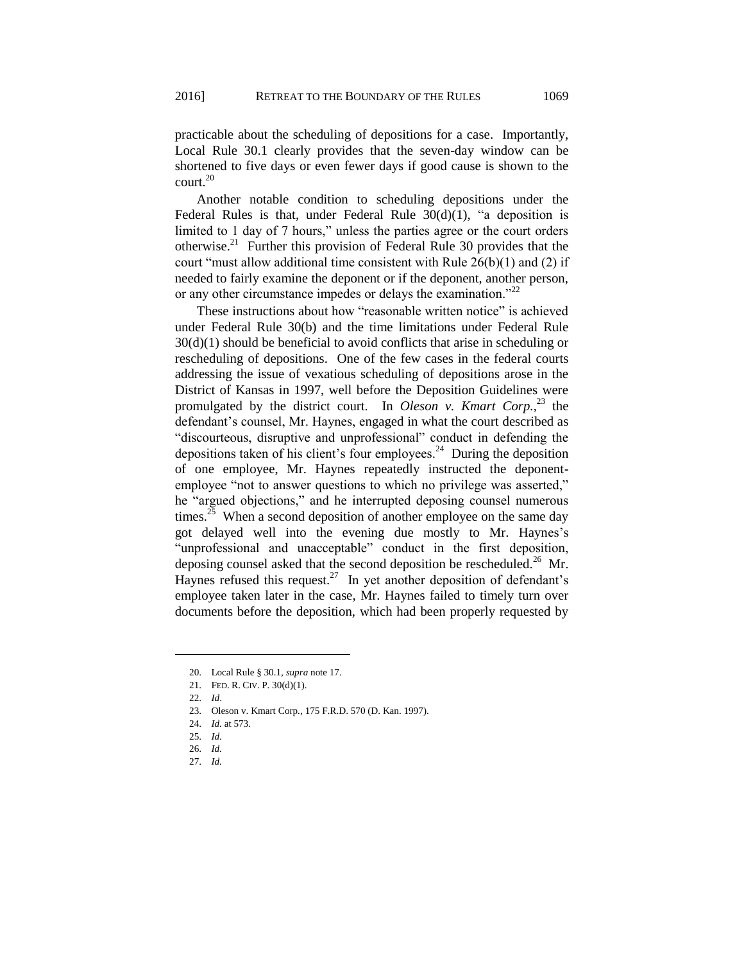practicable about the scheduling of depositions for a case. Importantly, Local Rule 30.1 clearly provides that the seven-day window can be shortened to five days or even fewer days if good cause is shown to the court.<sup>20</sup>

Another notable condition to scheduling depositions under the Federal Rules is that, under Federal Rule 30(d)(1), "a deposition is limited to 1 day of 7 hours," unless the parties agree or the court orders otherwise.<sup>21</sup> Further this provision of Federal Rule 30 provides that the court "must allow additional time consistent with Rule  $26(b)(1)$  and (2) if needed to fairly examine the deponent or if the deponent, another person, or any other circumstance impedes or delays the examination."<sup>22</sup>

These instructions about how "reasonable written notice" is achieved under Federal Rule 30(b) and the time limitations under Federal Rule 30(d)(1) should be beneficial to avoid conflicts that arise in scheduling or rescheduling of depositions. One of the few cases in the federal courts addressing the issue of vexatious scheduling of depositions arose in the District of Kansas in 1997, well before the Deposition Guidelines were promulgated by the district court. In *Oleson v. Kmart Corp.*, <sup>23</sup> the defendant's counsel, Mr. Haynes, engaged in what the court described as "discourteous, disruptive and unprofessional" conduct in defending the depositions taken of his client's four employees. $24$  During the deposition of one employee, Mr. Haynes repeatedly instructed the deponentemployee "not to answer questions to which no privilege was asserted," he "argued objections," and he interrupted deposing counsel numerous times.<sup>25</sup> When a second deposition of another employee on the same day got delayed well into the evening due mostly to Mr. Haynes's "unprofessional and unacceptable" conduct in the first deposition, deposing counsel asked that the second deposition be rescheduled.<sup>26</sup> Mr. Haynes refused this request.<sup>27</sup> In yet another deposition of defendant's employee taken later in the case, Mr. Haynes failed to timely turn over documents before the deposition, which had been properly requested by

<sup>20.</sup> Local Rule § 30.1, *supra* note 17.

<sup>21.</sup> FED. R. CIV. P. 30(d)(1).

<sup>22.</sup> *Id*.

<sup>23.</sup> Oleson v. Kmart Corp*.*, 175 F.R.D. 570 (D. Kan. 1997).

<sup>24.</sup> *Id.* at 573.

<sup>25.</sup> *Id.*

<sup>26.</sup> *Id.*

<sup>27.</sup> *Id.*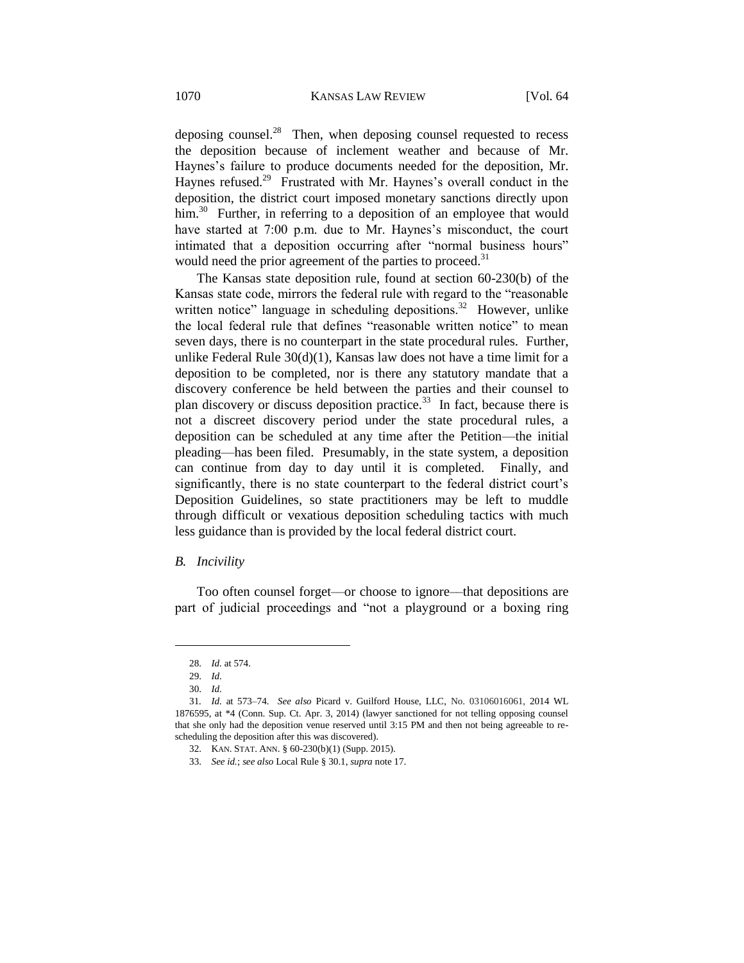deposing counsel. $^{28}$  Then, when deposing counsel requested to recess the deposition because of inclement weather and because of Mr. Haynes's failure to produce documents needed for the deposition, Mr. Haynes refused.<sup>29</sup> Frustrated with Mr. Haynes's overall conduct in the deposition, the district court imposed monetary sanctions directly upon him.<sup>30</sup> Further, in referring to a deposition of an employee that would have started at 7:00 p.m. due to Mr. Haynes's misconduct, the court intimated that a deposition occurring after "normal business hours" would need the prior agreement of the parties to proceed.<sup>31</sup>

The Kansas state deposition rule, found at section 60-230(b) of the Kansas state code, mirrors the federal rule with regard to the "reasonable written notice" language in scheduling depositions.<sup>32</sup> However, unlike the local federal rule that defines "reasonable written notice" to mean seven days, there is no counterpart in the state procedural rules. Further, unlike Federal Rule 30(d)(1), Kansas law does not have a time limit for a deposition to be completed, nor is there any statutory mandate that a discovery conference be held between the parties and their counsel to plan discovery or discuss deposition practice.<sup>33</sup> In fact, because there is not a discreet discovery period under the state procedural rules, a deposition can be scheduled at any time after the Petition—the initial pleading—has been filed. Presumably, in the state system, a deposition can continue from day to day until it is completed. Finally, and significantly, there is no state counterpart to the federal district court's Deposition Guidelines, so state practitioners may be left to muddle through difficult or vexatious deposition scheduling tactics with much less guidance than is provided by the local federal district court.

## *B. Incivility*

Too often counsel forget––or choose to ignore––that depositions are part of judicial proceedings and "not a playground or a boxing ring

<sup>28.</sup> *Id.* at 574.

<sup>29.</sup> *Id.*

<sup>30.</sup> *Id.*

<sup>31</sup>*. Id.* at 573–74. *See also* Picard v. Guilford House, LLC, No. 03106016061, 2014 WL 1876595, at \*4 (Conn. Sup. Ct. Apr. 3, 2014) (lawyer sanctioned for not telling opposing counsel that she only had the deposition venue reserved until 3:15 PM and then not being agreeable to rescheduling the deposition after this was discovered).

<sup>32.</sup> KAN. STAT. ANN. § 60-230(b)(1) (Supp. 2015).

<sup>33.</sup> *See id.*; *see also* Local Rule § 30.1, *supra* note 17.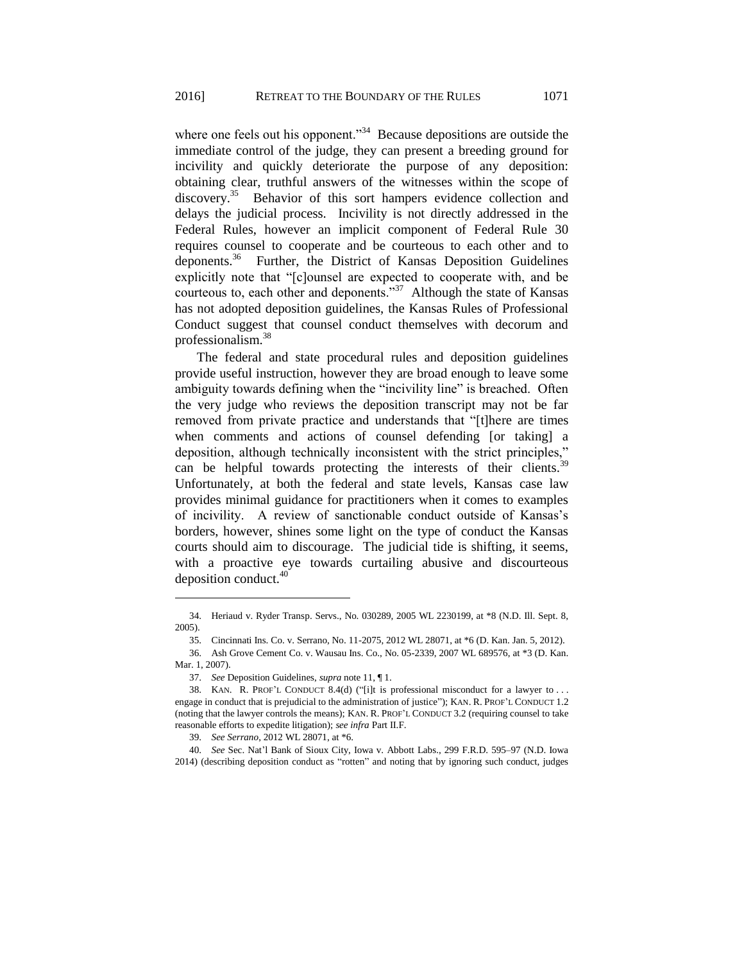where one feels out his opponent."<sup>34</sup> Because depositions are outside the immediate control of the judge, they can present a breeding ground for incivility and quickly deteriorate the purpose of any deposition: obtaining clear, truthful answers of the witnesses within the scope of discovery.<sup>35</sup> Behavior of this sort hampers evidence collection and delays the judicial process. Incivility is not directly addressed in the Federal Rules, however an implicit component of Federal Rule 30 requires counsel to cooperate and be courteous to each other and to deponents.<sup>36</sup> Further, the District of Kansas Deposition Guidelines explicitly note that "[c]ounsel are expected to cooperate with, and be courteous to, each other and deponents."<sup>37</sup> Although the state of Kansas has not adopted deposition guidelines, the Kansas Rules of Professional Conduct suggest that counsel conduct themselves with decorum and professionalism.<sup>38</sup>

The federal and state procedural rules and deposition guidelines provide useful instruction, however they are broad enough to leave some ambiguity towards defining when the "incivility line" is breached. Often the very judge who reviews the deposition transcript may not be far removed from private practice and understands that "[t]here are times when comments and actions of counsel defending [or taking] a deposition, although technically inconsistent with the strict principles," can be helpful towards protecting the interests of their clients.<sup>3</sup> Unfortunately, at both the federal and state levels, Kansas case law provides minimal guidance for practitioners when it comes to examples of incivility. A review of sanctionable conduct outside of Kansas's borders, however, shines some light on the type of conduct the Kansas courts should aim to discourage. The judicial tide is shifting, it seems, with a proactive eye towards curtailing abusive and discourteous deposition conduct. $40$ 

<sup>34.</sup> Heriaud v. Ryder Transp. Servs., No. 030289, 2005 WL 2230199, at \*8 (N.D. Ill. Sept. 8, 2005).

<sup>35.</sup> Cincinnati Ins. Co. v. Serrano, No. 11-2075, 2012 WL 28071, at \*6 (D. Kan. Jan. 5, 2012).

<sup>36.</sup> Ash Grove Cement Co. v. Wausau Ins. Co., No. 05-2339, 2007 WL 689576, at \*3 (D. Kan. Mar. 1, 2007).

<sup>37.</sup> *See* Deposition Guidelines, *supra* note 11, ¶ 1.

<sup>38.</sup> KAN. R. PROF'L CONDUCT 8.4(d) ("[i]t is professional misconduct for a lawyer to . . . engage in conduct that is prejudicial to the administration of justice"); KAN. R. PROF'L CONDUCT 1.2 (noting that the lawyer controls the means); KAN. R. PROF'L CONDUCT 3.2 (requiring counsel to take reasonable efforts to expedite litigation); *see infra* Part II.F.

<sup>39.</sup> *See Serrano*, 2012 WL 28071, at \*6.

<sup>40.</sup> *See* Sec. Nat'l Bank of Sioux City, Iowa v. Abbott Labs., 299 F.R.D. 595–97 (N.D. Iowa 2014) (describing deposition conduct as "rotten" and noting that by ignoring such conduct, judges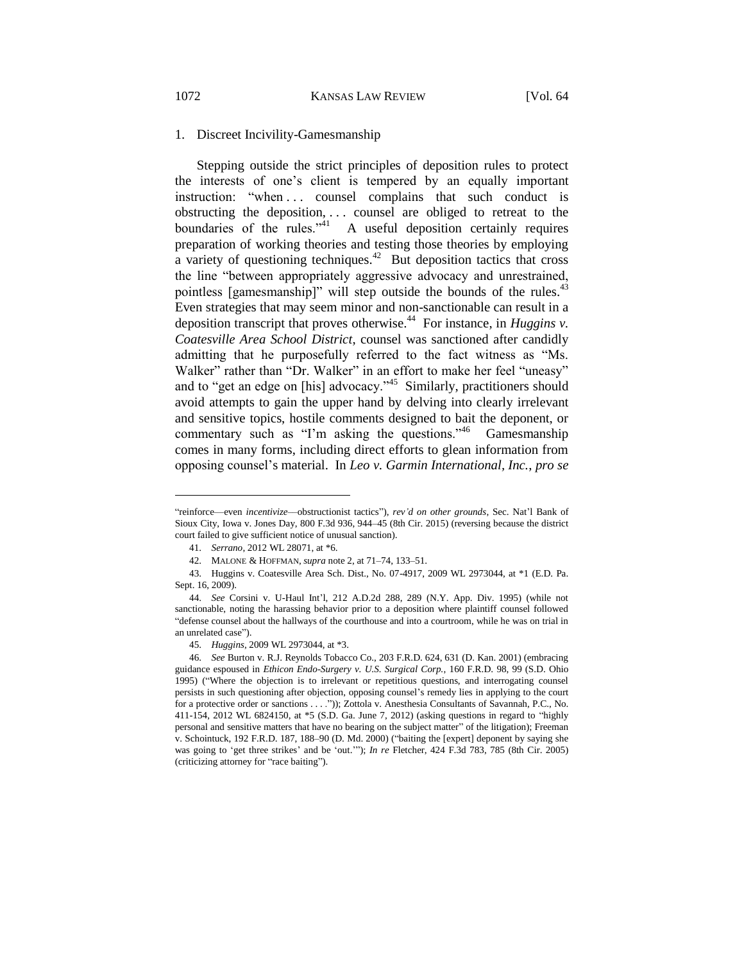## 1. Discreet Incivility-Gamesmanship

Stepping outside the strict principles of deposition rules to protect the interests of one's client is tempered by an equally important instruction: "when ... counsel complains that such conduct is obstructing the deposition, . . . counsel are obliged to retreat to the boundaries of the rules."<sup>41</sup> A useful deposition certainly requires preparation of working theories and testing those theories by employing a variety of questioning techniques.<sup>42</sup> But deposition tactics that cross the line "between appropriately aggressive advocacy and unrestrained, pointless [gamesmanship]" will step outside the bounds of the rules.<sup>43</sup> Even strategies that may seem minor and non-sanctionable can result in a deposition transcript that proves otherwise.<sup>44</sup> For instance, in *Huggins v*. *Coatesville Area School District*, counsel was sanctioned after candidly admitting that he purposefully referred to the fact witness as "Ms. Walker" rather than "Dr. Walker" in an effort to make her feel "uneasy" and to "get an edge on [his] advocacy."<sup>45</sup> Similarly, practitioners should avoid attempts to gain the upper hand by delving into clearly irrelevant and sensitive topics, hostile comments designed to bait the deponent, or commentary such as "I'm asking the questions."<sup>46</sup> Gamesmanship comes in many forms, including direct efforts to glean information from opposing counsel's material. In *Leo v. Garmin International, Inc.*, *pro se* 

<sup>&</sup>quot;reinforce––even *incentivize*––obstructionist tactics"), *rev'd on other grounds*, Sec. Nat'l Bank of Sioux City, Iowa v. Jones Day, 800 F.3d 936, 944–45 (8th Cir. 2015) (reversing because the district court failed to give sufficient notice of unusual sanction).

<sup>41.</sup> *Serrano*, 2012 WL 28071, at \*6.

<sup>42.</sup> MALONE & HOFFMAN, *supra* note 2, at 71–74, 133–51.

<sup>43.</sup> Huggins v. Coatesville Area Sch. Dist., No. 07-4917, 2009 WL 2973044, at \*1 (E.D. Pa. Sept. 16, 2009).

<sup>44.</sup> *See* Corsini v. U-Haul Int'l, 212 A.D.2d 288, 289 (N.Y. App. Div. 1995) (while not sanctionable, noting the harassing behavior prior to a deposition where plaintiff counsel followed "defense counsel about the hallways of the courthouse and into a courtroom, while he was on trial in an unrelated case").

<sup>45.</sup> *Huggins*, 2009 WL 2973044, at \*3.

<sup>46.</sup> *See* Burton v. R.J. Reynolds Tobacco Co., 203 F.R.D. 624, 631 (D. Kan. 2001) (embracing guidance espoused in *Ethicon Endo-Surgery v. U.S. Surgical Corp.*, 160 F.R.D. 98, 99 (S.D. Ohio 1995) ("Where the objection is to irrelevant or repetitious questions, and interrogating counsel persists in such questioning after objection, opposing counsel's remedy lies in applying to the court for a protective order or sanctions . . . .")); Zottola v. Anesthesia Consultants of Savannah, P.C., No. 411-154, 2012 WL 6824150, at \*5 (S.D. Ga. June 7, 2012) (asking questions in regard to "highly personal and sensitive matters that have no bearing on the subject matter" of the litigation); Freeman v. Schointuck, 192 F.R.D. 187, 188–90 (D. Md. 2000) ("baiting the [expert] deponent by saying she was going to 'get three strikes' and be 'out.'"); *In re* Fletcher, 424 F.3d 783, 785 (8th Cir. 2005) (criticizing attorney for "race baiting").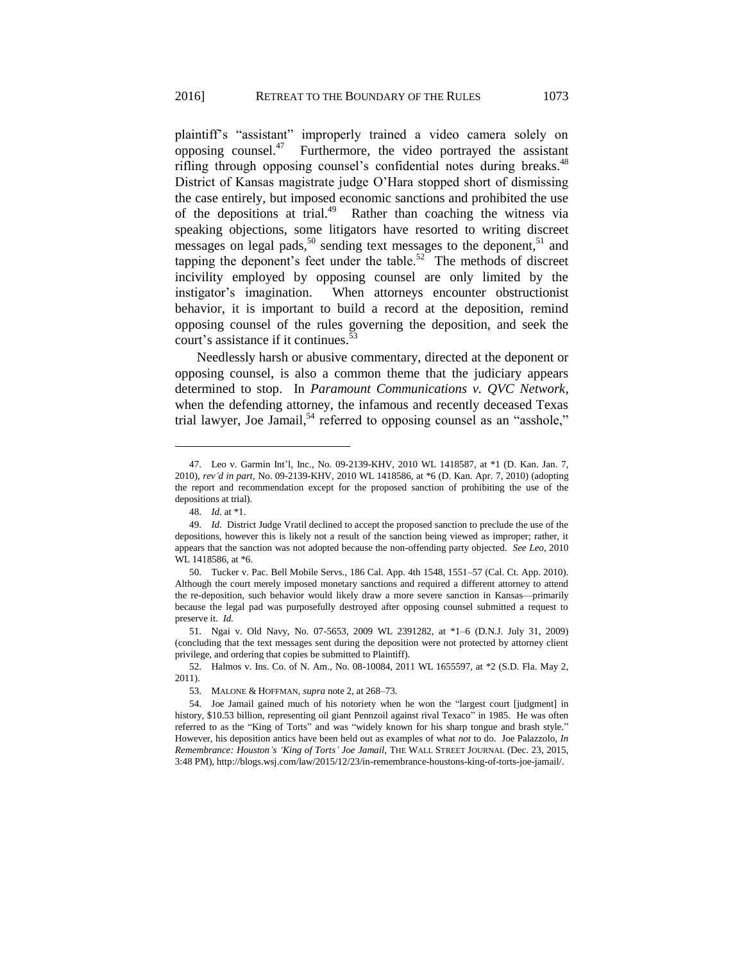plaintiff's "assistant" improperly trained a video camera solely on opposing counsel. $47$  Furthermore, the video portrayed the assistant rifling through opposing counsel's confidential notes during breaks.<sup>48</sup> District of Kansas magistrate judge O'Hara stopped short of dismissing the case entirely, but imposed economic sanctions and prohibited the use of the depositions at trial.<sup>49</sup> Rather than coaching the witness via speaking objections, some litigators have resorted to writing discreet messages on legal pads,<sup>50</sup> sending text messages to the deponent,<sup>51</sup> and tapping the deponent's feet under the table.<sup>52</sup> The methods of discreet incivility employed by opposing counsel are only limited by the instigator's imagination. When attorneys encounter obstructionist behavior, it is important to build a record at the deposition, remind opposing counsel of the rules governing the deposition, and seek the court's assistance if it continues.<sup>53</sup>

Needlessly harsh or abusive commentary, directed at the deponent or opposing counsel, is also a common theme that the judiciary appears determined to stop. In *Paramount Communications v. QVC Network*, when the defending attorney, the infamous and recently deceased Texas trial lawyer, Joe Jamail, $54$  referred to opposing counsel as an "asshole,"

<sup>47.</sup> Leo v. Garmin Int'l, Inc., No. 09-2139-KHV, 2010 WL 1418587, at \*1 (D. Kan. Jan. 7, 2010), *rev'd in part*, No. 09-2139-KHV, 2010 WL 1418586, at \*6 (D. Kan. Apr. 7, 2010) (adopting the report and recommendation except for the proposed sanction of prohibiting the use of the depositions at trial).

<sup>48.</sup> *Id.* at \*1.

<sup>49.</sup> *Id.* District Judge Vratil declined to accept the proposed sanction to preclude the use of the depositions, however this is likely not a result of the sanction being viewed as improper; rather, it appears that the sanction was not adopted because the non-offending party objected. *See Leo*, 2010 WL 1418586, at \*6.

<sup>50.</sup> Tucker v. Pac. Bell Mobile Servs., 186 Cal. App. 4th 1548, 1551–57 (Cal. Ct. App. 2010). Although the court merely imposed monetary sanctions and required a different attorney to attend the re-deposition, such behavior would likely draw a more severe sanction in Kansas––primarily because the legal pad was purposefully destroyed after opposing counsel submitted a request to preserve it. *Id.* 

<sup>51.</sup> Ngai v. Old Navy, No. 07-5653, 2009 WL 2391282, at \*1–6 (D.N.J. July 31, 2009) (concluding that the text messages sent during the deposition were not protected by attorney client privilege, and ordering that copies be submitted to Plaintiff).

<sup>52.</sup> Halmos v. Ins. Co. of N. Am., No. 08-10084, 2011 WL 1655597, at \*2 (S.D. Fla. May 2, 2011).

<sup>53.</sup> MALONE & HOFFMAN, *supra* note 2, at 268–73.

<sup>54.</sup> Joe Jamail gained much of his notoriety when he won the "largest court [judgment] in history, \$10.53 billion, representing oil giant Pennzoil against rival Texaco" in 1985. He was often referred to as the "King of Torts" and was "widely known for his sharp tongue and brash style." However, his deposition antics have been held out as examples of what *not* to do. Joe Palazzolo, *In Remembrance: Houston's 'King of Torts' Joe Jamail*, THE WALL STREET JOURNAL (Dec. 23, 2015, 3:48 PM), http://blogs.wsj.com/law/2015/12/23/in-remembrance-houstons-king-of-torts-joe-jamail/.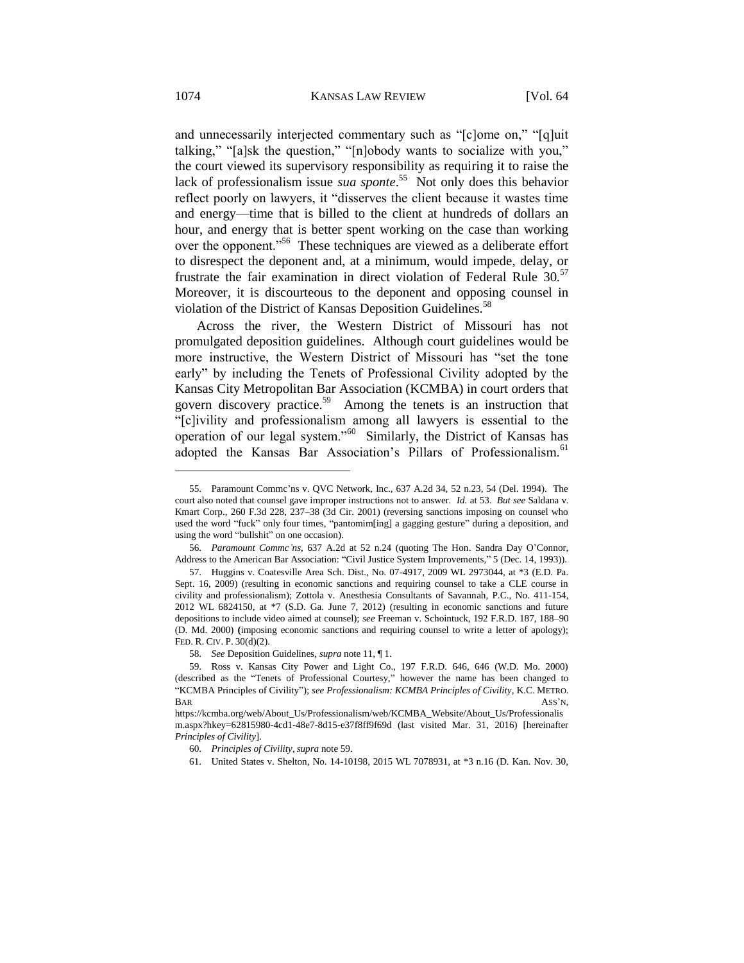and unnecessarily interjected commentary such as "[c]ome on," "[q]uit talking," "[a]sk the question," "[n]obody wants to socialize with you," the court viewed its supervisory responsibility as requiring it to raise the lack of professionalism issue *sua sponte*. 55 Not only does this behavior reflect poorly on lawyers, it "disserves the client because it wastes time and energy––time that is billed to the client at hundreds of dollars an hour, and energy that is better spent working on the case than working over the opponent."<sup>56</sup> These techniques are viewed as a deliberate effort to disrespect the deponent and, at a minimum, would impede, delay, or frustrate the fair examination in direct violation of Federal Rule 30.<sup>57</sup> Moreover, it is discourteous to the deponent and opposing counsel in violation of the District of Kansas Deposition Guidelines.<sup>58</sup>

Across the river, the Western District of Missouri has not promulgated deposition guidelines. Although court guidelines would be more instructive, the Western District of Missouri has "set the tone early" by including the Tenets of Professional Civility adopted by the Kansas City Metropolitan Bar Association (KCMBA) in court orders that govern discovery practice.<sup>59</sup> Among the tenets is an instruction that "[c]ivility and professionalism among all lawyers is essential to the operation of our legal system."<sup>60</sup> Similarly, the District of Kansas has adopted the Kansas Bar Association's Pillars of Professionalism.<sup>61</sup>

<sup>55.</sup> Paramount Commc'ns v. QVC Network, Inc., 637 A.2d 34, 52 n.23, 54 (Del. 1994). The court also noted that counsel gave improper instructions not to answer. *Id.* at 53. *But see* Saldana v. Kmart Corp., 260 F.3d 228, 237–38 (3d Cir. 2001) (reversing sanctions imposing on counsel who used the word "fuck" only four times, "pantomim[ing] a gagging gesture" during a deposition, and using the word "bullshit" on one occasion).

<sup>56.</sup> *Paramount Commc'ns*, 637 A.2d at 52 n.24 (quoting The Hon. Sandra Day O'Connor, Address to the American Bar Association: "Civil Justice System Improvements," 5 (Dec. 14, 1993)).

<sup>57.</sup> Huggins v. Coatesville Area Sch. Dist., No. 07-4917, 2009 WL 2973044, at \*3 (E.D. Pa. Sept. 16, 2009) (resulting in economic sanctions and requiring counsel to take a CLE course in civility and professionalism); Zottola v. Anesthesia Consultants of Savannah, P.C., No. 411-154, 2012 WL 6824150, at \*7 (S.D. Ga. June 7, 2012) (resulting in economic sanctions and future depositions to include video aimed at counsel); *see* Freeman v. Schointuck, 192 F.R.D. 187, 188–90 (D. Md. 2000) **(**imposing economic sanctions and requiring counsel to write a letter of apology); FED. R. CIV. P. 30(d)(2).

<sup>58.</sup> *See* Deposition Guidelines, *supra* note 11, ¶ 1.

<sup>59.</sup> Ross v. Kansas City Power and Light Co., 197 F.R.D. 646, 646 (W.D. Mo. 2000) (described as the "Tenets of Professional Courtesy," however the name has been changed to "KCMBA Principles of Civility"); *see Professionalism: KCMBA Principles of Civility*, K.C. METRO. BAR ASS'N,

https://kcmba.org/web/About\_Us/Professionalism/web/KCMBA\_Website/About\_Us/Professionalis m.aspx?hkey=62815980-4cd1-48e7-8d15-e37f8ff9f69d (last visited Mar. 31, 2016) [hereinafter *Principles of Civility*].

<sup>60.</sup> *Principles of Civility*, *supra* note 59.

<sup>61.</sup> United States v. Shelton, No. 14-10198, 2015 WL 7078931, at \*3 n.16 (D. Kan. Nov. 30,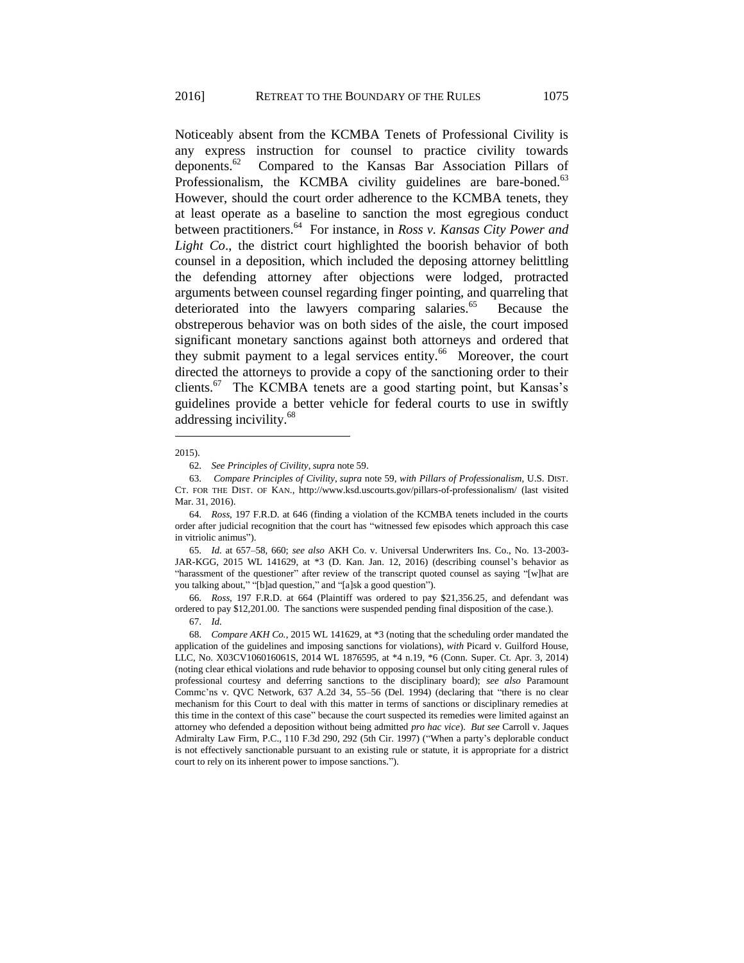Noticeably absent from the KCMBA Tenets of Professional Civility is any express instruction for counsel to practice civility towards deponents. $62$  Compared to the Kansas Bar Association Pillars of Professionalism, the KCMBA civility guidelines are bare-boned.<sup>63</sup> However, should the court order adherence to the KCMBA tenets, they at least operate as a baseline to sanction the most egregious conduct between practitioners.<sup>64</sup> For instance, in *Ross v. Kansas City Power and Light Co*., the district court highlighted the boorish behavior of both counsel in a deposition, which included the deposing attorney belittling the defending attorney after objections were lodged, protracted arguments between counsel regarding finger pointing, and quarreling that deteriorated into the lawyers comparing salaries.<sup>65</sup> Because the obstreperous behavior was on both sides of the aisle, the court imposed significant monetary sanctions against both attorneys and ordered that they submit payment to a legal services entity.<sup>66</sup> Moreover, the court directed the attorneys to provide a copy of the sanctioning order to their clients.<sup>67</sup> The KCMBA tenets are a good starting point, but Kansas's guidelines provide a better vehicle for federal courts to use in swiftly addressing incivility. 68

 $\overline{a}$ 

65. *Id.* at 657–58, 660; *see also* AKH Co. v. Universal Underwriters Ins. Co., No. 13-2003- JAR-KGG, 2015 WL 141629, at \*3 (D. Kan. Jan. 12, 2016) (describing counsel's behavior as "harassment of the questioner" after review of the transcript quoted counsel as saying "[w]hat are you talking about," "[b]ad question," and "[a]sk a good question").

66. *Ross*, 197 F.R.D. at 664 (Plaintiff was ordered to pay \$21,356.25, and defendant was ordered to pay \$12,201.00. The sanctions were suspended pending final disposition of the case.).

68. *Compare AKH Co.*, 2015 WL 141629, at \*3 (noting that the scheduling order mandated the application of the guidelines and imposing sanctions for violations), *with* Picard v. Guilford House, LLC, No. X03CV106016061S, 2014 WL 1876595, at \*4 n.19, \*6 (Conn. Super. Ct. Apr. 3, 2014) (noting clear ethical violations and rude behavior to opposing counsel but only citing general rules of professional courtesy and deferring sanctions to the disciplinary board); *see also* Paramount Commc'ns v. QVC Network, 637 A.2d 34, 55–56 (Del. 1994) (declaring that "there is no clear mechanism for this Court to deal with this matter in terms of sanctions or disciplinary remedies at this time in the context of this case" because the court suspected its remedies were limited against an attorney who defended a deposition without being admitted *pro hac vice*). *But see* Carroll v. Jaques Admiralty Law Firm, P.C., 110 F.3d 290, 292 (5th Cir. 1997) ("When a party's deplorable conduct is not effectively sanctionable pursuant to an existing rule or statute, it is appropriate for a district court to rely on its inherent power to impose sanctions.").

<sup>2015).</sup>

<sup>62.</sup> *See Principles of Civility*, *supra* note 59.

<sup>63.</sup> *Compare Principles of Civility*, *supra* note 59, *with Pillars of Professionalism*, U.S. DIST. CT. FOR THE DIST. OF KAN., http://www.ksd.uscourts.gov/pillars-of-professionalism/ (last visited Mar. 31, 2016).

<sup>64.</sup> *Ross*, 197 F.R.D. at 646 (finding a violation of the KCMBA tenets included in the courts order after judicial recognition that the court has "witnessed few episodes which approach this case in vitriolic animus").

<sup>67.</sup> *Id.*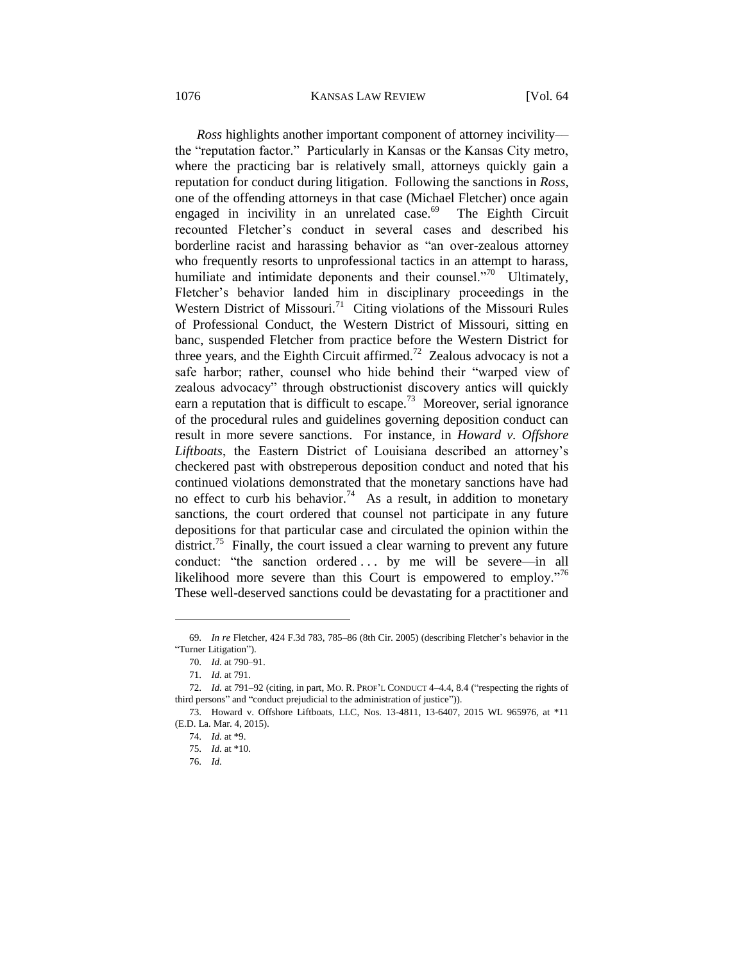1076 KANSAS LAW REVIEW [Vol. 64

*Ross* highlights another important component of attorney incivility the "reputation factor." Particularly in Kansas or the Kansas City metro, where the practicing bar is relatively small, attorneys quickly gain a reputation for conduct during litigation. Following the sanctions in *Ross*, one of the offending attorneys in that case (Michael Fletcher) once again engaged in incivility in an unrelated case.<sup>69</sup> The Eighth Circuit recounted Fletcher's conduct in several cases and described his borderline racist and harassing behavior as "an over-zealous attorney who frequently resorts to unprofessional tactics in an attempt to harass, humiliate and intimidate deponents and their counsel."<sup>70</sup> Ultimately, Fletcher's behavior landed him in disciplinary proceedings in the Western District of Missouri.<sup>71</sup> Citing violations of the Missouri Rules of Professional Conduct, the Western District of Missouri, sitting en banc, suspended Fletcher from practice before the Western District for three years, and the Eighth Circuit affirmed.<sup>72</sup> Zealous advocacy is not a safe harbor; rather, counsel who hide behind their "warped view of zealous advocacy" through obstructionist discovery antics will quickly earn a reputation that is difficult to escape.<sup>73</sup> Moreover, serial ignorance of the procedural rules and guidelines governing deposition conduct can result in more severe sanctions. For instance, in *Howard v. Offshore Liftboats*, the Eastern District of Louisiana described an attorney's checkered past with obstreperous deposition conduct and noted that his continued violations demonstrated that the monetary sanctions have had no effect to curb his behavior.<sup>74</sup> As a result, in addition to monetary sanctions, the court ordered that counsel not participate in any future depositions for that particular case and circulated the opinion within the district.<sup>75</sup> Finally, the court issued a clear warning to prevent any future conduct: "the sanction ordered ... by me will be severe—in all likelihood more severe than this Court is empowered to employ."<sup>76</sup> These well-deserved sanctions could be devastating for a practitioner and

<sup>69.</sup> *In re* Fletcher, 424 F.3d 783, 785–86 (8th Cir. 2005) (describing Fletcher's behavior in the "Turner Litigation").

<sup>70.</sup> *Id.* at 790–91.

<sup>71.</sup> *Id.* at 791.

<sup>72.</sup> *Id.* at 791-92 (citing, in part, MO. R. PROF'L CONDUCT 4-4.4, 8.4 ("respecting the rights of third persons" and "conduct prejudicial to the administration of justice")).

<sup>73.</sup> Howard v. Offshore Liftboats, LLC, Nos. 13-4811, 13-6407, 2015 WL 965976, at \*11 (E.D. La. Mar. 4, 2015).

<sup>74.</sup> *Id.* at \*9.

<sup>75.</sup> *Id.* at \*10.

<sup>76.</sup> *Id.*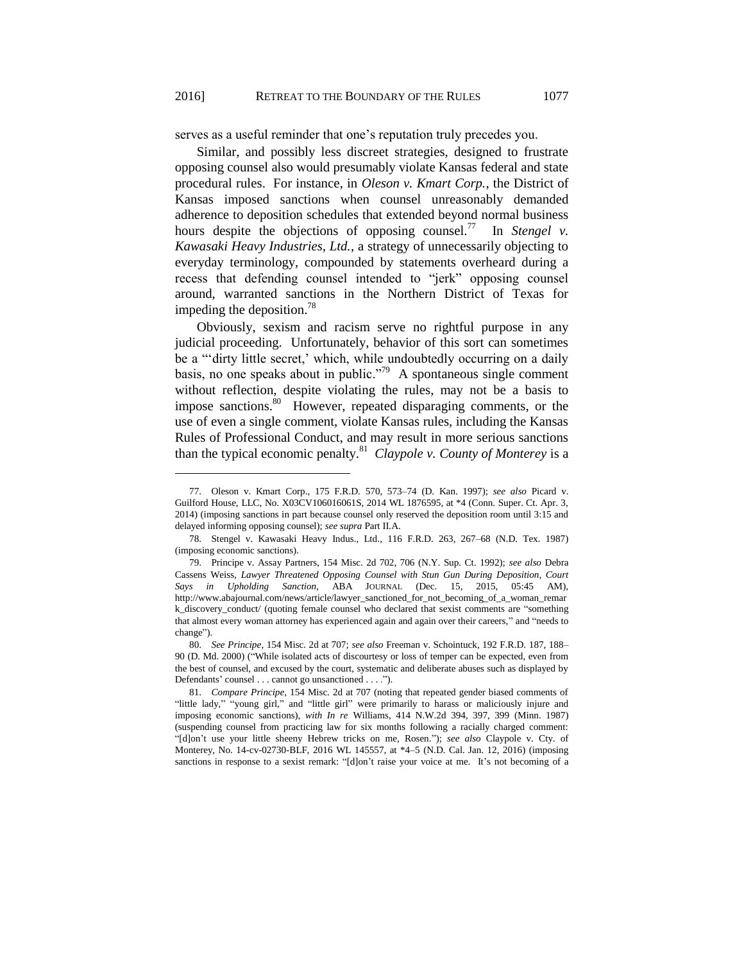serves as a useful reminder that one's reputation truly precedes you.

Similar, and possibly less discreet strategies, designed to frustrate opposing counsel also would presumably violate Kansas federal and state procedural rules. For instance, in *Oleson v. Kmart Corp.*, the District of Kansas imposed sanctions when counsel unreasonably demanded adherence to deposition schedules that extended beyond normal business hours despite the objections of opposing counsel. $^{77}$  In *Stengel v. Kawasaki Heavy Industries, Ltd.*, a strategy of unnecessarily objecting to everyday terminology, compounded by statements overheard during a recess that defending counsel intended to "jerk" opposing counsel around, warranted sanctions in the Northern District of Texas for impeding the deposition.<sup>78</sup>

Obviously, sexism and racism serve no rightful purpose in any judicial proceeding. Unfortunately, behavior of this sort can sometimes be a "'dirty little secret,' which, while undoubtedly occurring on a daily basis, no one speaks about in public."<sup>79</sup> A spontaneous single comment without reflection, despite violating the rules, may not be a basis to impose sanctions.<sup>80</sup> However, repeated disparaging comments, or the use of even a single comment, violate Kansas rules, including the Kansas Rules of Professional Conduct, and may result in more serious sanctions than the typical economic penalty.<sup>81</sup> *Claypole v. County of Monterey* is a

<sup>77.</sup> Oleson v. Kmart Corp., 175 F.R.D. 570, 573–74 (D. Kan. 1997); *see also* Picard v. Guilford House, LLC, No. X03CV106016061S, 2014 WL 1876595, at \*4 (Conn. Super. Ct. Apr. 3, 2014) (imposing sanctions in part because counsel only reserved the deposition room until 3:15 and delayed informing opposing counsel); *see supra* Part II.A.

<sup>78.</sup> Stengel v. Kawasaki Heavy Indus., Ltd., 116 F.R.D. 263, 267–68 (N.D. Tex. 1987) (imposing economic sanctions).

<sup>79.</sup> Principe v. Assay Partners, 154 Misc. 2d 702, 706 (N.Y. Sup. Ct. 1992); *see also* Debra Cassens Weiss, *Lawyer Threatened Opposing Counsel with Stun Gun During Deposition, Court Says in Upholding Sanction*, ABA JOURNAL (Dec. 15, 2015, 05:45 AM), http://www.abajournal.com/news/article/lawyer\_sanctioned\_for\_not\_becoming\_of\_a\_woman\_remar k\_discovery\_conduct/ (quoting female counsel who declared that sexist comments are "something that almost every woman attorney has experienced again and again over their careers," and "needs to change").

<sup>80.</sup> *See Principe*, 154 Misc. 2d at 707; *see also* Freeman v. Schointuck, 192 F.R.D. 187, 188– 90 (D. Md. 2000) ("While isolated acts of discourtesy or loss of temper can be expected, even from the best of counsel, and excused by the court, systematic and deliberate abuses such as displayed by Defendants' counsel . . . cannot go unsanctioned . . . .").

<sup>81.</sup> *Compare Principe*, 154 Misc. 2d at 707 (noting that repeated gender biased comments of "little lady," "young girl," and "little girl" were primarily to harass or maliciously injure and imposing economic sanctions), *with In re* Williams, 414 N.W.2d 394, 397, 399 (Minn. 1987) (suspending counsel from practicing law for six months following a racially charged comment: "[d]on't use your little sheeny Hebrew tricks on me, Rosen."); *see also* Claypole v. Cty. of Monterey, No. 14-cv-02730-BLF, 2016 WL 145557, at \*4–5 (N.D. Cal. Jan. 12, 2016) (imposing sanctions in response to a sexist remark: "[d]on't raise your voice at me. It's not becoming of a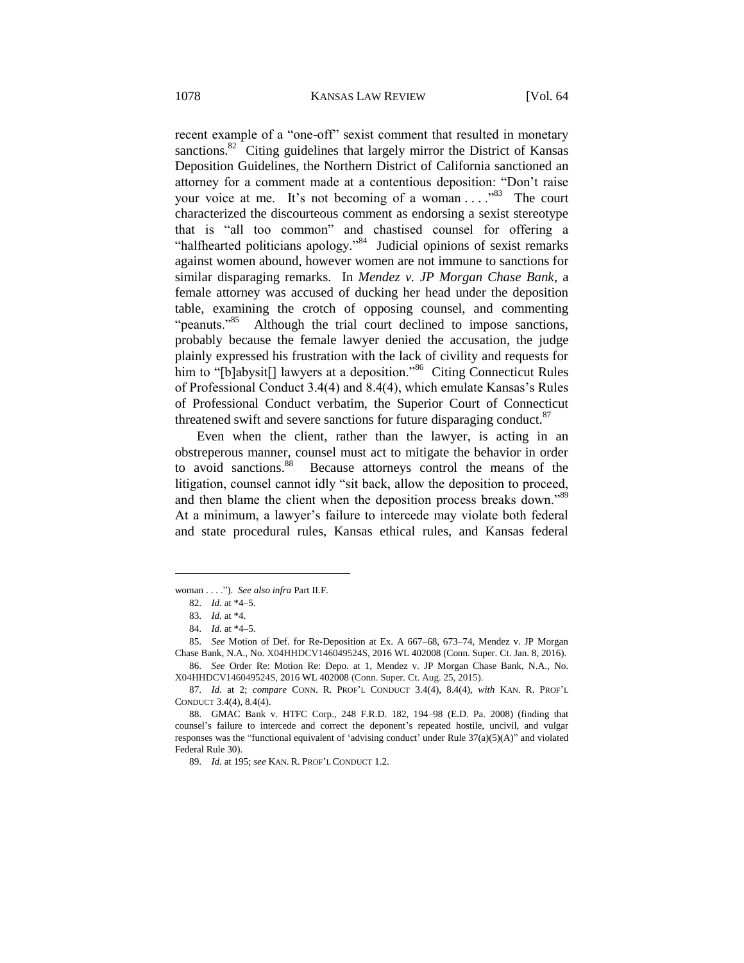recent example of a "one-off" sexist comment that resulted in monetary sanctions.<sup>82</sup> Citing guidelines that largely mirror the District of Kansas Deposition Guidelines, the Northern District of California sanctioned an attorney for a comment made at a contentious deposition: "Don't raise your voice at me. It's not becoming of a woman ...."<sup>83</sup> The court characterized the discourteous comment as endorsing a sexist stereotype that is "all too common" and chastised counsel for offering a "halfhearted politicians apology."<sup>84</sup> Judicial opinions of sexist remarks against women abound, however women are not immune to sanctions for similar disparaging remarks. In *Mendez v. JP Morgan Chase Bank*, a female attorney was accused of ducking her head under the deposition table, examining the crotch of opposing counsel, and commenting "peanuts."<sup>85</sup> Although the trial court declined to impose sanctions, probably because the female lawyer denied the accusation, the judge plainly expressed his frustration with the lack of civility and requests for him to "[b]abysit[] lawyers at a deposition."<sup>86</sup> Citing Connecticut Rules of Professional Conduct 3.4(4) and 8.4(4), which emulate Kansas's Rules of Professional Conduct verbatim, the Superior Court of Connecticut threatened swift and severe sanctions for future disparaging conduct.<sup>87</sup>

Even when the client, rather than the lawyer, is acting in an obstreperous manner, counsel must act to mitigate the behavior in order to avoid sanctions.<sup>88</sup> Because attorneys control the means of the litigation, counsel cannot idly "sit back, allow the deposition to proceed, and then blame the client when the deposition process breaks down."89 At a minimum, a lawyer's failure to intercede may violate both federal and state procedural rules, Kansas ethical rules, and Kansas federal

woman . . . ."). *See also infra* Part II.F.

<sup>82.</sup> *Id.* at \*4–5.

<sup>83.</sup> *Id.* at \*4.

<sup>84.</sup> *Id.* at \*4–5.

<sup>85.</sup> *See* Motion of Def. for Re-Deposition at Ex. A 667–68, 673–74, Mendez v. JP Morgan Chase Bank, N.A., No. X04HHDCV146049524S, 2016 WL 402008 (Conn. Super. Ct. Jan. 8, 2016). 86. *See* Order Re: Motion Re: Depo. at 1, Mendez v. JP Morgan Chase Bank, N.A., No.

X04HHDCV146049524S, 2016 WL 402008 (Conn. Super. Ct. Aug. 25, 2015).

<sup>87.</sup> *Id.* at 2; *compare* CONN. R. PROF'L CONDUCT 3.4(4), 8.4(4), *with* KAN. R. PROF'L CONDUCT 3.4(4), 8.4(4).

<sup>88.</sup> GMAC Bank v. HTFC Corp., 248 F.R.D. 182, 194–98 (E.D. Pa. 2008) (finding that counsel's failure to intercede and correct the deponent's repeated hostile, uncivil, and vulgar responses was the "functional equivalent of 'advising conduct' under Rule 37(a)(5)(A)" and violated Federal Rule 30).

<sup>89.</sup> *Id.* at 195; *see* KAN. R. PROF'L CONDUCT 1.2.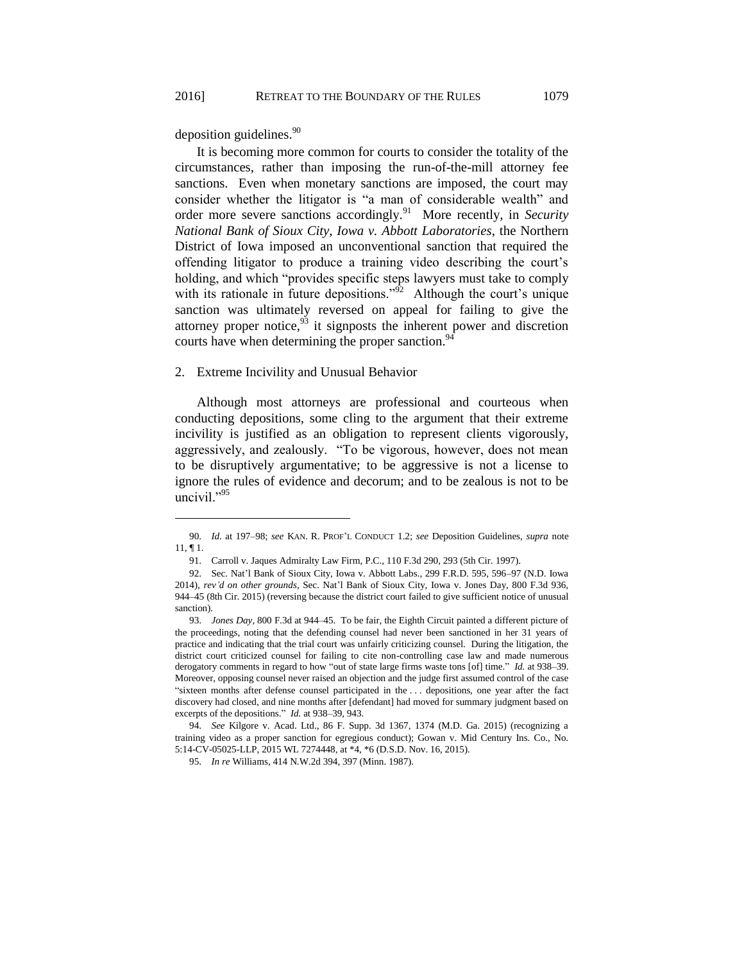deposition guidelines.<sup>90</sup>

 $\overline{a}$ 

It is becoming more common for courts to consider the totality of the circumstances, rather than imposing the run-of-the-mill attorney fee sanctions. Even when monetary sanctions are imposed, the court may consider whether the litigator is "a man of considerable wealth" and order more severe sanctions accordingly.<sup>91</sup> More recently, in *Security National Bank of Sioux City, Iowa v. Abbott Laboratories*, the Northern District of Iowa imposed an unconventional sanction that required the offending litigator to produce a training video describing the court's holding, and which "provides specific steps lawyers must take to comply with its rationale in future depositions."<sup> $\mathfrak{D}^2$ </sup> Although the court's unique sanction was ultimately reversed on appeal for failing to give the attorney proper notice,  $93$  it signposts the inherent power and discretion courts have when determining the proper sanction.<sup>94</sup>

#### 2. Extreme Incivility and Unusual Behavior

Although most attorneys are professional and courteous when conducting depositions, some cling to the argument that their extreme incivility is justified as an obligation to represent clients vigorously, aggressively, and zealously. "To be vigorous, however, does not mean to be disruptively argumentative; to be aggressive is not a license to ignore the rules of evidence and decorum; and to be zealous is not to be uncivil."<sup>95</sup>

<sup>90.</sup> *Id.* at 197–98; *see* KAN. R. PROF'L CONDUCT 1.2; *see* Deposition Guidelines, *supra* note 11, ¶ 1.

<sup>91.</sup> Carroll v. Jaques Admiralty Law Firm, P.C., 110 F.3d 290, 293 (5th Cir. 1997).

<sup>92.</sup> Sec. Nat'l Bank of Sioux City, Iowa v. Abbott Labs., 299 F.R.D. 595, 596–97 (N.D. Iowa 2014), *rev'd on other grounds*, Sec. Nat'l Bank of Sioux City, Iowa v. Jones Day, 800 F.3d 936, 944–45 (8th Cir. 2015) (reversing because the district court failed to give sufficient notice of unusual sanction).

<sup>93.</sup> *Jones Day*, 800 F.3d at 944–45. To be fair, the Eighth Circuit painted a different picture of the proceedings, noting that the defending counsel had never been sanctioned in her 31 years of practice and indicating that the trial court was unfairly criticizing counsel. During the litigation, the district court criticized counsel for failing to cite non-controlling case law and made numerous derogatory comments in regard to how "out of state large firms waste tons [of] time." *Id.* at 938–39. Moreover, opposing counsel never raised an objection and the judge first assumed control of the case "sixteen months after defense counsel participated in the . . . depositions, one year after the fact discovery had closed, and nine months after [defendant] had moved for summary judgment based on excerpts of the depositions." *Id.* at 938–39, 943.

<sup>94.</sup> *See* Kilgore v. Acad. Ltd., 86 F. Supp. 3d 1367, 1374 (M.D. Ga. 2015) (recognizing a training video as a proper sanction for egregious conduct); Gowan v. Mid Century Ins. Co., No. 5:14-CV-05025-LLP, 2015 WL 7274448, at \*4, \*6 (D.S.D. Nov. 16, 2015).

<sup>95.</sup> *In re* Williams, 414 N.W.2d 394, 397 (Minn. 1987).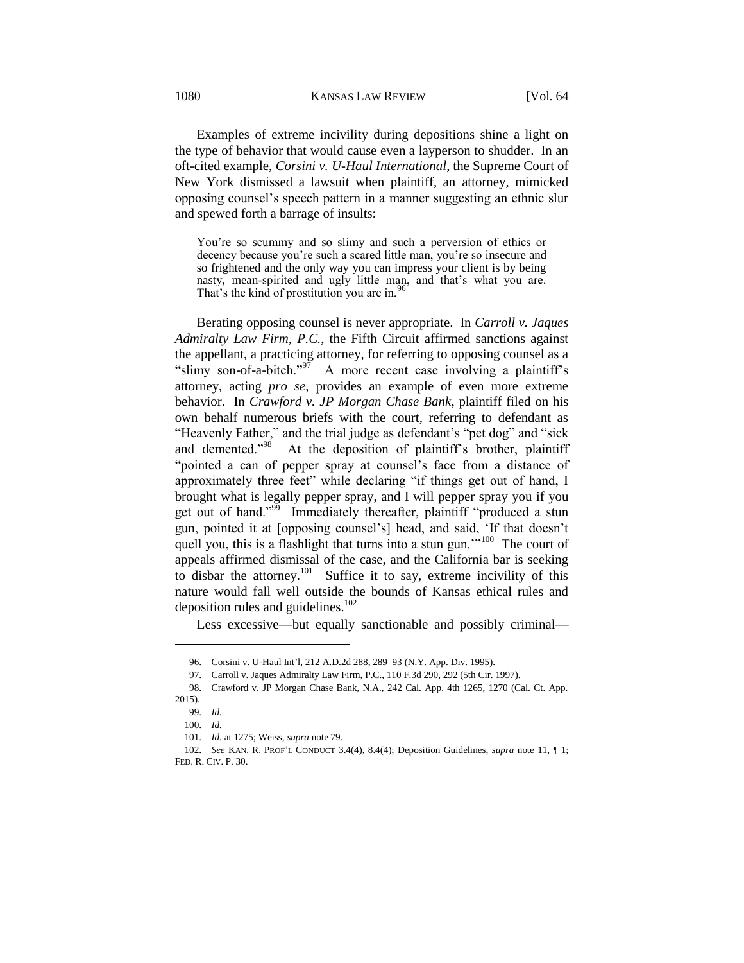Examples of extreme incivility during depositions shine a light on the type of behavior that would cause even a layperson to shudder. In an oft-cited example, *Corsini v. U-Haul International*, the Supreme Court of New York dismissed a lawsuit when plaintiff, an attorney, mimicked opposing counsel's speech pattern in a manner suggesting an ethnic slur and spewed forth a barrage of insults:

You're so scummy and so slimy and such a perversion of ethics or decency because you're such a scared little man, you're so insecure and so frightened and the only way you can impress your client is by being nasty, mean-spirited and ugly little man, and that's what you are. That's the kind of prostitution you are in.<sup>1</sup>

Berating opposing counsel is never appropriate. In *Carroll v. Jaques Admiralty Law Firm, P.C.*, the Fifth Circuit affirmed sanctions against the appellant, a practicing attorney, for referring to opposing counsel as a "slimy son-of-a-bitch." $\frac{97}{7}$  A more recent case involving a plaintiff's attorney, acting *pro se*, provides an example of even more extreme behavior. In *Crawford v. JP Morgan Chase Bank*, plaintiff filed on his own behalf numerous briefs with the court, referring to defendant as "Heavenly Father," and the trial judge as defendant's "pet dog" and "sick and demented."<sup>98</sup> At the deposition of plaintiff's brother, plaintiff "pointed a can of pepper spray at counsel's face from a distance of approximately three feet" while declaring "if things get out of hand, I brought what is legally pepper spray, and I will pepper spray you if you get out of hand."<sup>99</sup> Immediately thereafter, plaintiff "produced a stun gun, pointed it at [opposing counsel's] head, and said, 'If that doesn't quell you, this is a flashlight that turns into a stun gun."<sup>100</sup> The court of appeals affirmed dismissal of the case, and the California bar is seeking to disbar the attorney.<sup>101</sup> Suffice it to say, extreme incivility of this nature would fall well outside the bounds of Kansas ethical rules and deposition rules and guidelines.<sup>102</sup>

Less excessive—but equally sanctionable and possibly criminal—

<sup>96.</sup> Corsini v. U-Haul Int'l, 212 A.D.2d 288, 289–93 (N.Y. App. Div. 1995).

<sup>97.</sup> Carroll v. Jaques Admiralty Law Firm, P.C., 110 F.3d 290, 292 (5th Cir. 1997).

<sup>98.</sup> Crawford v. JP Morgan Chase Bank, N.A., 242 Cal. App. 4th 1265, 1270 (Cal. Ct. App. 2015).

<sup>99.</sup> *Id.*

<sup>100.</sup> *Id.*

<sup>101.</sup> *Id.* at 1275; Weiss, *supra* note 79.

<sup>102.</sup> *See* KAN. R. PROF'L CONDUCT 3.4(4), 8.4(4); Deposition Guidelines, *supra* note 11, ¶ 1; FED. R. CIV. P. 30.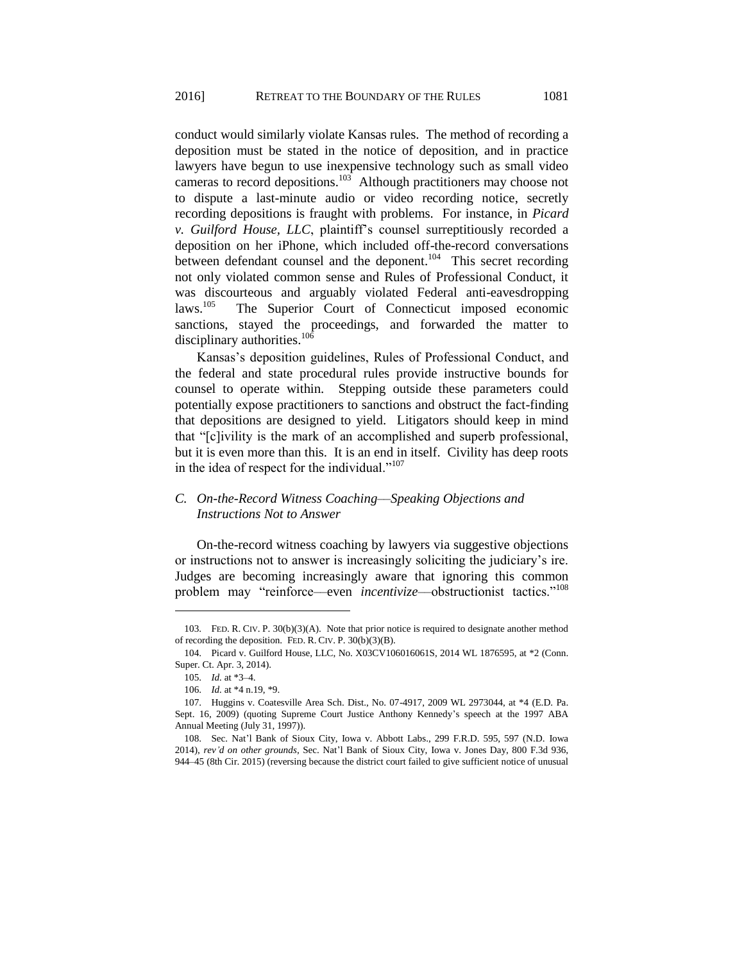conduct would similarly violate Kansas rules. The method of recording a deposition must be stated in the notice of deposition, and in practice lawyers have begun to use inexpensive technology such as small video cameras to record depositions.<sup>103</sup> Although practitioners may choose not to dispute a last-minute audio or video recording notice, secretly recording depositions is fraught with problems. For instance, in *Picard v. Guilford House, LLC*, plaintiff's counsel surreptitiously recorded a deposition on her iPhone, which included off-the-record conversations between defendant counsel and the deponent.<sup>104</sup> This secret recording not only violated common sense and Rules of Professional Conduct, it was discourteous and arguably violated Federal anti-eavesdropping  $\text{laws}$ <sup>105</sup> The Superior Court of Connecticut imposed economic sanctions, stayed the proceedings, and forwarded the matter to disciplinary authorities.<sup>106</sup>

Kansas's deposition guidelines, Rules of Professional Conduct, and the federal and state procedural rules provide instructive bounds for counsel to operate within. Stepping outside these parameters could potentially expose practitioners to sanctions and obstruct the fact-finding that depositions are designed to yield. Litigators should keep in mind that "[c]ivility is the mark of an accomplished and superb professional, but it is even more than this. It is an end in itself. Civility has deep roots in the idea of respect for the individual."<sup>107</sup>

# *C. On-the-Record Witness Coaching––Speaking Objections and Instructions Not to Answer*

On-the-record witness coaching by lawyers via suggestive objections or instructions not to answer is increasingly soliciting the judiciary's ire. Judges are becoming increasingly aware that ignoring this common problem may "reinforce—even *incentivize*—obstructionist tactics."<sup>108</sup>

<sup>103.</sup> FED. R. CIV. P. 30(b)(3)(A). Note that prior notice is required to designate another method of recording the deposition. FED. R. CIV. P. 30(b)(3)(B).

<sup>104.</sup> Picard v. Guilford House, LLC, No. X03CV106016061S, 2014 WL 1876595, at \*2 (Conn. Super. Ct. Apr. 3, 2014).

<sup>105.</sup> *Id.* at \*3–4.

<sup>106.</sup> *Id.* at \*4 n.19, \*9.

<sup>107.</sup> Huggins v. Coatesville Area Sch. Dist., No. 07-4917, 2009 WL 2973044, at \*4 (E.D. Pa. Sept. 16, 2009) (quoting Supreme Court Justice Anthony Kennedy's speech at the 1997 ABA Annual Meeting (July 31, 1997)).

<sup>108.</sup> Sec. Nat'l Bank of Sioux City, Iowa v. Abbott Labs., 299 F.R.D. 595, 597 (N.D. Iowa 2014), *rev'd on other grounds*, Sec. Nat'l Bank of Sioux City, Iowa v. Jones Day, 800 F.3d 936, 944–45 (8th Cir. 2015) (reversing because the district court failed to give sufficient notice of unusual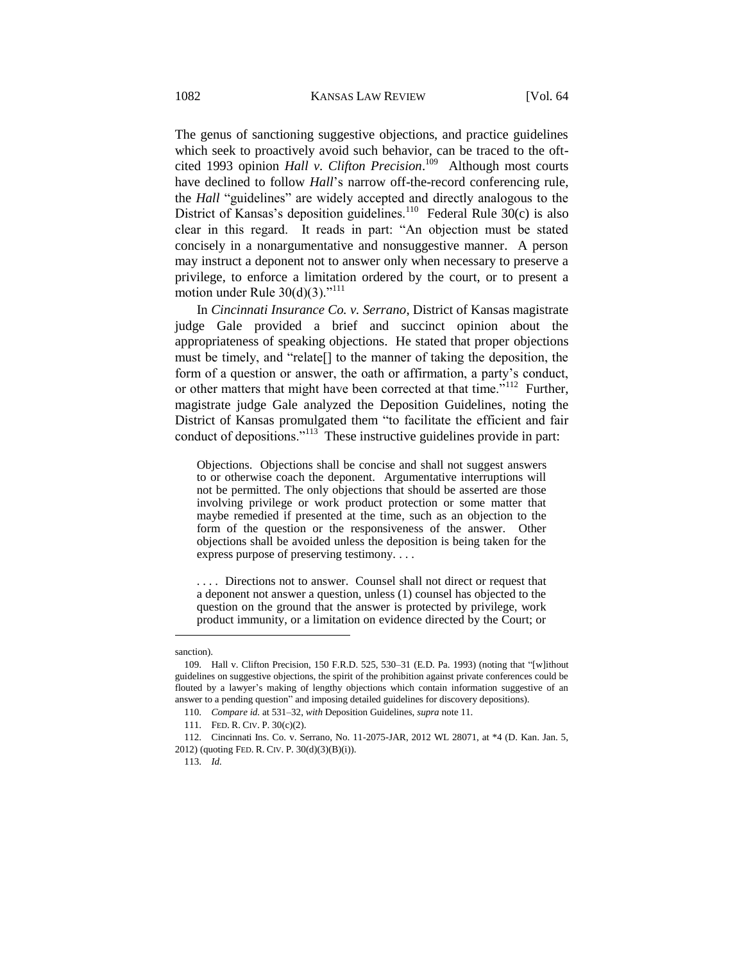The genus of sanctioning suggestive objections, and practice guidelines which seek to proactively avoid such behavior, can be traced to the oftcited 1993 opinion *Hall v. Clifton Precision*. 109 Although most courts have declined to follow *Hall*'s narrow off-the-record conferencing rule, the *Hall* "guidelines" are widely accepted and directly analogous to the District of Kansas's deposition guidelines.<sup>110</sup> Federal Rule  $30(c)$  is also clear in this regard. It reads in part: "An objection must be stated concisely in a nonargumentative and nonsuggestive manner. A person may instruct a deponent not to answer only when necessary to preserve a privilege, to enforce a limitation ordered by the court, or to present a motion under Rule  $30(d)(3)$ ."<sup>111</sup>

In *Cincinnati Insurance Co. v. Serrano*, District of Kansas magistrate judge Gale provided a brief and succinct opinion about the appropriateness of speaking objections. He stated that proper objections must be timely, and "relate[] to the manner of taking the deposition, the form of a question or answer, the oath or affirmation, a party's conduct, or other matters that might have been corrected at that time."<sup>112</sup> Further, magistrate judge Gale analyzed the Deposition Guidelines, noting the District of Kansas promulgated them "to facilitate the efficient and fair conduct of depositions."<sup>113</sup> These instructive guidelines provide in part:

Objections. Objections shall be concise and shall not suggest answers to or otherwise coach the deponent. Argumentative interruptions will not be permitted. The only objections that should be asserted are those involving privilege or work product protection or some matter that maybe remedied if presented at the time, such as an objection to the form of the question or the responsiveness of the answer. Other objections shall be avoided unless the deposition is being taken for the express purpose of preserving testimony. . . .

. . . . Directions not to answer. Counsel shall not direct or request that a deponent not answer a question, unless (1) counsel has objected to the question on the ground that the answer is protected by privilege, work product immunity, or a limitation on evidence directed by the Court; or

sanction).

<sup>109.</sup> Hall v. Clifton Precision, 150 F.R.D. 525, 530–31 (E.D. Pa. 1993) (noting that "[w]ithout guidelines on suggestive objections, the spirit of the prohibition against private conferences could be flouted by a lawyer's making of lengthy objections which contain information suggestive of an answer to a pending question" and imposing detailed guidelines for discovery depositions).

<sup>110.</sup> *Compare id.* at 531–32, *with* Deposition Guidelines, *supra* note 11.

<sup>111.</sup> FED. R. CIV. P. 30(c)(2).

<sup>112.</sup> Cincinnati Ins. Co. v. Serrano, No. 11-2075-JAR, 2012 WL 28071, at \*4 (D. Kan. Jan. 5, 2012) (quoting FED. R. CIV. P. 30(d)(3)(B)(i)).

<sup>113.</sup> *Id.*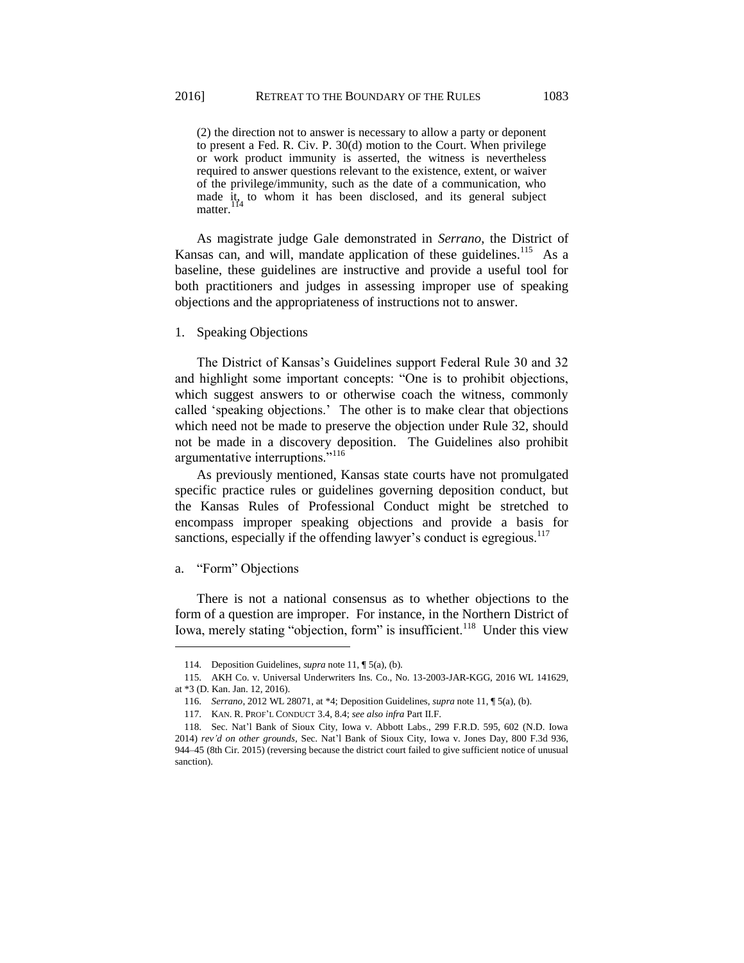(2) the direction not to answer is necessary to allow a party or deponent to present a Fed. R. Civ. P. 30(d) motion to the Court. When privilege or work product immunity is asserted, the witness is nevertheless required to answer questions relevant to the existence, extent, or waiver of the privilege/immunity, such as the date of a communication, who made it, to whom it has been disclosed, and its general subject matter.

As magistrate judge Gale demonstrated in *Serrano*, the District of Kansas can, and will, mandate application of these guidelines.<sup>115</sup> As a baseline, these guidelines are instructive and provide a useful tool for both practitioners and judges in assessing improper use of speaking objections and the appropriateness of instructions not to answer.

1. Speaking Objections

The District of Kansas's Guidelines support Federal Rule 30 and 32 and highlight some important concepts: "One is to prohibit objections, which suggest answers to or otherwise coach the witness, commonly called 'speaking objections.' The other is to make clear that objections which need not be made to preserve the objection under Rule 32, should not be made in a discovery deposition. The Guidelines also prohibit argumentative interruptions."<sup>116</sup>

As previously mentioned, Kansas state courts have not promulgated specific practice rules or guidelines governing deposition conduct, but the Kansas Rules of Professional Conduct might be stretched to encompass improper speaking objections and provide a basis for sanctions, especially if the offending lawyer's conduct is egregious.<sup>117</sup>

## a. "Form" Objections

 $\overline{a}$ 

There is not a national consensus as to whether objections to the form of a question are improper. For instance, in the Northern District of Iowa, merely stating "objection, form" is insufficient.<sup>118</sup> Under this view

<sup>114.</sup> Deposition Guidelines, *supra* note 11, ¶ 5(a), (b).

<sup>115.</sup> AKH Co. v. Universal Underwriters Ins. Co., No. 13-2003-JAR-KGG, 2016 WL 141629, at \*3 (D. Kan. Jan. 12, 2016).

<sup>116.</sup> *Serrano*, 2012 WL 28071, at \*4; Deposition Guidelines, *supra* note 11, ¶ 5(a), (b).

<sup>117.</sup> KAN. R. PROF'L CONDUCT 3.4, 8.4; *see also infra* Part II.F.

<sup>118.</sup> Sec. Nat'l Bank of Sioux City, Iowa v. Abbott Labs., 299 F.R.D. 595, 602 (N.D. Iowa 2014) *rev'd on other grounds*, Sec. Nat'l Bank of Sioux City, Iowa v. Jones Day, 800 F.3d 936, 944–45 (8th Cir. 2015) (reversing because the district court failed to give sufficient notice of unusual sanction).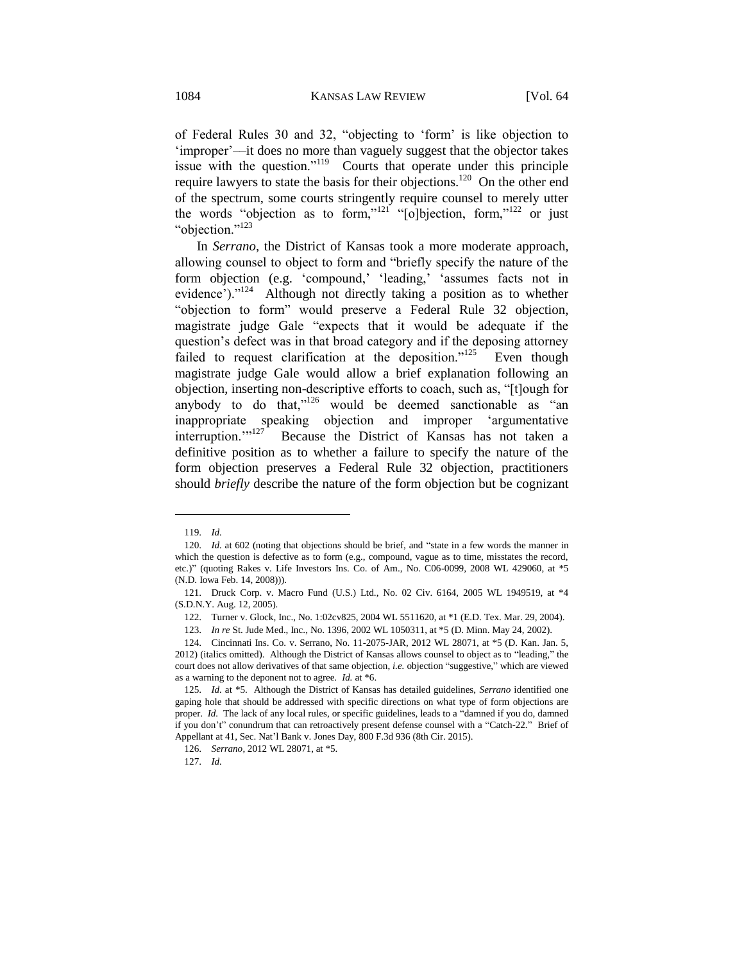of Federal Rules 30 and 32, "objecting to 'form' is like objection to 'improper'––it does no more than vaguely suggest that the objector takes issue with the question."<sup>119</sup> Courts that operate under this principle require lawyers to state the basis for their objections.<sup>120</sup> On the other end of the spectrum, some courts stringently require counsel to merely utter the words "objection as to form," $121$  "[o]bjection, form," $122$  or just "objection."<sup>123</sup>

In *Serrano*, the District of Kansas took a more moderate approach, allowing counsel to object to form and "briefly specify the nature of the form objection (e.g. 'compound,' 'leading,' 'assumes facts not in evidence')."<sup>124</sup> Although not directly taking a position as to whether "objection to form" would preserve a Federal Rule 32 objection, magistrate judge Gale "expects that it would be adequate if the question's defect was in that broad category and if the deposing attorney failed to request clarification at the deposition." $125$  Even though magistrate judge Gale would allow a brief explanation following an objection, inserting non-descriptive efforts to coach, such as, "[t]ough for anybody to do that,"<sup>126</sup> would be deemed sanctionable as "an inappropriate speaking objection and improper 'argumentative interruption."<sup>127</sup> Because the District of Kansas has not taken a definitive position as to whether a failure to specify the nature of the form objection preserves a Federal Rule 32 objection, practitioners should *briefly* describe the nature of the form objection but be cognizant

<sup>119.</sup> *Id.* 

<sup>120.</sup> *Id.* at 602 (noting that objections should be brief, and "state in a few words the manner in which the question is defective as to form (e.g., compound, vague as to time, misstates the record, etc.)" (quoting Rakes v. Life Investors Ins. Co. of Am., No. C06-0099, 2008 WL 429060, at \*5 (N.D. Iowa Feb. 14, 2008)))*.*

<sup>121.</sup> Druck Corp. v. Macro Fund (U.S.) Ltd., No. 02 Civ. 6164, 2005 WL 1949519, at \*4 (S.D.N.Y. Aug. 12, 2005).

<sup>122.</sup> Turner v. Glock, Inc., No. 1:02cv825, 2004 WL 5511620, at \*1 (E.D. Tex. Mar. 29, 2004).

<sup>123.</sup> *In re* St. Jude Med., Inc., No. 1396, 2002 WL 1050311, at \*5 (D. Minn. May 24, 2002).

<sup>124.</sup> Cincinnati Ins. Co. v. Serrano, No. 11-2075-JAR, 2012 WL 28071, at \*5 (D. Kan. Jan. 5, 2012) (italics omitted). Although the District of Kansas allows counsel to object as to "leading," the court does not allow derivatives of that same objection, *i.e.* objection "suggestive," which are viewed as a warning to the deponent not to agree. *Id.* at \*6.

<sup>125.</sup> *Id.* at \*5. Although the District of Kansas has detailed guidelines, *Serrano* identified one gaping hole that should be addressed with specific directions on what type of form objections are proper. *Id.* The lack of any local rules, or specific guidelines, leads to a "damned if you do, damned if you don't" conundrum that can retroactively present defense counsel with a "Catch-22." Brief of Appellant at 41, Sec. Nat'l Bank v. Jones Day, 800 F.3d 936 (8th Cir. 2015).

<sup>126.</sup> *Serrano*, 2012 WL 28071, at \*5.

<sup>127.</sup> *Id.*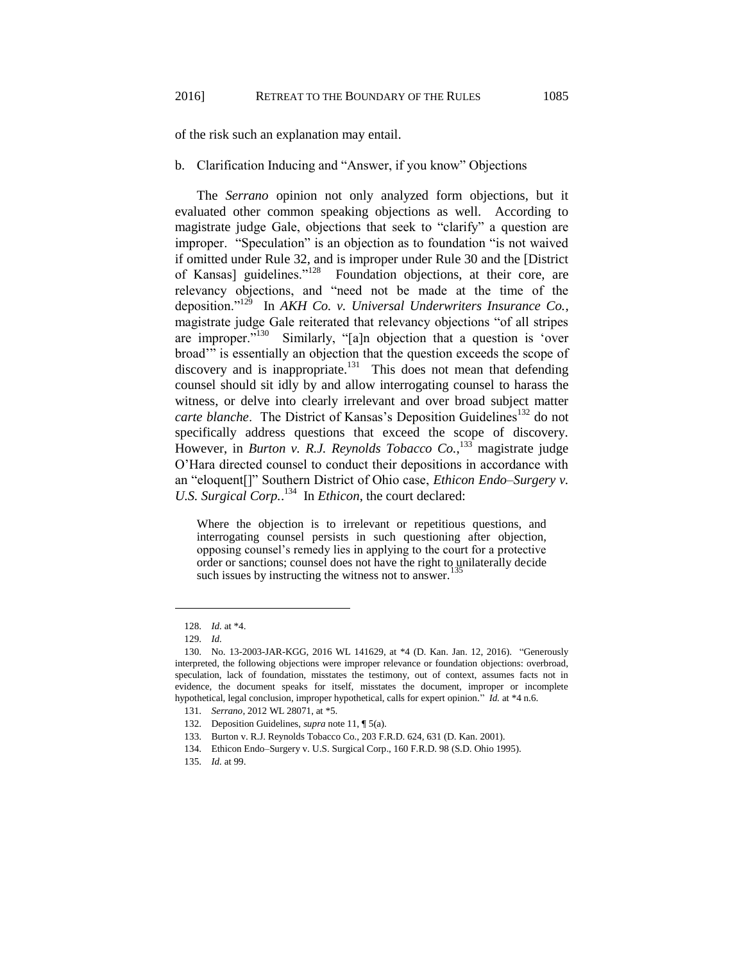of the risk such an explanation may entail.

## b. Clarification Inducing and "Answer, if you know" Objections

The *Serrano* opinion not only analyzed form objections, but it evaluated other common speaking objections as well. According to magistrate judge Gale, objections that seek to "clarify" a question are improper. "Speculation" is an objection as to foundation "is not waived if omitted under Rule 32, and is improper under Rule 30 and the [District of Kansas] guidelines."<sup>128</sup> Foundation objections, at their core, are relevancy objections, and "need not be made at the time of the deposition."<sup>129</sup> In *AKH Co. v. Universal Underwriters Insurance Co.*, magistrate judge Gale reiterated that relevancy objections "of all stripes are improper."<sup>130</sup> Similarly, "[a]n objection that a question is 'over broad'" is essentially an objection that the question exceeds the scope of discovery and is inappropriate.<sup>131</sup> This does not mean that defending counsel should sit idly by and allow interrogating counsel to harass the witness, or delve into clearly irrelevant and over broad subject matter *carte blanche.* The District of Kansas's Deposition Guidelines<sup>132</sup> do not specifically address questions that exceed the scope of discovery. However, in *Burton v. R.J. Reynolds Tobacco Co.*, <sup>133</sup> magistrate judge O'Hara directed counsel to conduct their depositions in accordance with an "eloquent[]" Southern District of Ohio case, *Ethicon Endo–Surgery v. U.S. Surgical Corp.*. 134 In *Ethicon*, the court declared:

Where the objection is to irrelevant or repetitious questions, and interrogating counsel persists in such questioning after objection, opposing counsel's remedy lies in applying to the court for a protective order or sanctions; counsel does not have the right to unilaterally decide such issues by instructing the witness not to answer.<sup>135</sup>

<sup>128.</sup> *Id.* at \*4.

<sup>129.</sup> *Id.*

<sup>130.</sup> No. 13-2003-JAR-KGG, 2016 WL 141629, at \*4 (D. Kan. Jan. 12, 2016). "Generously interpreted, the following objections were improper relevance or foundation objections: overbroad, speculation, lack of foundation, misstates the testimony, out of context, assumes facts not in evidence, the document speaks for itself, misstates the document, improper or incomplete hypothetical, legal conclusion, improper hypothetical, calls for expert opinion." *Id.* at \*4 n.6.

<sup>131.</sup> *Serrano*, 2012 WL 28071, at \*5.

<sup>132.</sup> Deposition Guidelines, *supra* note 11, ¶ 5(a).

<sup>133.</sup> Burton v. R.J. Reynolds Tobacco Co*.*, 203 F.R.D. 624, 631 (D. Kan. 2001).

<sup>134.</sup> Ethicon Endo–Surgery v. U.S. Surgical Corp., 160 F.R.D. 98 (S.D. Ohio 1995).

<sup>135.</sup> *Id.* at 99.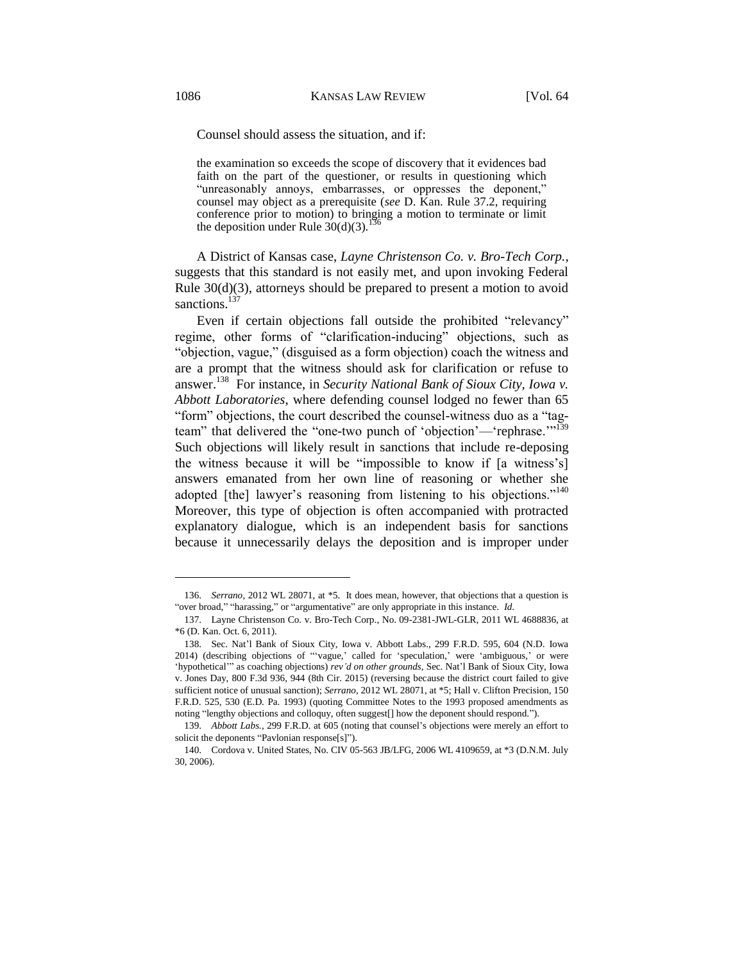Counsel should assess the situation, and if:

the examination so exceeds the scope of discovery that it evidences bad faith on the part of the questioner, or results in questioning which "unreasonably annoys, embarrasses, or oppresses the deponent," counsel may object as a prerequisite (*see* D. Kan. Rule 37.2, requiring conference prior to motion) to bringing a motion to terminate or limit the deposition under Rule  $30(d)(3)$ .<sup>13</sup>

A District of Kansas case, *Layne Christenson Co. v. Bro-Tech Corp.*, suggests that this standard is not easily met, and upon invoking Federal Rule 30(d)(3), attorneys should be prepared to present a motion to avoid sanctions.<sup>137</sup>

Even if certain objections fall outside the prohibited "relevancy" regime, other forms of "clarification-inducing" objections, such as "objection, vague," (disguised as a form objection) coach the witness and are a prompt that the witness should ask for clarification or refuse to answer.<sup>138</sup> For instance, in *Security National Bank of Sioux City, Iowa v. Abbott Laboratories*, where defending counsel lodged no fewer than 65 "form" objections, the court described the counsel-witness duo as a "tagteam" that delivered the "one-two punch of 'objection'—'rephrase."<sup>139</sup> Such objections will likely result in sanctions that include re-deposing the witness because it will be "impossible to know if [a witness's] answers emanated from her own line of reasoning or whether she adopted [the] lawyer's reasoning from listening to his objections."<sup>140</sup> Moreover, this type of objection is often accompanied with protracted explanatory dialogue, which is an independent basis for sanctions because it unnecessarily delays the deposition and is improper under

<sup>136.</sup> *Serrano*, 2012 WL 28071, at \*5. It does mean, however, that objections that a question is "over broad," "harassing," or "argumentative" are only appropriate in this instance. *Id.*

<sup>137.</sup> Layne Christenson Co. v. Bro-Tech Corp., No. 09-2381-JWL-GLR, 2011 WL 4688836, at \*6 (D. Kan. Oct. 6, 2011).

<sup>138.</sup> Sec. Nat'l Bank of Sioux City, Iowa v. Abbott Labs., 299 F.R.D. 595, 604 (N.D. Iowa 2014) (describing objections of "'vague,' called for 'speculation,' were 'ambiguous,' or were 'hypothetical'" as coaching objections) *rev'd on other grounds*, Sec. Nat'l Bank of Sioux City, Iowa v. Jones Day, 800 F.3d 936, 944 (8th Cir. 2015) (reversing because the district court failed to give sufficient notice of unusual sanction); *Serrano*, 2012 WL 28071, at \*5; Hall v. Clifton Precision, 150 F.R.D. 525, 530 (E.D. Pa. 1993) (quoting Committee Notes to the 1993 proposed amendments as noting "lengthy objections and colloquy, often suggest[] how the deponent should respond.").

<sup>139.</sup> *Abbott Labs.*, 299 F.R.D. at 605 (noting that counsel's objections were merely an effort to solicit the deponents "Pavlonian response[s]").

<sup>140.</sup> Cordova v. United States, No. CIV 05-563 JB/LFG, 2006 WL 4109659, at \*3 (D.N.M. July 30, 2006).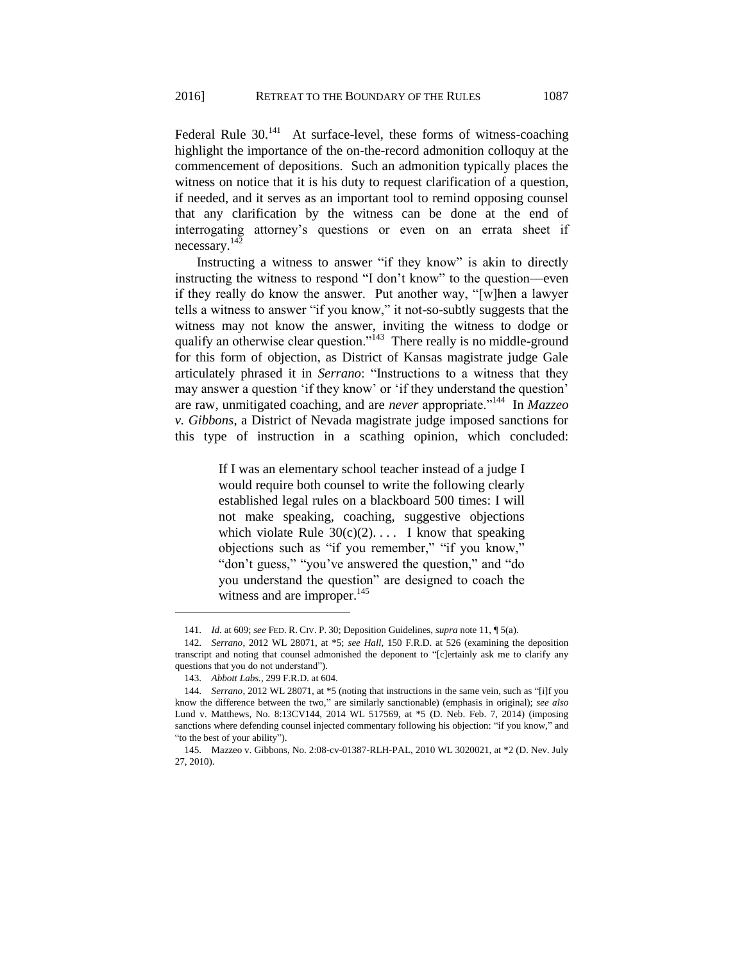Federal Rule  $30^{141}$  At surface-level, these forms of witness-coaching highlight the importance of the on-the-record admonition colloquy at the commencement of depositions. Such an admonition typically places the witness on notice that it is his duty to request clarification of a question, if needed, and it serves as an important tool to remind opposing counsel that any clarification by the witness can be done at the end of interrogating attorney's questions or even on an errata sheet if necessary.<sup>142</sup>

Instructing a witness to answer "if they know" is akin to directly instructing the witness to respond "I don't know" to the question––even if they really do know the answer. Put another way, "[w]hen a lawyer tells a witness to answer "if you know," it not-so-subtly suggests that the witness may not know the answer, inviting the witness to dodge or qualify an otherwise clear question."<sup>143</sup> There really is no middle-ground for this form of objection, as District of Kansas magistrate judge Gale articulately phrased it in *Serrano*: "Instructions to a witness that they may answer a question 'if they know' or 'if they understand the question' are raw, unmitigated coaching, and are *never* appropriate."<sup>144</sup> In *Mazzeo v. Gibbons*, a District of Nevada magistrate judge imposed sanctions for this type of instruction in a scathing opinion, which concluded:

> If I was an elementary school teacher instead of a judge I would require both counsel to write the following clearly established legal rules on a blackboard 500 times: I will not make speaking, coaching, suggestive objections which violate Rule  $30(c)(2)$ .... I know that speaking objections such as "if you remember," "if you know," "don't guess," "you've answered the question," and "do you understand the question" are designed to coach the witness and are improper.<sup>145</sup>

<sup>141.</sup> *Id.* at 609; *see* FED. R. CIV. P. 30; Deposition Guidelines, *supra* note 11, ¶ 5(a).

<sup>142.</sup> *Serrano*, 2012 WL 28071, at \*5; *see Hall*, 150 F.R.D. at 526 (examining the deposition transcript and noting that counsel admonished the deponent to "[c]ertainly ask me to clarify any questions that you do not understand").

<sup>143.</sup> *Abbott Labs.*, 299 F.R.D. at 604.

<sup>144.</sup> *Serrano*, 2012 WL 28071, at \*5 (noting that instructions in the same vein, such as "[i]f you know the difference between the two," are similarly sanctionable) (emphasis in original); *see also*  Lund v. Matthews, No. 8:13CV144, 2014 WL 517569, at \*5 (D. Neb. Feb. 7, 2014) (imposing sanctions where defending counsel injected commentary following his objection: "if you know," and "to the best of your ability").

<sup>145.</sup> Mazzeo v. Gibbons, No. 2:08-cv-01387-RLH-PAL, 2010 WL 3020021, at \*2 (D. Nev. July 27, 2010).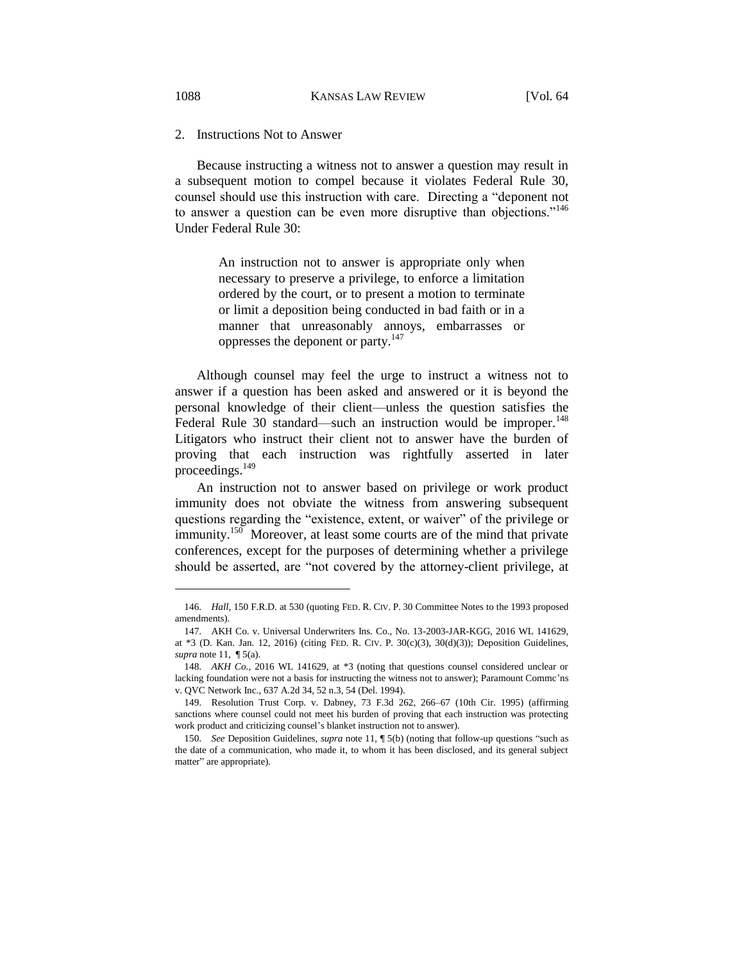2. Instructions Not to Answer

Because instructing a witness not to answer a question may result in a subsequent motion to compel because it violates Federal Rule 30, counsel should use this instruction with care. Directing a "deponent not to answer a question can be even more disruptive than objections."<sup>146</sup> Under Federal Rule 30:

> An instruction not to answer is appropriate only when necessary to preserve a privilege, to enforce a limitation ordered by the court, or to present a motion to terminate or limit a deposition being conducted in bad faith or in a manner that unreasonably annoys, embarrasses or oppresses the deponent or party.<sup>147</sup>

Although counsel may feel the urge to instruct a witness not to answer if a question has been asked and answered or it is beyond the personal knowledge of their client—unless the question satisfies the Federal Rule 30 standard—such an instruction would be improper.<sup>148</sup> Litigators who instruct their client not to answer have the burden of proving that each instruction was rightfully asserted in later proceedings.<sup>149</sup>

An instruction not to answer based on privilege or work product immunity does not obviate the witness from answering subsequent questions regarding the "existence, extent, or waiver" of the privilege or immunity.<sup>150</sup> Moreover, at least some courts are of the mind that private conferences, except for the purposes of determining whether a privilege should be asserted, are "not covered by the attorney-client privilege, at

<sup>146.</sup> *Hall*, 150 F.R.D. at 530 (quoting FED. R. CIV. P. 30 Committee Notes to the 1993 proposed amendments).

<sup>147.</sup> AKH Co. v. Universal Underwriters Ins. Co., No. 13-2003-JAR-KGG, 2016 WL 141629, at \*3 (D. Kan. Jan. 12, 2016) (citing FED. R. CIV. P. 30(c)(3), 30(d)(3)); Deposition Guidelines, *supra* note 11, ¶ 5(a).

<sup>148.</sup> *AKH Co.*, 2016 WL 141629, at \*3 (noting that questions counsel considered unclear or lacking foundation were not a basis for instructing the witness not to answer); Paramount Commc'ns v. QVC Network Inc., 637 A.2d 34, 52 n.3, 54 (Del. 1994).

<sup>149.</sup> Resolution Trust Corp. v. Dabney, 73 F.3d 262, 266–67 (10th Cir. 1995) (affirming sanctions where counsel could not meet his burden of proving that each instruction was protecting work product and criticizing counsel's blanket instruction not to answer).

<sup>150.</sup> *See* Deposition Guidelines, *supra* note 11, ¶ 5(b) (noting that follow-up questions "such as the date of a communication, who made it, to whom it has been disclosed, and its general subject matter" are appropriate).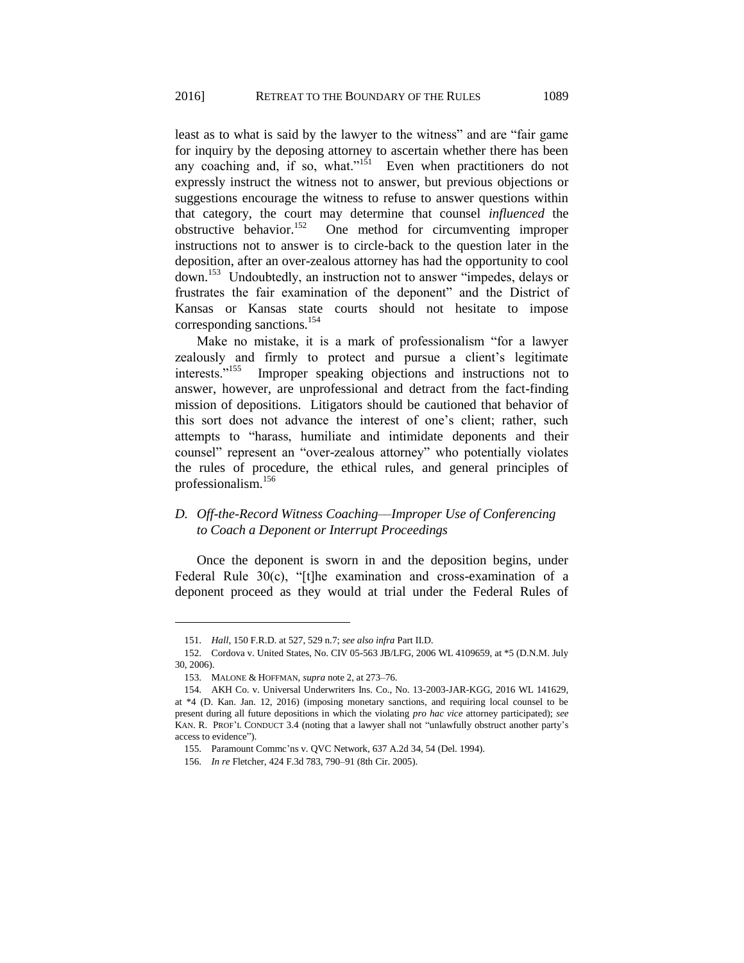least as to what is said by the lawyer to the witness" and are "fair game for inquiry by the deposing attorney to ascertain whether there has been any coaching and, if so, what."<sup>151</sup> Even when practitioners do not expressly instruct the witness not to answer, but previous objections or suggestions encourage the witness to refuse to answer questions within that category, the court may determine that counsel *influenced* the obstructive behavior.<sup>152</sup> One method for circumventing improper instructions not to answer is to circle-back to the question later in the deposition, after an over-zealous attorney has had the opportunity to cool down.<sup>153</sup> Undoubtedly, an instruction not to answer "impedes, delays or frustrates the fair examination of the deponent" and the District of Kansas or Kansas state courts should not hesitate to impose corresponding sanctions.<sup>154</sup>

Make no mistake, it is a mark of professionalism "for a lawyer zealously and firmly to protect and pursue a client's legitimate interests."<sup>155</sup> Improper speaking objections and instructions not to answer, however, are unprofessional and detract from the fact-finding mission of depositions. Litigators should be cautioned that behavior of this sort does not advance the interest of one's client; rather, such attempts to "harass, humiliate and intimidate deponents and their counsel" represent an "over-zealous attorney" who potentially violates the rules of procedure, the ethical rules, and general principles of professionalism.<sup>156</sup>

# *D. Off-the-Record Witness Coaching––Improper Use of Conferencing to Coach a Deponent or Interrupt Proceedings*

Once the deponent is sworn in and the deposition begins, under Federal Rule 30(c), "[t]he examination and cross-examination of a deponent proceed as they would at trial under the Federal Rules of

<sup>151.</sup> *Hall*, 150 F.R.D. at 527, 529 n.7; *see also infra* Part II.D.

<sup>152.</sup> Cordova v. United States, No. CIV 05-563 JB/LFG, 2006 WL 4109659, at \*5 (D.N.M. July 30, 2006).

<sup>153.</sup> MALONE & HOFFMAN, *supra* note 2, at 273–76.

<sup>154.</sup> AKH Co. v. Universal Underwriters Ins. Co., No. 13-2003-JAR-KGG, 2016 WL 141629, at \*4 (D. Kan. Jan. 12, 2016) (imposing monetary sanctions, and requiring local counsel to be present during all future depositions in which the violating *pro hac vice* attorney participated); *see*  KAN. R. PROF'L CONDUCT 3.4 (noting that a lawyer shall not "unlawfully obstruct another party's access to evidence").

<sup>155.</sup> Paramount Commc'ns v. QVC Network, 637 A.2d 34, 54 (Del. 1994).

<sup>156.</sup> *In re* Fletcher, 424 F.3d 783, 790–91 (8th Cir. 2005).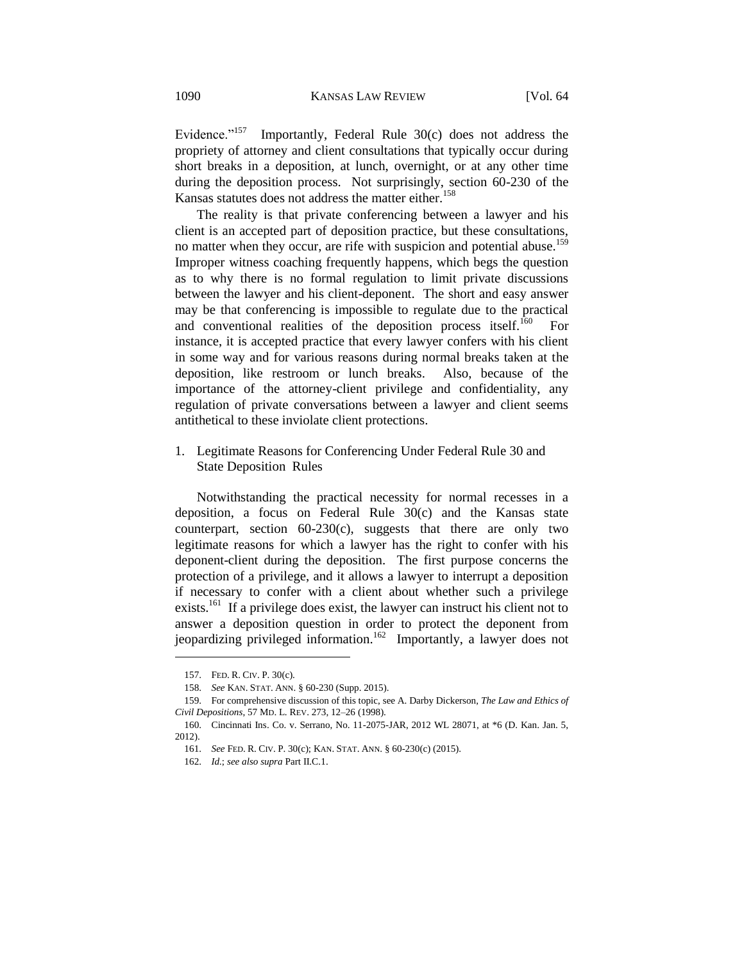Evidence."<sup>157</sup> Importantly, Federal Rule 30(c) does not address the propriety of attorney and client consultations that typically occur during short breaks in a deposition, at lunch, overnight, or at any other time during the deposition process. Not surprisingly, section 60-230 of the Kansas statutes does not address the matter either.<sup>158</sup>

The reality is that private conferencing between a lawyer and his client is an accepted part of deposition practice, but these consultations, no matter when they occur, are rife with suspicion and potential abuse.<sup>159</sup> Improper witness coaching frequently happens, which begs the question as to why there is no formal regulation to limit private discussions between the lawyer and his client-deponent. The short and easy answer may be that conferencing is impossible to regulate due to the practical and conventional realities of the deposition process itself.<sup>160</sup> For instance, it is accepted practice that every lawyer confers with his client in some way and for various reasons during normal breaks taken at the deposition, like restroom or lunch breaks. Also, because of the importance of the attorney-client privilege and confidentiality, any regulation of private conversations between a lawyer and client seems antithetical to these inviolate client protections.

1. Legitimate Reasons for Conferencing Under Federal Rule 30 and State Deposition Rules

Notwithstanding the practical necessity for normal recesses in a deposition, a focus on Federal Rule 30(c) and the Kansas state counterpart, section  $60-230(c)$ , suggests that there are only two legitimate reasons for which a lawyer has the right to confer with his deponent-client during the deposition. The first purpose concerns the protection of a privilege, and it allows a lawyer to interrupt a deposition if necessary to confer with a client about whether such a privilege exists.<sup>161</sup> If a privilege does exist, the lawyer can instruct his client not to answer a deposition question in order to protect the deponent from jeopardizing privileged information.<sup>162</sup> Importantly, a lawyer does not

<sup>157.</sup> FED. R. CIV. P. 30(c).

<sup>158.</sup> *See* KAN. STAT. ANN. § 60-230 (Supp. 2015).

<sup>159.</sup> For comprehensive discussion of this topic, see A. Darby Dickerson, *The Law and Ethics of Civil Depositions*, 57 MD. L. REV. 273, 12–26 (1998).

<sup>160.</sup> Cincinnati Ins. Co. v. Serrano, No. 11-2075-JAR, 2012 WL 28071, at \*6 (D. Kan. Jan. 5, 2012).

<sup>161.</sup> *See* FED. R. CIV. P. 30(c); KAN. STAT. ANN. § 60-230(c) (2015).

<sup>162.</sup> *Id.*; *see also supra* Part II.C.1.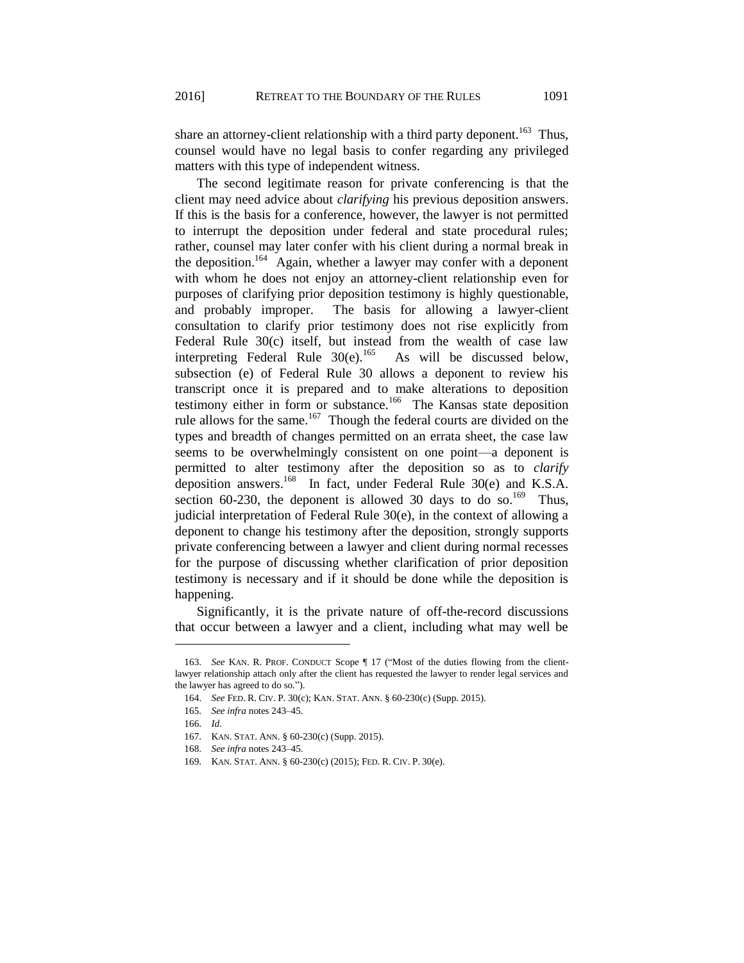share an attorney-client relationship with a third party deponent.<sup>163</sup> Thus, counsel would have no legal basis to confer regarding any privileged matters with this type of independent witness.

The second legitimate reason for private conferencing is that the client may need advice about *clarifying* his previous deposition answers. If this is the basis for a conference, however, the lawyer is not permitted to interrupt the deposition under federal and state procedural rules; rather, counsel may later confer with his client during a normal break in the deposition.<sup>164</sup> Again, whether a lawyer may confer with a deponent with whom he does not enjoy an attorney-client relationship even for purposes of clarifying prior deposition testimony is highly questionable, and probably improper. The basis for allowing a lawyer-client consultation to clarify prior testimony does not rise explicitly from Federal Rule 30(c) itself, but instead from the wealth of case law interpreting Federal Rule  $30(e)$ .<sup>165</sup> As will be discussed below, subsection (e) of Federal Rule 30 allows a deponent to review his transcript once it is prepared and to make alterations to deposition testimony either in form or substance.<sup>166</sup> The Kansas state deposition rule allows for the same.<sup>167</sup> Though the federal courts are divided on the types and breadth of changes permitted on an errata sheet, the case law seems to be overwhelmingly consistent on one point—a deponent is permitted to alter testimony after the deposition so as to *clarify* deposition answers.<sup>168</sup> In fact, under Federal Rule 30(e) and K.S.A. section 60-230, the deponent is allowed 30 days to do so.<sup>169</sup> Thus, judicial interpretation of Federal Rule 30(e), in the context of allowing a deponent to change his testimony after the deposition, strongly supports private conferencing between a lawyer and client during normal recesses for the purpose of discussing whether clarification of prior deposition testimony is necessary and if it should be done while the deposition is happening.

Significantly, it is the private nature of off-the-record discussions that occur between a lawyer and a client, including what may well be

<sup>163.</sup> *See* KAN. R. PROF. CONDUCT Scope ¶ 17 ("Most of the duties flowing from the clientlawyer relationship attach only after the client has requested the lawyer to render legal services and the lawyer has agreed to do so.").

<sup>164.</sup> *See* FED. R. CIV. P. 30(c); KAN. STAT. ANN. § 60-230(c) (Supp. 2015).

<sup>165.</sup> *See infra* notes 243–45.

<sup>166.</sup> *Id.*

<sup>167.</sup> KAN. STAT. ANN. § 60-230(c) (Supp. 2015).

<sup>168.</sup> *See infra* notes 243–45.

<sup>169.</sup> KAN. STAT. ANN. § 60-230(c) (2015); FED. R. CIV. P. 30(e).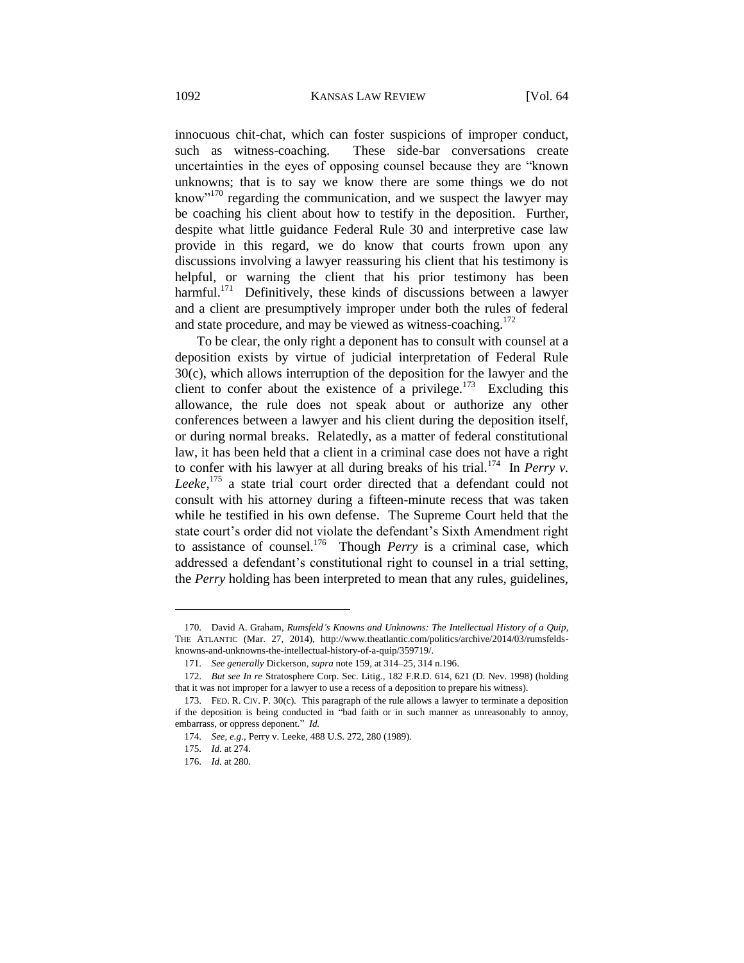innocuous chit-chat, which can foster suspicions of improper conduct, such as witness-coaching. These side-bar conversations create uncertainties in the eyes of opposing counsel because they are "known unknowns; that is to say we know there are some things we do not know"<sup>170</sup> regarding the communication, and we suspect the lawyer may be coaching his client about how to testify in the deposition. Further, despite what little guidance Federal Rule 30 and interpretive case law provide in this regard, we do know that courts frown upon any discussions involving a lawyer reassuring his client that his testimony is helpful, or warning the client that his prior testimony has been harmful.<sup>171</sup> Definitively, these kinds of discussions between a lawyer and a client are presumptively improper under both the rules of federal and state procedure, and may be viewed as witness-coaching.<sup>172</sup>

To be clear, the only right a deponent has to consult with counsel at a deposition exists by virtue of judicial interpretation of Federal Rule 30(c), which allows interruption of the deposition for the lawyer and the client to confer about the existence of a privilege.<sup>173</sup> Excluding this allowance, the rule does not speak about or authorize any other conferences between a lawyer and his client during the deposition itself, or during normal breaks. Relatedly, as a matter of federal constitutional law, it has been held that a client in a criminal case does not have a right to confer with his lawyer at all during breaks of his trial.<sup>174</sup> In *Perry v*. *Leeke*, <sup>175</sup> a state trial court order directed that a defendant could not consult with his attorney during a fifteen-minute recess that was taken while he testified in his own defense. The Supreme Court held that the state court's order did not violate the defendant's Sixth Amendment right to assistance of counsel.<sup>176</sup> Though *Perry* is a criminal case, which addressed a defendant's constitutional right to counsel in a trial setting, the *Perry* holding has been interpreted to mean that any rules, guidelines,

<sup>170.</sup> David A. Graham, *Rumsfeld's Knowns and Unknowns: The Intellectual History of a Quip*, THE ATLANTIC (Mar. 27, 2014), http://www.theatlantic.com/politics/archive/2014/03/rumsfeldsknowns-and-unknowns-the-intellectual-history-of-a-quip/359719/.

<sup>171.</sup> *See generally* Dickerson, *supra* note 159, at 314–25, 314 n.196.

<sup>172.</sup> *But see In re* Stratosphere Corp. Sec. Litig., 182 F.R.D. 614, 621 (D. Nev. 1998) (holding that it was not improper for a lawyer to use a recess of a deposition to prepare his witness).

<sup>173.</sup> FED. R. CIV. P. 30(c). This paragraph of the rule allows a lawyer to terminate a deposition if the deposition is being conducted in "bad faith or in such manner as unreasonably to annoy, embarrass, or oppress deponent." *Id.*

<sup>174.</sup> *See, e.g.*, Perry v. Leeke, 488 U.S. 272, 280 (1989).

<sup>175.</sup> *Id.* at 274.

<sup>176.</sup> *Id.* at 280.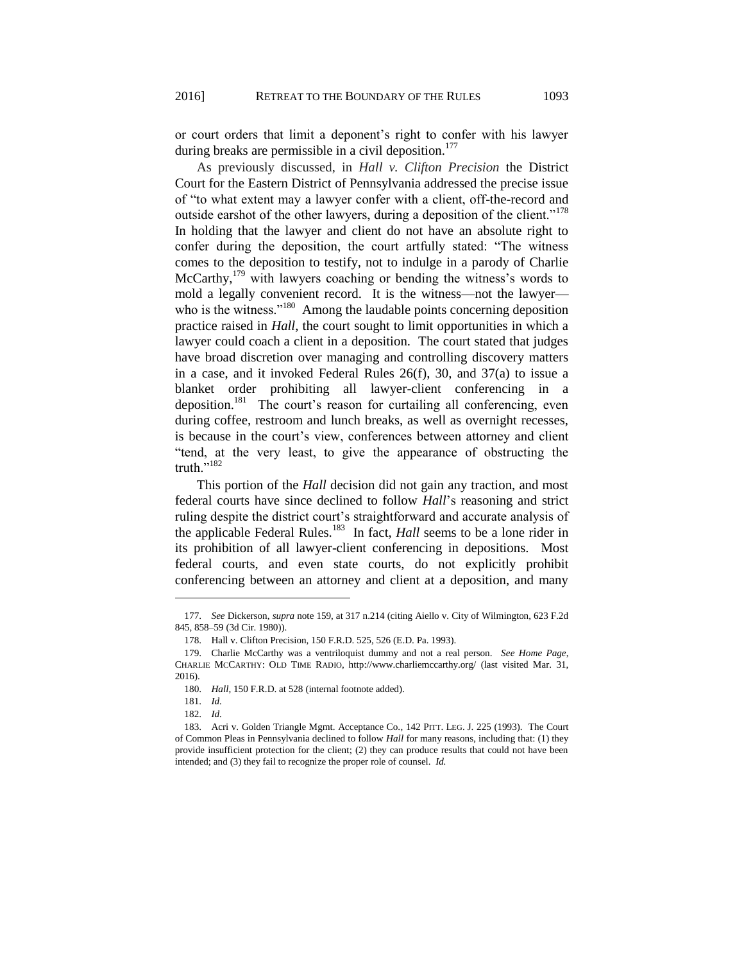or court orders that limit a deponent's right to confer with his lawyer during breaks are permissible in a civil deposition.<sup>177</sup>

As previously discussed, in *Hall v. Clifton Precision* the District Court for the Eastern District of Pennsylvania addressed the precise issue of "to what extent may a lawyer confer with a client, off-the-record and outside earshot of the other lawyers, during a deposition of the client."<sup>178</sup> In holding that the lawyer and client do not have an absolute right to confer during the deposition, the court artfully stated: "The witness comes to the deposition to testify, not to indulge in a parody of Charlie McCarthy, $^{179}$  with lawyers coaching or bending the witness's words to mold a legally convenient record. It is the witness—not the lawyer who is the witness."<sup>180</sup> Among the laudable points concerning deposition practice raised in *Hall*, the court sought to limit opportunities in which a lawyer could coach a client in a deposition. The court stated that judges have broad discretion over managing and controlling discovery matters in a case, and it invoked Federal Rules 26(f), 30, and 37(a) to issue a blanket order prohibiting all lawyer-client conferencing in a deposition.<sup>181</sup> The court's reason for curtailing all conferencing, even during coffee, restroom and lunch breaks, as well as overnight recesses, is because in the court's view, conferences between attorney and client "tend, at the very least, to give the appearance of obstructing the truth."<sup>182</sup>

This portion of the *Hall* decision did not gain any traction, and most federal courts have since declined to follow *Hall*'s reasoning and strict ruling despite the district court's straightforward and accurate analysis of the applicable Federal Rules.<sup>183</sup> In fact, *Hall* seems to be a lone rider in its prohibition of all lawyer-client conferencing in depositions. Most federal courts, and even state courts, do not explicitly prohibit conferencing between an attorney and client at a deposition, and many

<sup>177.</sup> *See* Dickerson, *supra* note 159, at 317 n.214 (citing Aiello v. City of Wilmington, 623 F.2d 845, 858–59 (3d Cir. 1980)).

<sup>178.</sup> Hall v. Clifton Precision, 150 F.R.D. 525, 526 (E.D. Pa. 1993).

<sup>179.</sup> Charlie McCarthy was a ventriloquist dummy and not a real person. *See Home Page*, CHARLIE MCCARTHY: OLD TIME RADIO, http://www.charliemccarthy.org/ (last visited Mar. 31, 2016).

<sup>180.</sup> *Hall*, 150 F.R.D. at 528 (internal footnote added).

<sup>181.</sup> *Id.*

<sup>182.</sup> *Id.*

<sup>183.</sup> Acri v. Golden Triangle Mgmt. Acceptance Co., 142 PITT. LEG. J. 225 (1993). The Court of Common Pleas in Pennsylvania declined to follow *Hall* for many reasons, including that: (1) they provide insufficient protection for the client; (2) they can produce results that could not have been intended; and (3) they fail to recognize the proper role of counsel. *Id.*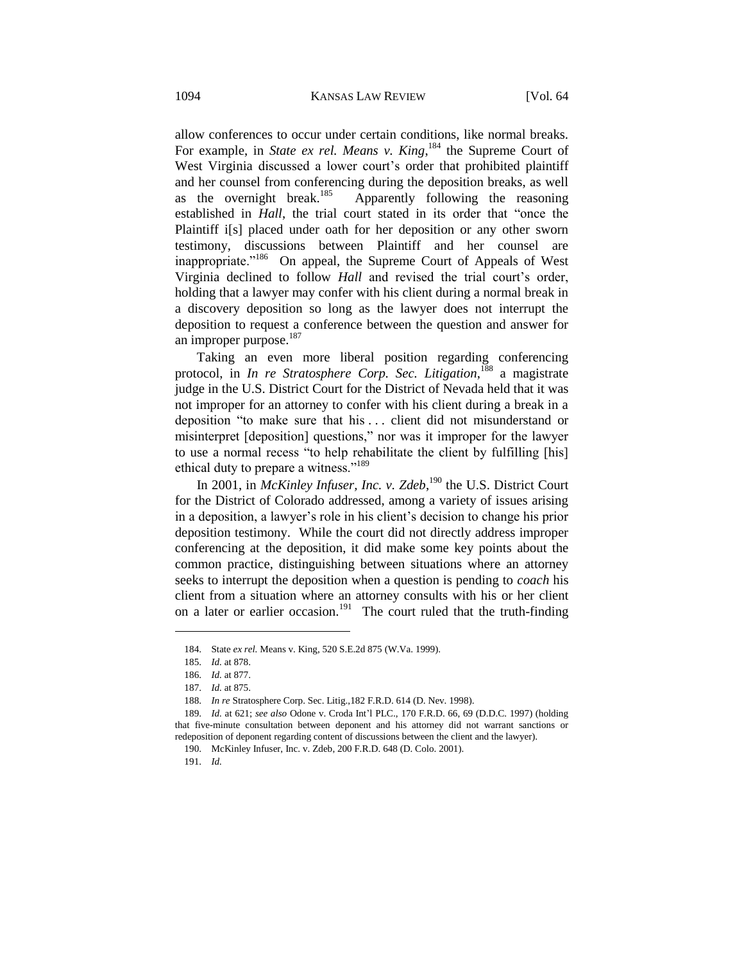allow conferences to occur under certain conditions, like normal breaks. For example, in *State ex rel. Means v. King*,<sup>184</sup> the Supreme Court of West Virginia discussed a lower court's order that prohibited plaintiff and her counsel from conferencing during the deposition breaks, as well as the overnight break. $185$  Apparently following the reasoning established in *Hall*, the trial court stated in its order that "once the Plaintiff i[s] placed under oath for her deposition or any other sworn testimony, discussions between Plaintiff and her counsel are inappropriate."<sup>186</sup> On appeal, the Supreme Court of Appeals of West Virginia declined to follow *Hall* and revised the trial court's order, holding that a lawyer may confer with his client during a normal break in a discovery deposition so long as the lawyer does not interrupt the deposition to request a conference between the question and answer for an improper purpose.<sup>187</sup>

Taking an even more liberal position regarding conferencing protocol, in *In re Stratosphere Corp. Sec. Litigation*, <sup>188</sup> a magistrate judge in the U.S. District Court for the District of Nevada held that it was not improper for an attorney to confer with his client during a break in a deposition "to make sure that his . . . client did not misunderstand or misinterpret [deposition] questions," nor was it improper for the lawyer to use a normal recess "to help rehabilitate the client by fulfilling [his] ethical duty to prepare a witness."<sup>189</sup>

In 2001, in *McKinley Infuser, Inc. v. Zdeb*, <sup>190</sup> the U.S. District Court for the District of Colorado addressed, among a variety of issues arising in a deposition, a lawyer's role in his client's decision to change his prior deposition testimony. While the court did not directly address improper conferencing at the deposition, it did make some key points about the common practice, distinguishing between situations where an attorney seeks to interrupt the deposition when a question is pending to *coach* his client from a situation where an attorney consults with his or her client on a later or earlier occasion.<sup>191</sup> The court ruled that the truth-finding

 $\overline{a}$ 

191. *Id.*

<sup>184.</sup> State *ex rel.* Means v. King, 520 S.E.2d 875 (W.Va. 1999).

<sup>185.</sup> *Id.* at 878.

<sup>186.</sup> *Id.* at 877.

<sup>187.</sup> *Id.* at 875.

<sup>188.</sup> *In re* Stratosphere Corp. Sec. Litig.,182 F.R.D. 614 (D. Nev. 1998).

<sup>189.</sup> *Id.* at 621; *see also* Odone v. Croda Int'l PLC., 170 F.R.D. 66, 69 (D.D.C. 1997) (holding that five-minute consultation between deponent and his attorney did not warrant sanctions or redeposition of deponent regarding content of discussions between the client and the lawyer).

<sup>190.</sup> McKinley Infuser, Inc. v. Zdeb, 200 F.R.D. 648 (D. Colo. 2001).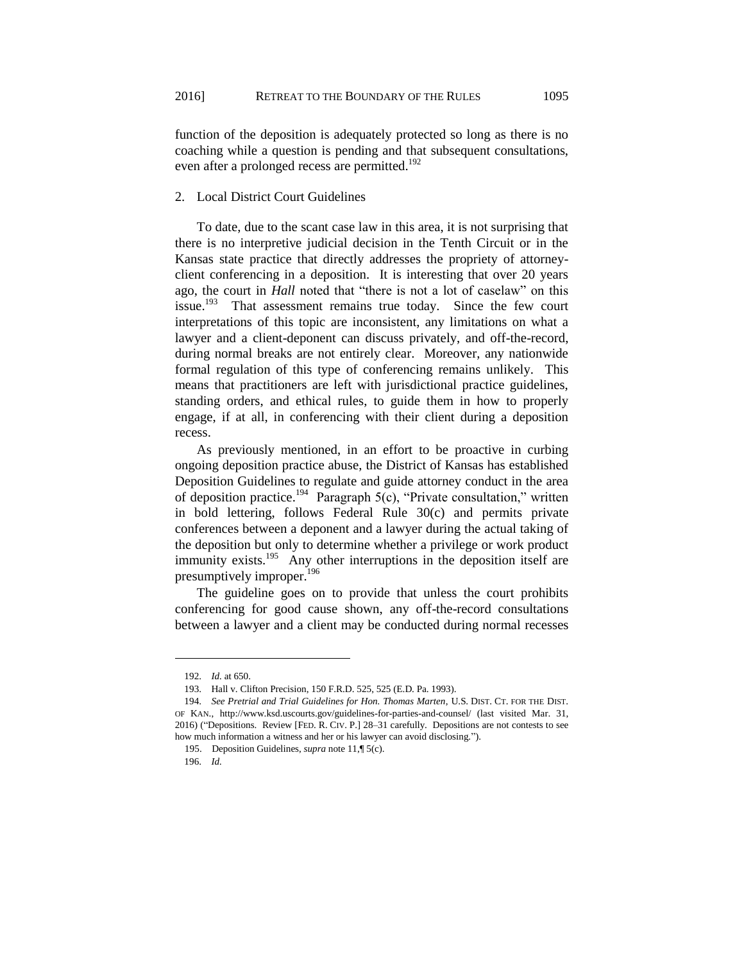function of the deposition is adequately protected so long as there is no coaching while a question is pending and that subsequent consultations, even after a prolonged recess are permitted.<sup>192</sup>

## 2. Local District Court Guidelines

To date, due to the scant case law in this area, it is not surprising that there is no interpretive judicial decision in the Tenth Circuit or in the Kansas state practice that directly addresses the propriety of attorneyclient conferencing in a deposition. It is interesting that over 20 years ago, the court in *Hall* noted that "there is not a lot of caselaw" on this issue. $193$  That assessment remains true today. Since the few court interpretations of this topic are inconsistent, any limitations on what a lawyer and a client-deponent can discuss privately, and off-the-record, during normal breaks are not entirely clear. Moreover, any nationwide formal regulation of this type of conferencing remains unlikely. This means that practitioners are left with jurisdictional practice guidelines, standing orders, and ethical rules, to guide them in how to properly engage, if at all, in conferencing with their client during a deposition recess.

As previously mentioned, in an effort to be proactive in curbing ongoing deposition practice abuse, the District of Kansas has established Deposition Guidelines to regulate and guide attorney conduct in the area of deposition practice.<sup>194</sup> Paragraph  $5(c)$ , "Private consultation," written in bold lettering, follows Federal Rule 30(c) and permits private conferences between a deponent and a lawyer during the actual taking of the deposition but only to determine whether a privilege or work product immunity exists.<sup>195</sup> Any other interruptions in the deposition itself are presumptively improper.<sup>196</sup>

The guideline goes on to provide that unless the court prohibits conferencing for good cause shown, any off-the-record consultations between a lawyer and a client may be conducted during normal recesses

<sup>192.</sup> *Id.* at 650.

<sup>193.</sup> Hall v. Clifton Precision, 150 F.R.D. 525, 525 (E.D. Pa. 1993).

<sup>194.</sup> *See Pretrial and Trial Guidelines for Hon. Thomas Marten*, U.S. DIST. CT. FOR THE DIST. OF KAN., http://www.ksd.uscourts.gov/guidelines-for-parties-and-counsel/ (last visited Mar. 31, 2016) ("Depositions. Review [FED. R. CIV. P.] 28–31 carefully. Depositions are not contests to see how much information a witness and her or his lawyer can avoid disclosing.").

 <sup>195.</sup> Deposition Guidelines, *supra* note 11,¶ 5(c).

<sup>196.</sup> *Id.*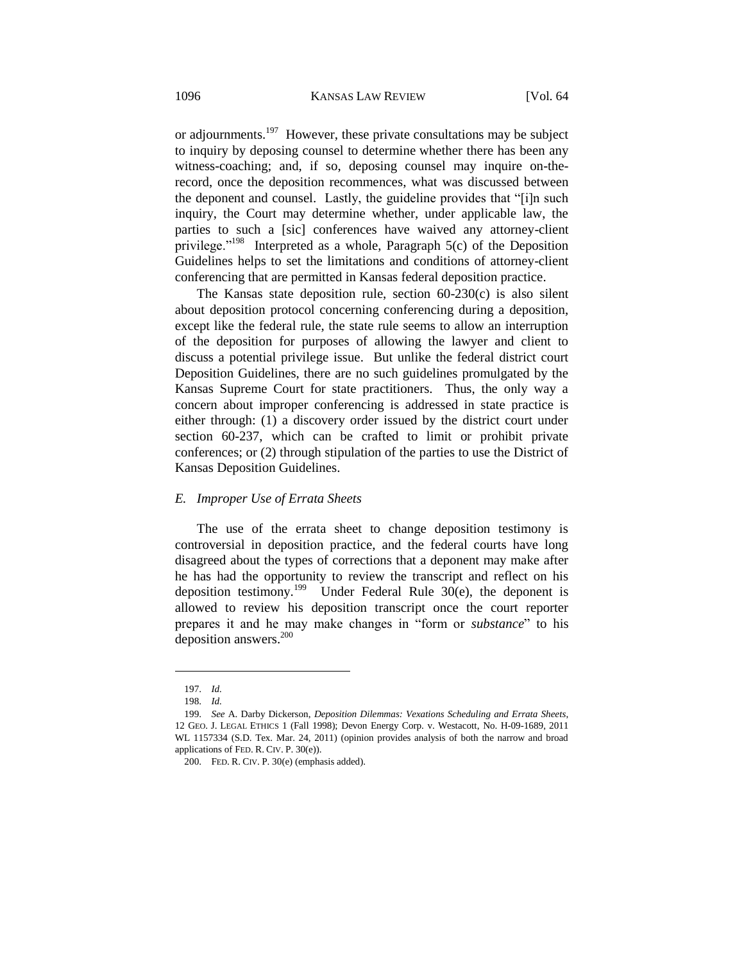or adjournments.<sup>197</sup> However, these private consultations may be subject to inquiry by deposing counsel to determine whether there has been any witness-coaching; and, if so, deposing counsel may inquire on-therecord, once the deposition recommences, what was discussed between the deponent and counsel. Lastly, the guideline provides that "[i]n such inquiry, the Court may determine whether, under applicable law, the parties to such a [sic] conferences have waived any attorney-client privilege."<sup>198</sup> Interpreted as a whole, Paragraph 5(c) of the Deposition Guidelines helps to set the limitations and conditions of attorney-client conferencing that are permitted in Kansas federal deposition practice.

The Kansas state deposition rule, section 60-230(c) is also silent about deposition protocol concerning conferencing during a deposition, except like the federal rule, the state rule seems to allow an interruption of the deposition for purposes of allowing the lawyer and client to discuss a potential privilege issue. But unlike the federal district court Deposition Guidelines, there are no such guidelines promulgated by the Kansas Supreme Court for state practitioners. Thus, the only way a concern about improper conferencing is addressed in state practice is either through: (1) a discovery order issued by the district court under section 60-237, which can be crafted to limit or prohibit private conferences; or (2) through stipulation of the parties to use the District of Kansas Deposition Guidelines.

## *E. Improper Use of Errata Sheets*

The use of the errata sheet to change deposition testimony is controversial in deposition practice, and the federal courts have long disagreed about the types of corrections that a deponent may make after he has had the opportunity to review the transcript and reflect on his deposition testimony.<sup>199</sup> Under Federal Rule  $30(e)$ , the deponent is allowed to review his deposition transcript once the court reporter prepares it and he may make changes in "form or *substance*" to his deposition answers.<sup>200</sup>

<sup>197.</sup> *Id.*

<sup>198.</sup> *Id.*

<sup>199.</sup> *See* A. Darby Dickerson, *Deposition Dilemmas: Vexations Scheduling and Errata Sheets*, 12 GEO. J. LEGAL ETHICS 1 (Fall 1998); Devon Energy Corp. v. Westacott, No. H-09-1689, 2011 WL 1157334 (S.D. Tex. Mar. 24, 2011) (opinion provides analysis of both the narrow and broad applications of FED. R. CIV. P. 30(e)).

<sup>200.</sup> FED. R. CIV. P. 30(e) (emphasis added).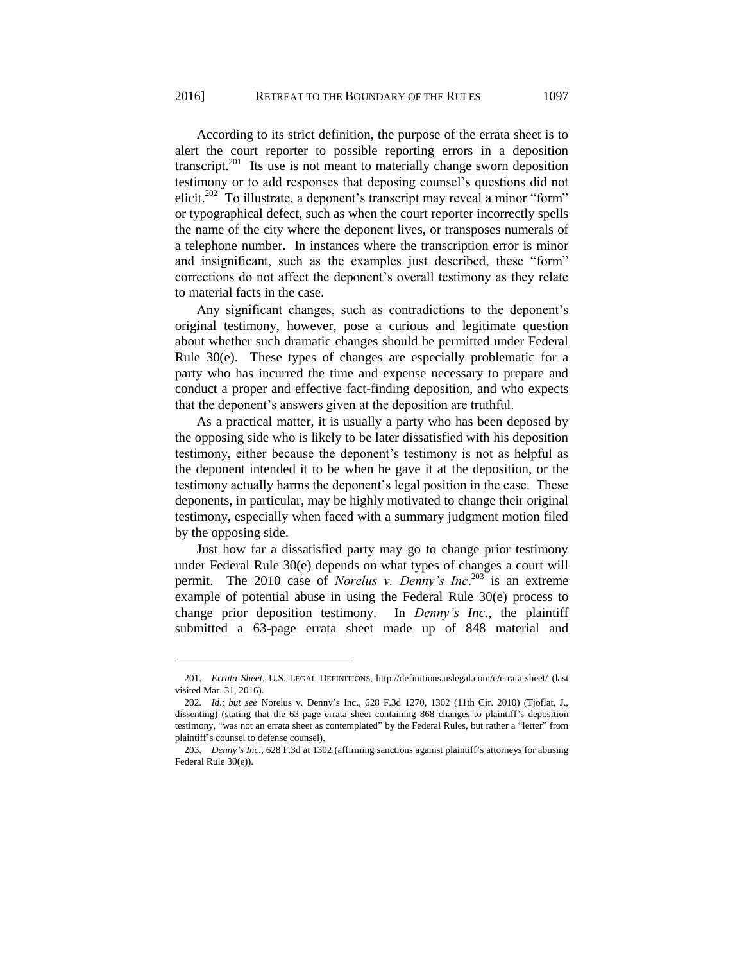According to its strict definition, the purpose of the errata sheet is to alert the court reporter to possible reporting errors in a deposition transcript.<sup>201</sup> Its use is not meant to materially change sworn deposition testimony or to add responses that deposing counsel's questions did not elicit.<sup>202</sup> To illustrate, a deponent's transcript may reveal a minor "form" or typographical defect, such as when the court reporter incorrectly spells the name of the city where the deponent lives, or transposes numerals of a telephone number. In instances where the transcription error is minor and insignificant, such as the examples just described, these "form" corrections do not affect the deponent's overall testimony as they relate to material facts in the case.

Any significant changes, such as contradictions to the deponent's original testimony, however, pose a curious and legitimate question about whether such dramatic changes should be permitted under Federal Rule 30(e). These types of changes are especially problematic for a party who has incurred the time and expense necessary to prepare and conduct a proper and effective fact-finding deposition, and who expects that the deponent's answers given at the deposition are truthful.

As a practical matter, it is usually a party who has been deposed by the opposing side who is likely to be later dissatisfied with his deposition testimony, either because the deponent's testimony is not as helpful as the deponent intended it to be when he gave it at the deposition, or the testimony actually harms the deponent's legal position in the case. These deponents, in particular, may be highly motivated to change their original testimony, especially when faced with a summary judgment motion filed by the opposing side.

Just how far a dissatisfied party may go to change prior testimony under Federal Rule 30(e) depends on what types of changes a court will permit. The 2010 case of *Norelus v. Denny's Inc*. <sup>203</sup> is an extreme example of potential abuse in using the Federal Rule 30(e) process to change prior deposition testimony. In *Denny's Inc.*, the plaintiff submitted a 63-page errata sheet made up of 848 material and

<sup>201.</sup> *Errata Sheet*, U.S. LEGAL DEFINITIONS, http://definitions.uslegal.com/e/errata-sheet/ (last visited Mar. 31, 2016).

<sup>202.</sup> *Id.*; *but see* Norelus v. Denny's Inc., 628 F.3d 1270, 1302 (11th Cir. 2010) (Tjoflat, J., dissenting) (stating that the 63-page errata sheet containing 868 changes to plaintiff's deposition testimony, "was not an errata sheet as contemplated" by the Federal Rules, but rather a "letter" from plaintiff's counsel to defense counsel).

<sup>203.</sup> *Denny's Inc.*, 628 F.3d at 1302 (affirming sanctions against plaintiff's attorneys for abusing Federal Rule 30(e)).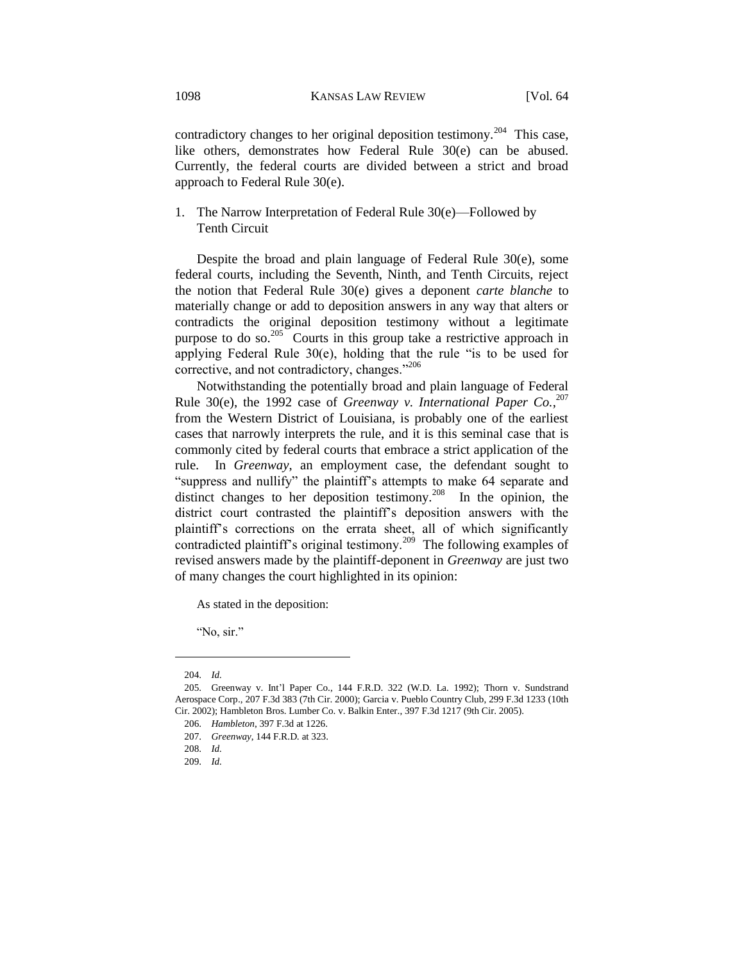contradictory changes to her original deposition testimony.<sup>204</sup> This case, like others, demonstrates how Federal Rule 30(e) can be abused. Currently, the federal courts are divided between a strict and broad approach to Federal Rule 30(e).

1. The Narrow Interpretation of Federal Rule 30(e)—Followed by Tenth Circuit

Despite the broad and plain language of Federal Rule 30(e), some federal courts, including the Seventh, Ninth, and Tenth Circuits, reject the notion that Federal Rule 30(e) gives a deponent *carte blanche* to materially change or add to deposition answers in any way that alters or contradicts the original deposition testimony without a legitimate purpose to do so.<sup>205</sup> Courts in this group take a restrictive approach in applying Federal Rule 30(e), holding that the rule "is to be used for corrective, and not contradictory, changes."<sup>206</sup>

Notwithstanding the potentially broad and plain language of Federal Rule 30(e), the 1992 case of *Greenway v. International Paper Co.*, 207 from the Western District of Louisiana, is probably one of the earliest cases that narrowly interprets the rule, and it is this seminal case that is commonly cited by federal courts that embrace a strict application of the rule. In *Greenway*, an employment case, the defendant sought to "suppress and nullify" the plaintiff's attempts to make 64 separate and distinct changes to her deposition testimony.<sup>208</sup> In the opinion, the district court contrasted the plaintiff's deposition answers with the plaintiff's corrections on the errata sheet, all of which significantly contradicted plaintiff's original testimony.<sup>209</sup> The following examples of revised answers made by the plaintiff-deponent in *Greenway* are just two of many changes the court highlighted in its opinion:

As stated in the deposition:

"No, sir."

<sup>204.</sup> *Id.*

<sup>205.</sup> Greenway v. Int'l Paper Co., 144 F.R.D. 322 (W.D. La. 1992); Thorn v. Sundstrand Aerospace Corp., 207 F.3d 383 (7th Cir. 2000); Garcia v. Pueblo Country Club, 299 F.3d 1233 (10th Cir. 2002); Hambleton Bros. Lumber Co. v. Balkin Enter., 397 F.3d 1217 (9th Cir. 2005).

<sup>206.</sup> *Hambleton*, 397 F.3d at 1226.

<sup>207.</sup> *Greenway*, 144 F.R.D. at 323.

<sup>208.</sup> *Id.* 

<sup>209.</sup> *Id.*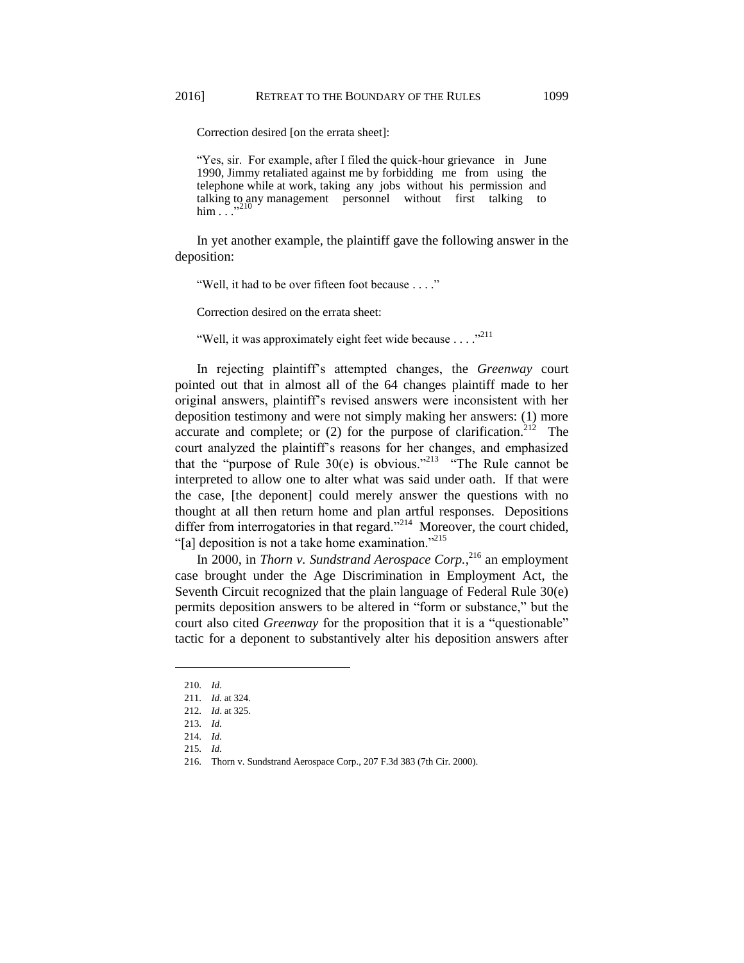Correction desired [on the errata sheet]:

"Yes, sir. For example, after I filed the quick-hour grievance in June 1990, Jimmy retaliated against me by forbidding me from using the telephone while at work, taking any jobs without his permission and talking to any management personnel without first talking to  $\lim$ ...<sup>310</sup>

In yet another example, the plaintiff gave the following answer in the deposition:

"Well, it had to be over fifteen foot because . . . ."

Correction desired on the errata sheet:

"Well, it was approximately eight feet wide because  $\ldots$ ."

In rejecting plaintiff's attempted changes, the *Greenway* court pointed out that in almost all of the 64 changes plaintiff made to her original answers, plaintiff's revised answers were inconsistent with her deposition testimony and were not simply making her answers: (1) more accurate and complete; or  $(2)$  for the purpose of clarification.<sup>212</sup> The court analyzed the plaintiff's reasons for her changes, and emphasized that the "purpose of Rule  $30(e)$  is obvious."<sup>213</sup> "The Rule cannot be interpreted to allow one to alter what was said under oath. If that were the case, [the deponent] could merely answer the questions with no thought at all then return home and plan artful responses. Depositions differ from interrogatories in that regard."<sup>214</sup> Moreover, the court chided, "[a] deposition is not a take home examination."<sup>215</sup>

In 2000, in *Thorn v. Sundstrand Aerospace Corp.*, <sup>216</sup> an employment case brought under the Age Discrimination in Employment Act, the Seventh Circuit recognized that the plain language of Federal Rule 30(e) permits deposition answers to be altered in "form or substance," but the court also cited *Greenway* for the proposition that it is a "questionable" tactic for a deponent to substantively alter his deposition answers after

<sup>210.</sup> *Id.*

<sup>211.</sup> *Id.* at 324.

<sup>212.</sup> *Id*. at 325.

<sup>213.</sup> *Id.*

<sup>214.</sup> *Id.*

<sup>215.</sup> *Id.*

<sup>216.</sup> Thorn v. Sundstrand Aerospace Corp., 207 F.3d 383 (7th Cir. 2000).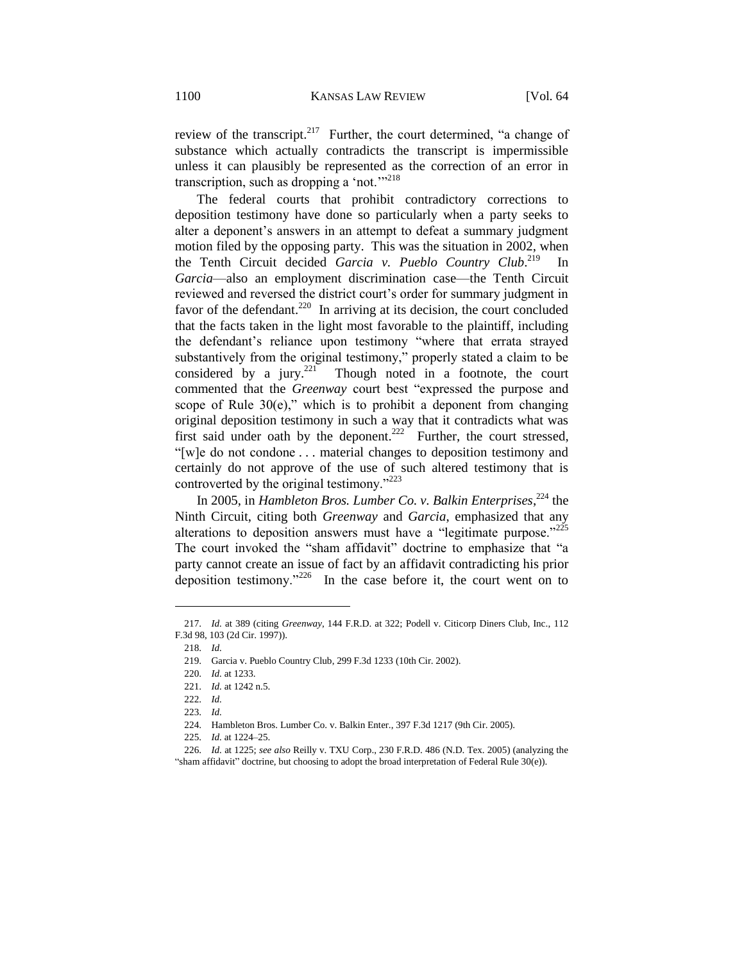review of the transcript.<sup>217</sup> Further, the court determined, "a change of substance which actually contradicts the transcript is impermissible unless it can plausibly be represented as the correction of an error in transcription, such as dropping a 'not."<sup>218</sup>

The federal courts that prohibit contradictory corrections to deposition testimony have done so particularly when a party seeks to alter a deponent's answers in an attempt to defeat a summary judgment motion filed by the opposing party. This was the situation in 2002, when the Tenth Circuit decided *Garcia v. Pueblo Country Club*. 219 In *Garcia*—also an employment discrimination case—the Tenth Circuit reviewed and reversed the district court's order for summary judgment in favor of the defendant.<sup>220</sup> In arriving at its decision, the court concluded that the facts taken in the light most favorable to the plaintiff, including the defendant's reliance upon testimony "where that errata strayed substantively from the original testimony," properly stated a claim to be considered by a jury.<sup>221</sup> Though noted in a footnote, the court commented that the *Greenway* court best "expressed the purpose and scope of Rule  $30(e)$ ," which is to prohibit a deponent from changing original deposition testimony in such a way that it contradicts what was first said under oath by the deponent.<sup>222</sup> Further, the court stressed, "[w]e do not condone . . . material changes to deposition testimony and certainly do not approve of the use of such altered testimony that is controverted by the original testimony."<sup>223</sup>

In 2005, in *Hambleton Bros. Lumber Co. v. Balkin Enterprises*, <sup>224</sup> the Ninth Circuit, citing both *Greenway* and *Garcia*, emphasized that any alterations to deposition answers must have a "legitimate purpose."<sup>225</sup> The court invoked the "sham affidavit" doctrine to emphasize that "a party cannot create an issue of fact by an affidavit contradicting his prior deposition testimony." $226$  In the case before it, the court went on to

<sup>217.</sup> *Id.* at 389 (citing *Greenway*, 144 F.R.D. at 322; Podell v. Citicorp Diners Club, Inc., 112 F.3d 98, 103 (2d Cir. 1997)).

<sup>218.</sup> *Id.*

<sup>219.</sup> Garcia v. Pueblo Country Club, 299 F.3d 1233 (10th Cir. 2002).

<sup>220.</sup> *Id.* at 1233.

<sup>221.</sup> *Id.* at 1242 n.5.

<sup>222.</sup> *Id.*

<sup>223.</sup> *Id.*

<sup>224.</sup> Hambleton Bros. Lumber Co. v. Balkin Enter., 397 F.3d 1217 (9th Cir. 2005).

<sup>225.</sup> *Id.* at 1224–25.

<sup>226.</sup> *Id.* at 1225; *see also* Reilly v. TXU Corp., 230 F.R.D. 486 (N.D. Tex. 2005) (analyzing the "sham affidavit" doctrine, but choosing to adopt the broad interpretation of Federal Rule 30(e)).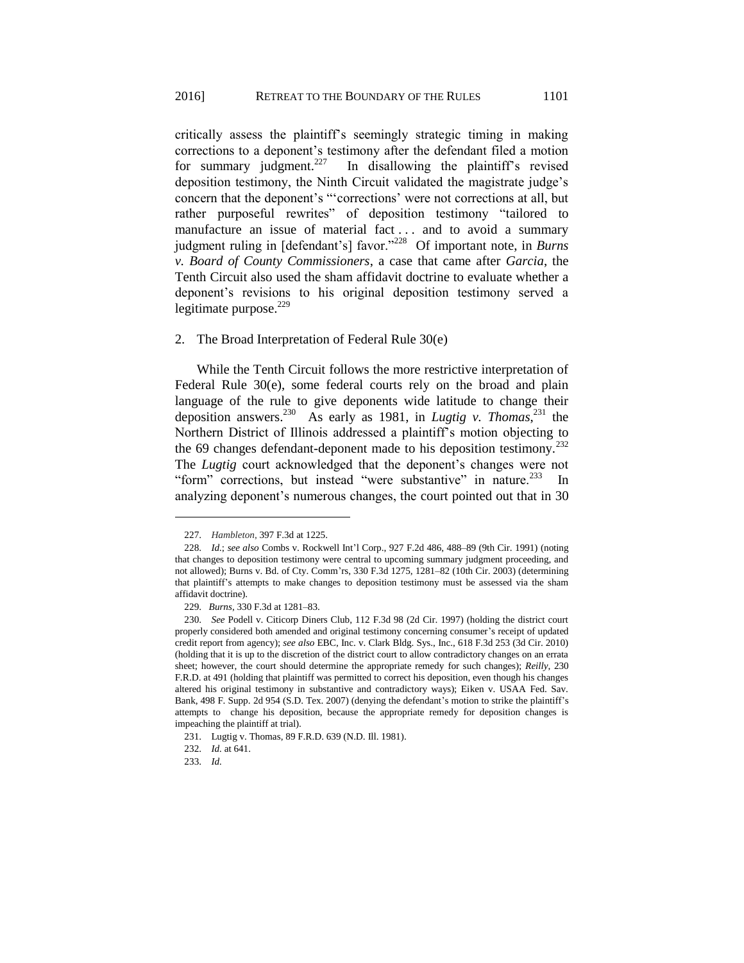critically assess the plaintiff's seemingly strategic timing in making corrections to a deponent's testimony after the defendant filed a motion for summary judgment. $227$  In disallowing the plaintiff's revised deposition testimony, the Ninth Circuit validated the magistrate judge's concern that the deponent's "'corrections' were not corrections at all, but rather purposeful rewrites" of deposition testimony "tailored to manufacture an issue of material fact ... and to avoid a summary judgment ruling in [defendant's] favor."<sup>228</sup> Of important note, in *Burns v. Board of County Commissioners*, a case that came after *Garcia*, the Tenth Circuit also used the sham affidavit doctrine to evaluate whether a deponent's revisions to his original deposition testimony served a legitimate purpose. $229$ 

## 2. The Broad Interpretation of Federal Rule 30(e)

While the Tenth Circuit follows the more restrictive interpretation of Federal Rule 30(e), some federal courts rely on the broad and plain language of the rule to give deponents wide latitude to change their deposition answers.<sup>230</sup> As early as 1981, in *Lugtig v. Thomas*, <sup>231</sup> the Northern District of Illinois addressed a plaintiff's motion objecting to the 69 changes defendant-deponent made to his deposition testimony.<sup>232</sup> The *Lugtig* court acknowledged that the deponent's changes were not "form" corrections, but instead "were substantive" in nature.<sup>233</sup> In analyzing deponent's numerous changes, the court pointed out that in 30

233. *Id.*

<sup>227.</sup> *Hambleton*, 397 F.3d at 1225.

<sup>228.</sup> *Id.*; *see also* Combs v. Rockwell Int'l Corp., 927 F.2d 486, 488–89 (9th Cir. 1991) (noting that changes to deposition testimony were central to upcoming summary judgment proceeding, and not allowed); Burns v. Bd. of Cty. Comm'rs, 330 F.3d 1275, 1281–82 (10th Cir. 2003) (determining that plaintiff's attempts to make changes to deposition testimony must be assessed via the sham affidavit doctrine).

<sup>229.</sup> *Burns*, 330 F.3d at 1281–83.

<sup>230.</sup> *See* Podell v. Citicorp Diners Club, 112 F.3d 98 (2d Cir. 1997) (holding the district court properly considered both amended and original testimony concerning consumer's receipt of updated credit report from agency); *see also* EBC, Inc. v. Clark Bldg. Sys., Inc., 618 F.3d 253 (3d Cir. 2010) (holding that it is up to the discretion of the district court to allow contradictory changes on an errata sheet; however, the court should determine the appropriate remedy for such changes); *Reilly*, 230 F.R.D. at 491 (holding that plaintiff was permitted to correct his deposition, even though his changes altered his original testimony in substantive and contradictory ways); Eiken v. USAA Fed. Sav. Bank, 498 F. Supp. 2d 954 (S.D. Tex. 2007) (denying the defendant's motion to strike the plaintiff's attempts to change his deposition, because the appropriate remedy for deposition changes is impeaching the plaintiff at trial).

<sup>231.</sup> Lugtig v. Thomas, 89 F.R.D. 639 (N.D. Ill. 1981).

<sup>232.</sup> *Id.* at 641.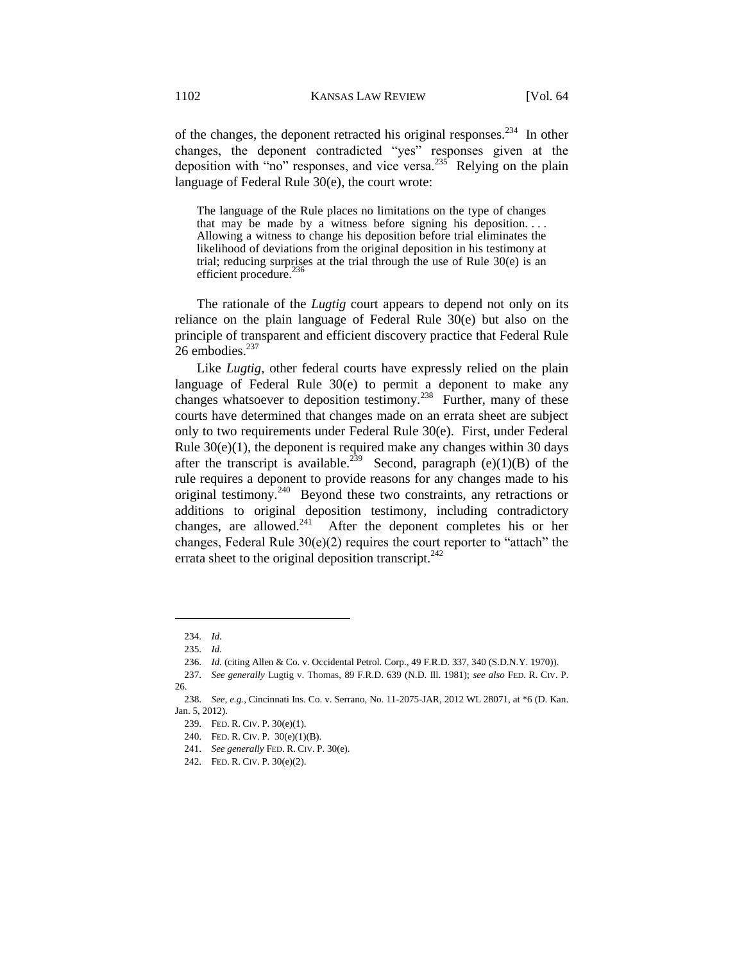of the changes, the deponent retracted his original responses.<sup>234</sup> In other changes, the deponent contradicted "yes" responses given at the deposition with "no" responses, and vice versa. $235$  Relying on the plain language of Federal Rule 30(e), the court wrote:

The language of the Rule places no limitations on the type of changes that may be made by a witness before signing his deposition. . . . Allowing a witness to change his deposition before trial eliminates the likelihood of deviations from the original deposition in his testimony at trial; reducing surprises at the trial through the use of Rule 30(e) is an efficient procedure.<sup>236</sup>

The rationale of the *Lugtig* court appears to depend not only on its reliance on the plain language of Federal Rule 30(e) but also on the principle of transparent and efficient discovery practice that Federal Rule 26 embodies. $237$ 

Like *Lugtig*, other federal courts have expressly relied on the plain language of Federal Rule 30(e) to permit a deponent to make any changes whatsoever to deposition testimony.<sup>238</sup> Further, many of these courts have determined that changes made on an errata sheet are subject only to two requirements under Federal Rule 30(e). First, under Federal Rule  $30(e)(1)$ , the deponent is required make any changes within 30 days after the transcript is available.<sup>239</sup> Second, paragraph (e)(1)(B) of the rule requires a deponent to provide reasons for any changes made to his original testimony.<sup>240</sup> Beyond these two constraints, any retractions or additions to original deposition testimony, including contradictory changes, are allowed. $241$  After the deponent completes his or her changes, Federal Rule  $30(e)(2)$  requires the court reporter to "attach" the errata sheet to the original deposition transcript.<sup>242</sup>

<sup>234.</sup> *Id.*

<sup>235.</sup> *Id.*

<sup>236.</sup> *Id.* (citing Allen & Co. v. Occidental Petrol. Corp., 49 F.R.D. 337, 340 (S.D.N.Y. 1970)).

<sup>237.</sup> *See generally* Lugtig v. Thomas, 89 F.R.D. 639 (N.D. Ill. 1981); *see also* FED. R. CIV. P. 26.

<sup>238.</sup> *See, e.g.*, Cincinnati Ins. Co. v. Serrano, No. 11-2075-JAR, 2012 WL 28071, at \*6 (D. Kan. Jan. 5, 2012).

<sup>239.</sup> FED. R. CIV. P. 30(e)(1).

<sup>240.</sup> FED. R. CIV. P. 30(e)(1)(B).

<sup>241.</sup> *See generally* FED. R. CIV. P. 30(e).

<sup>242.</sup> FED. R. CIV. P. 30(e)(2).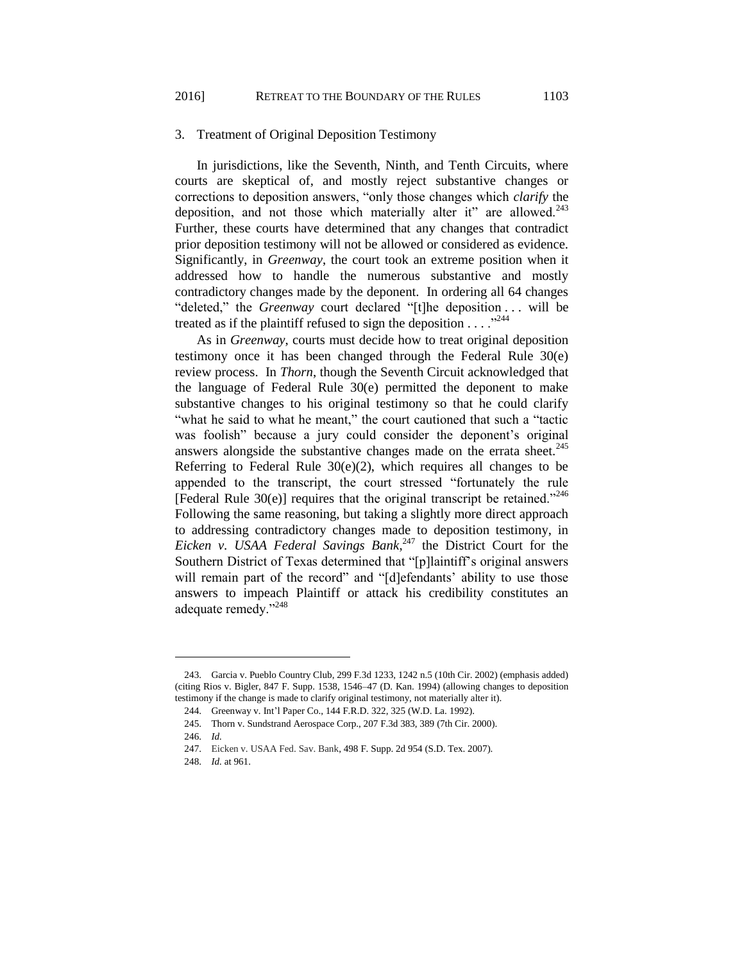## 3. Treatment of Original Deposition Testimony

In jurisdictions, like the Seventh, Ninth, and Tenth Circuits, where courts are skeptical of, and mostly reject substantive changes or corrections to deposition answers, "only those changes which *clarify* the deposition, and not those which materially alter it" are allowed. $243$ Further, these courts have determined that any changes that contradict prior deposition testimony will not be allowed or considered as evidence. Significantly, in *Greenway*, the court took an extreme position when it addressed how to handle the numerous substantive and mostly contradictory changes made by the deponent. In ordering all 64 changes "deleted," the *Greenway* court declared "[t]he deposition . . . will be treated as if the plaintiff refused to sign the deposition  $\ldots$ <sup>244</sup>

As in *Greenway*, courts must decide how to treat original deposition testimony once it has been changed through the Federal Rule 30(e) review process. In *Thorn*, though the Seventh Circuit acknowledged that the language of Federal Rule 30(e) permitted the deponent to make substantive changes to his original testimony so that he could clarify "what he said to what he meant," the court cautioned that such a "tactic was foolish" because a jury could consider the deponent's original answers alongside the substantive changes made on the errata sheet. $245$ Referring to Federal Rule  $30(e)(2)$ , which requires all changes to be appended to the transcript, the court stressed "fortunately the rule [Federal Rule  $30(e)$ ] requires that the original transcript be retained."<sup>246</sup> Following the same reasoning, but taking a slightly more direct approach to addressing contradictory changes made to deposition testimony, in Eicken v. USAA Federal Savings Bank,<sup>247</sup> the District Court for the Southern District of Texas determined that "[p]laintiff's original answers will remain part of the record" and "[d]efendants' ability to use those answers to impeach Plaintiff or attack his credibility constitutes an adequate remedy."<sup>248</sup>

<sup>243.</sup> Garcia v. Pueblo Country Club, 299 F.3d 1233, 1242 n.5 (10th Cir. 2002) (emphasis added) (citing Rios v. Bigler, 847 F. Supp. 1538, 1546–47 (D. Kan. 1994) (allowing changes to deposition testimony if the change is made to clarify original testimony, not materially alter it).

<sup>244.</sup> Greenway v. Int'l Paper Co., 144 F.R.D. 322, 325 (W.D. La. 1992).

<sup>245.</sup> Thorn v. Sundstrand Aerospace Corp., 207 F.3d 383, 389 (7th Cir. 2000).

<sup>246.</sup> *Id.*

<sup>247.</sup> Eicken v. USAA Fed. Sav. Bank, 498 F. Supp. 2d 954 (S.D. Tex. 2007).

<sup>248.</sup> *Id.* at 961.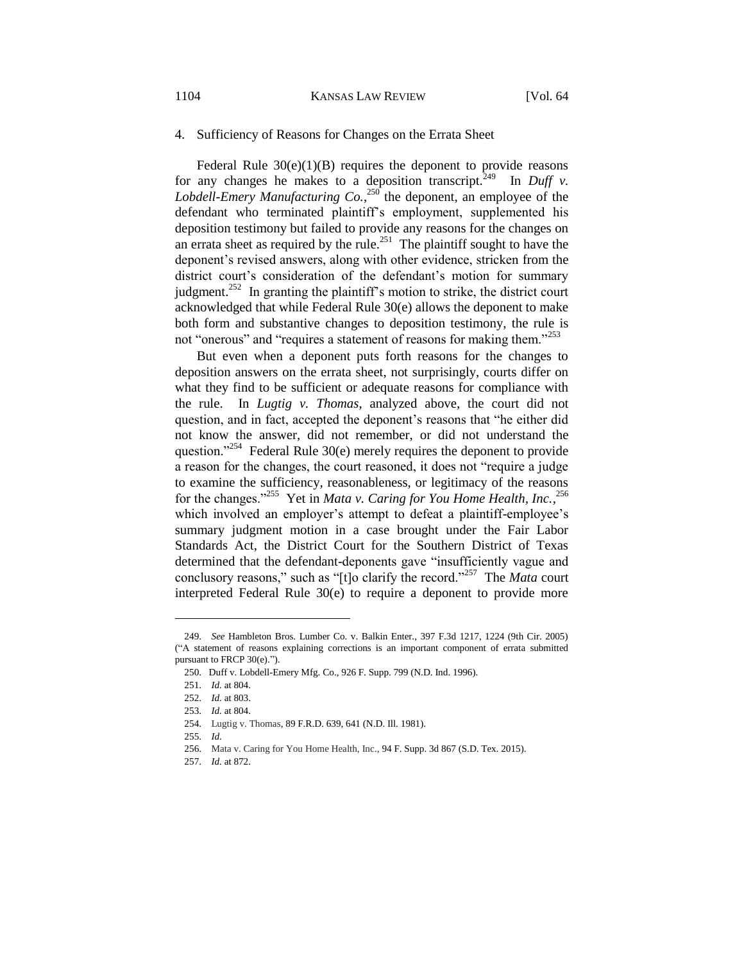## 4. Sufficiency of Reasons for Changes on the Errata Sheet

Federal Rule  $30(e)(1)(B)$  requires the deponent to provide reasons for any changes he makes to a deposition transcript.<sup> $249$ </sup> In *Duff v*. Lobdell-Emery Manufacturing  $Co$ ,  $^{250}$  the deponent, an employee of the defendant who terminated plaintiff's employment, supplemented his deposition testimony but failed to provide any reasons for the changes on an errata sheet as required by the rule.<sup>251</sup> The plaintiff sought to have the deponent's revised answers, along with other evidence, stricken from the district court's consideration of the defendant's motion for summary judgment.<sup>252</sup> In granting the plaintiff's motion to strike, the district court acknowledged that while Federal Rule 30(e) allows the deponent to make both form and substantive changes to deposition testimony, the rule is not "onerous" and "requires a statement of reasons for making them."<sup>253</sup>

But even when a deponent puts forth reasons for the changes to deposition answers on the errata sheet, not surprisingly, courts differ on what they find to be sufficient or adequate reasons for compliance with the rule. In *Lugtig v. Thomas*, analyzed above, the court did not question, and in fact, accepted the deponent's reasons that "he either did not know the answer, did not remember, or did not understand the question."<sup>254</sup> Federal Rule 30(e) merely requires the deponent to provide a reason for the changes, the court reasoned, it does not "require a judge to examine the sufficiency, reasonableness, or legitimacy of the reasons for the changes."<sup>255</sup> Yet in *Mata v. Caring for You Home Health, Inc.*, 256 which involved an employer's attempt to defeat a plaintiff-employee's summary judgment motion in a case brought under the Fair Labor Standards Act, the District Court for the Southern District of Texas determined that the defendant-deponents gave "insufficiently vague and conclusory reasons," such as "[t]o clarify the record."<sup>257</sup> The *Mata* court interpreted Federal Rule 30(e) to require a deponent to provide more

<sup>249.</sup> *See* Hambleton Bros. Lumber Co. v. Balkin Enter., 397 F.3d 1217, 1224 (9th Cir. 2005) ("A statement of reasons explaining corrections is an important component of errata submitted pursuant to FRCP 30(e).").

<sup>250.</sup> Duff v. Lobdell-Emery Mfg. Co., 926 F. Supp. 799 (N.D. Ind. 1996).

<sup>251.</sup> *Id.* at 804.

<sup>252.</sup> *Id.* at 803.

<sup>253.</sup> *Id.* at 804.

<sup>254.</sup> Lugtig v. Thomas, 89 F.R.D. 639, 641 (N.D. Ill. 1981).

<sup>255.</sup> *Id.*

<sup>256.</sup> Mata v. Caring for You Home Health, Inc., 94 F. Supp. 3d 867 (S.D. Tex. 2015).

<sup>257.</sup> *Id.* at 872.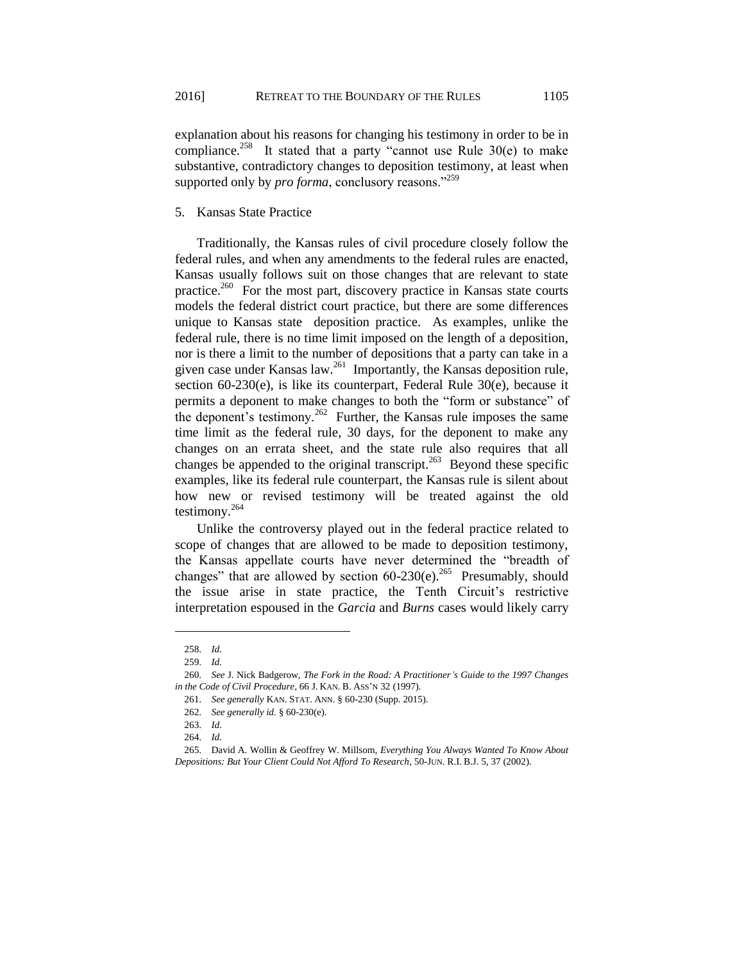explanation about his reasons for changing his testimony in order to be in compliance.<sup>258</sup> It stated that a party "cannot use Rule  $30(e)$  to make substantive, contradictory changes to deposition testimony, at least when supported only by *pro forma*, conclusory reasons."<sup>259</sup>

## 5. Kansas State Practice

Traditionally, the Kansas rules of civil procedure closely follow the federal rules, and when any amendments to the federal rules are enacted, Kansas usually follows suit on those changes that are relevant to state practice.<sup>260</sup> For the most part, discovery practice in Kansas state courts models the federal district court practice, but there are some differences unique to Kansas state deposition practice. As examples, unlike the federal rule, there is no time limit imposed on the length of a deposition, nor is there a limit to the number of depositions that a party can take in a given case under Kansas law.<sup>261</sup> Importantly, the Kansas deposition rule, section 60-230(e), is like its counterpart, Federal Rule 30(e), because it permits a deponent to make changes to both the "form or substance" of the deponent's testimony.<sup>262</sup> Further, the Kansas rule imposes the same time limit as the federal rule, 30 days, for the deponent to make any changes on an errata sheet, and the state rule also requires that all changes be appended to the original transcript.<sup>263</sup> Beyond these specific examples, like its federal rule counterpart, the Kansas rule is silent about how new or revised testimony will be treated against the old testimony.<sup>264</sup>

Unlike the controversy played out in the federal practice related to scope of changes that are allowed to be made to deposition testimony, the Kansas appellate courts have never determined the "breadth of changes" that are allowed by section  $60-230(e)$ .<sup>265</sup> Presumably, should the issue arise in state practice, the Tenth Circuit's restrictive interpretation espoused in the *Garcia* and *Burns* cases would likely carry

<sup>258.</sup> *Id.*

<sup>259.</sup> *Id.*

<sup>260.</sup> *See* J. Nick Badgerow, *The Fork in the Road: A Practitioner's Guide to the 1997 Changes in the Code of Civil Procedure*, 66 J. KAN. B. ASS'N 32 (1997).

<sup>261.</sup> *See generally* KAN. STAT. ANN. § 60-230 (Supp. 2015).

<sup>262.</sup> *See generally id.* § 60-230(e).

<sup>263.</sup> *Id.*

<sup>264.</sup> *Id.*

<sup>265.</sup> David A. Wollin & Geoffrey W. Millsom, *Everything You Always Wanted To Know About Depositions: But Your Client Could Not Afford To Research*, 50-JUN. R.I. B.J. 5, 37 (2002).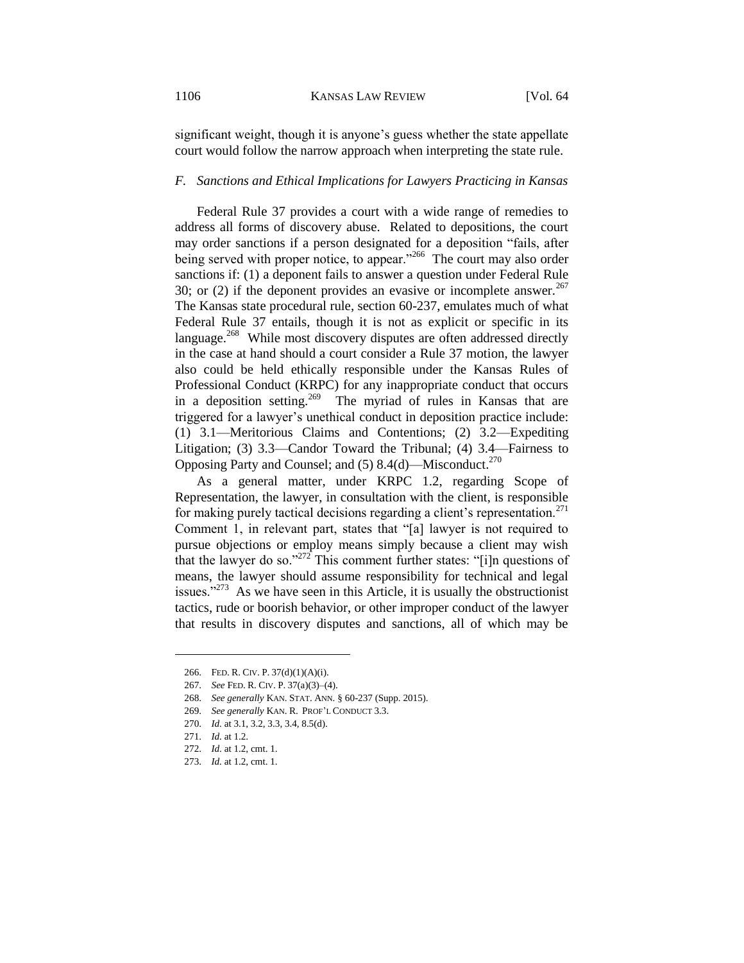significant weight, though it is anyone's guess whether the state appellate court would follow the narrow approach when interpreting the state rule.

## *F. Sanctions and Ethical Implications for Lawyers Practicing in Kansas*

Federal Rule 37 provides a court with a wide range of remedies to address all forms of discovery abuse. Related to depositions, the court may order sanctions if a person designated for a deposition "fails, after being served with proper notice, to appear."<sup>266</sup> The court may also order sanctions if: (1) a deponent fails to answer a question under Federal Rule 30; or (2) if the deponent provides an evasive or incomplete answer.<sup>267</sup> The Kansas state procedural rule, section 60-237, emulates much of what Federal Rule 37 entails, though it is not as explicit or specific in its language.<sup>268</sup> While most discovery disputes are often addressed directly in the case at hand should a court consider a Rule 37 motion, the lawyer also could be held ethically responsible under the Kansas Rules of Professional Conduct (KRPC) for any inappropriate conduct that occurs in a deposition setting.<sup>269</sup> The myriad of rules in Kansas that are triggered for a lawyer's unethical conduct in deposition practice include: (1) 3.1—Meritorious Claims and Contentions; (2) 3.2—Expediting Litigation; (3) 3.3—Candor Toward the Tribunal; (4) 3.4—Fairness to Opposing Party and Counsel; and (5) 8.4(d)—Misconduct.<sup>270</sup>

As a general matter, under KRPC 1.2, regarding Scope of Representation, the lawyer, in consultation with the client, is responsible for making purely tactical decisions regarding a client's representation.<sup>271</sup> Comment 1, in relevant part, states that "[a] lawyer is not required to pursue objections or employ means simply because a client may wish that the lawyer do so." $272$  This comment further states: "[i]n questions of means, the lawyer should assume responsibility for technical and legal issues."<sup>273</sup> As we have seen in this Article, it is usually the obstructionist tactics, rude or boorish behavior, or other improper conduct of the lawyer that results in discovery disputes and sanctions, all of which may be

<sup>266.</sup> FED. R. CIV. P. 37(d)(1)(A)(i).

<sup>267.</sup> *See* FED. R. CIV. P. 37(a)(3)–(4).

<sup>268.</sup> *See generally* KAN. STAT. ANN. § 60-237 (Supp. 2015).

<sup>269.</sup> *See generally* KAN. R. PROF'L CONDUCT 3.3.

<sup>270.</sup> *Id.* at 3.1, 3.2, 3.3, 3.4, 8.5(d).

<sup>271.</sup> *Id.* at 1.2.

<sup>272.</sup> *Id.* at 1.2, cmt. 1.

<sup>273.</sup> *Id.* at 1.2, cmt. 1.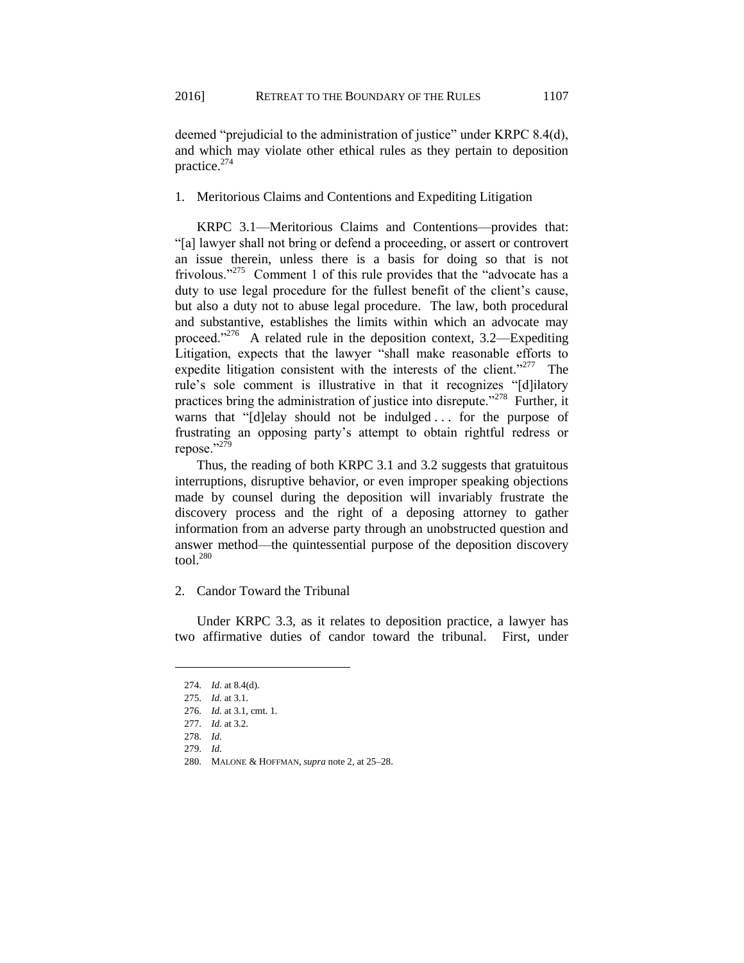deemed "prejudicial to the administration of justice" under KRPC 8.4(d), and which may violate other ethical rules as they pertain to deposition practice.<sup>274</sup>

1. Meritorious Claims and Contentions and Expediting Litigation

KRPC 3.1—Meritorious Claims and Contentions—provides that: "[a] lawyer shall not bring or defend a proceeding, or assert or controvert an issue therein, unless there is a basis for doing so that is not frivolous."<sup>275</sup> Comment 1 of this rule provides that the "advocate has a duty to use legal procedure for the fullest benefit of the client's cause, but also a duty not to abuse legal procedure. The law, both procedural and substantive, establishes the limits within which an advocate may proceed."<sup>276</sup> A related rule in the deposition context,  $3.2$ —Expediting Litigation, expects that the lawyer "shall make reasonable efforts to expedite litigation consistent with the interests of the client."<sup>277</sup> The rule's sole comment is illustrative in that it recognizes "[d]ilatory practices bring the administration of justice into disrepute."<sup>278</sup> Further, it warns that "[d]elay should not be indulged ... for the purpose of frustrating an opposing party's attempt to obtain rightful redress or repose."<sup>279</sup>

Thus, the reading of both KRPC 3.1 and 3.2 suggests that gratuitous interruptions, disruptive behavior, or even improper speaking objections made by counsel during the deposition will invariably frustrate the discovery process and the right of a deposing attorney to gather information from an adverse party through an unobstructed question and answer method––the quintessential purpose of the deposition discovery tool. $280$ 

## 2. Candor Toward the Tribunal

Under KRPC 3.3, as it relates to deposition practice, a lawyer has two affirmative duties of candor toward the tribunal. First, under

<sup>274.</sup> *Id.* at 8.4(d).

<sup>275.</sup> *Id.* at 3.1.

<sup>276.</sup> *Id.* at 3.1, cmt. 1.

<sup>277.</sup> *Id.* at 3.2.

<sup>278.</sup> *Id.*

<sup>279.</sup> *Id.* 

<sup>280.</sup> MALONE & HOFFMAN, *supra* note 2, at 25–28.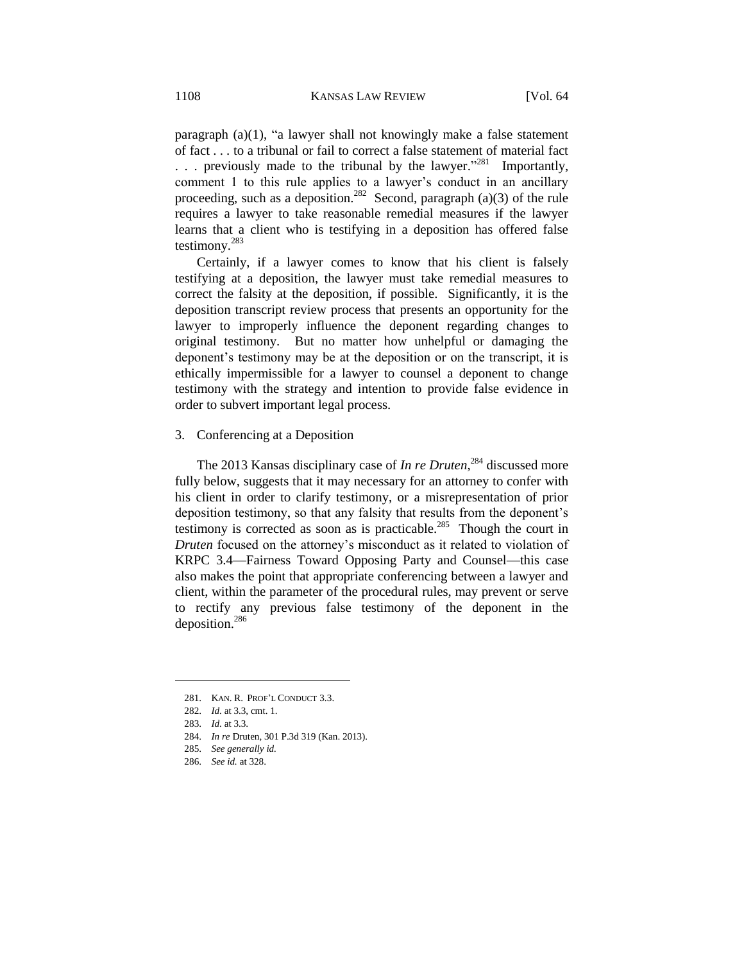paragraph (a)(1), "a lawyer shall not knowingly make a false statement of fact . . . to a tribunal or fail to correct a false statement of material fact ... previously made to the tribunal by the lawyer."<sup>281</sup> Importantly, comment 1 to this rule applies to a lawyer's conduct in an ancillary proceeding, such as a deposition.<sup>282</sup> Second, paragraph (a)(3) of the rule requires a lawyer to take reasonable remedial measures if the lawyer learns that a client who is testifying in a deposition has offered false testimony.<sup>283</sup>

Certainly, if a lawyer comes to know that his client is falsely testifying at a deposition, the lawyer must take remedial measures to correct the falsity at the deposition, if possible. Significantly, it is the deposition transcript review process that presents an opportunity for the lawyer to improperly influence the deponent regarding changes to original testimony. But no matter how unhelpful or damaging the deponent's testimony may be at the deposition or on the transcript, it is ethically impermissible for a lawyer to counsel a deponent to change testimony with the strategy and intention to provide false evidence in order to subvert important legal process.

## 3. Conferencing at a Deposition

The 2013 Kansas disciplinary case of *In re Druten*, <sup>284</sup> discussed more fully below, suggests that it may necessary for an attorney to confer with his client in order to clarify testimony, or a misrepresentation of prior deposition testimony, so that any falsity that results from the deponent's testimony is corrected as soon as is practicable.<sup>285</sup> Though the court in *Druten* focused on the attorney's misconduct as it related to violation of KRPC 3.4—Fairness Toward Opposing Party and Counsel—this case also makes the point that appropriate conferencing between a lawyer and client, within the parameter of the procedural rules, may prevent or serve to rectify any previous false testimony of the deponent in the deposition.<sup>286</sup>

<sup>281.</sup> KAN. R. PROF'L CONDUCT 3.3.

<sup>282.</sup> *Id.* at 3.3, cmt. 1.

<sup>283.</sup> *Id.* at 3.3.

<sup>284.</sup> *In re* Druten, 301 P.3d 319 (Kan. 2013).

<sup>285.</sup> *See generally id.*

<sup>286.</sup> *See id.* at 328.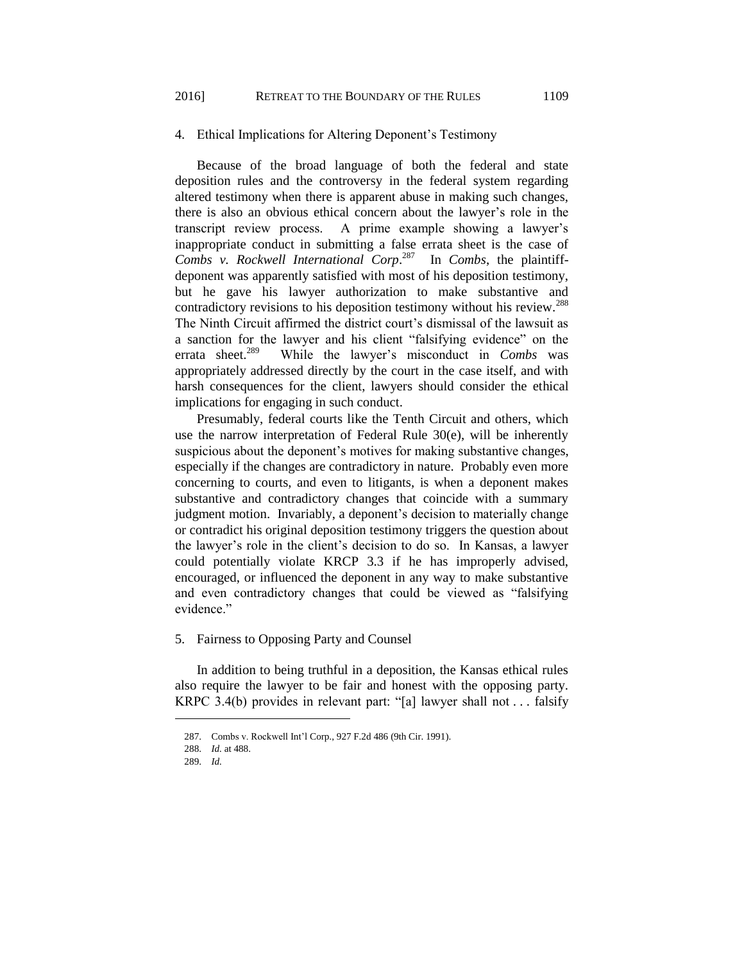### 4. Ethical Implications for Altering Deponent's Testimony

Because of the broad language of both the federal and state deposition rules and the controversy in the federal system regarding altered testimony when there is apparent abuse in making such changes, there is also an obvious ethical concern about the lawyer's role in the transcript review process. A prime example showing a lawyer's inappropriate conduct in submitting a false errata sheet is the case of *Combs v. Rockwell International Corp*. 287 In *Combs*, the plaintiffdeponent was apparently satisfied with most of his deposition testimony, but he gave his lawyer authorization to make substantive and contradictory revisions to his deposition testimony without his review.<sup>288</sup> The Ninth Circuit affirmed the district court's dismissal of the lawsuit as a sanction for the lawyer and his client "falsifying evidence" on the errata sheet. $289$  While the lawyer's misconduct in *Combs* was appropriately addressed directly by the court in the case itself, and with harsh consequences for the client, lawyers should consider the ethical implications for engaging in such conduct.

Presumably, federal courts like the Tenth Circuit and others, which use the narrow interpretation of Federal Rule 30(e), will be inherently suspicious about the deponent's motives for making substantive changes, especially if the changes are contradictory in nature. Probably even more concerning to courts, and even to litigants, is when a deponent makes substantive and contradictory changes that coincide with a summary judgment motion. Invariably, a deponent's decision to materially change or contradict his original deposition testimony triggers the question about the lawyer's role in the client's decision to do so. In Kansas, a lawyer could potentially violate KRCP 3.3 if he has improperly advised, encouraged, or influenced the deponent in any way to make substantive and even contradictory changes that could be viewed as "falsifying evidence."

#### 5. Fairness to Opposing Party and Counsel

In addition to being truthful in a deposition, the Kansas ethical rules also require the lawyer to be fair and honest with the opposing party. KRPC 3.4(b) provides in relevant part: "[a] lawyer shall not . . . falsify

<sup>287.</sup> Combs v. Rockwell Int'l Corp., 927 F.2d 486 (9th Cir. 1991).

<sup>288.</sup> *Id.* at 488.

<sup>289.</sup> *Id.*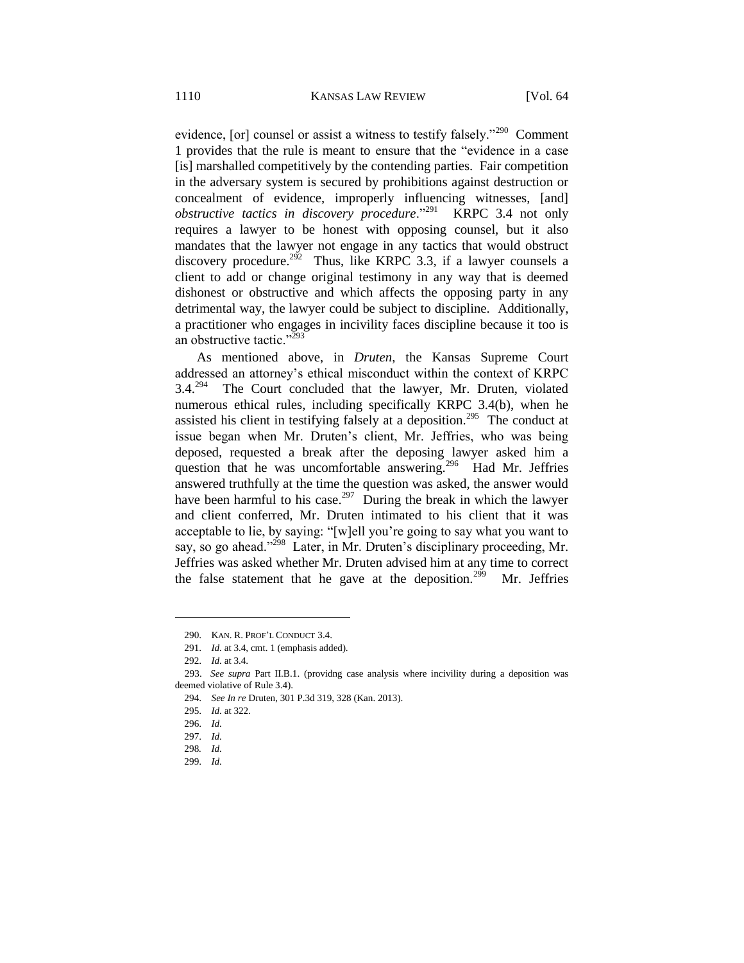evidence, [or] counsel or assist a witness to testify falsely."<sup>290</sup> Comment 1 provides that the rule is meant to ensure that the "evidence in a case [is] marshalled competitively by the contending parties. Fair competition in the adversary system is secured by prohibitions against destruction or concealment of evidence, improperly influencing witnesses, [and] *obstructive tactics in discovery procedure*."<sup>291</sup> KRPC 3.4 not only requires a lawyer to be honest with opposing counsel, but it also mandates that the lawyer not engage in any tactics that would obstruct discovery procedure.<sup>292</sup> Thus, like KRPC 3.3, if a lawyer counsels a client to add or change original testimony in any way that is deemed dishonest or obstructive and which affects the opposing party in any detrimental way, the lawyer could be subject to discipline. Additionally, a practitioner who engages in incivility faces discipline because it too is an obstructive tactic."<sup>293</sup>

As mentioned above, in *Druten*, the Kansas Supreme Court addressed an attorney's ethical misconduct within the context of KRPC  $3.4.^{294}$  The Court concluded that the lawyer, Mr. Druten, violated numerous ethical rules, including specifically KRPC 3.4(b), when he assisted his client in testifying falsely at a deposition.<sup>295</sup> The conduct at issue began when Mr. Druten's client, Mr. Jeffries, who was being deposed, requested a break after the deposing lawyer asked him a question that he was uncomfortable answering.<sup>296</sup> Had Mr. Jeffries answered truthfully at the time the question was asked, the answer would have been harmful to his case.<sup>297</sup> During the break in which the lawyer and client conferred, Mr. Druten intimated to his client that it was acceptable to lie, by saying: "[w]ell you're going to say what you want to say, so go ahead."<sup>298</sup> Later, in Mr. Druten's disciplinary proceeding, Mr. Jeffries was asked whether Mr. Druten advised him at any time to correct the false statement that he gave at the deposition.<sup>299</sup> Mr. Jeffries

 $\overline{a}$ 

299. *Id.*

<sup>290.</sup> KAN. R. PROF'L CONDUCT 3.4.

<sup>291.</sup> *Id.* at 3.4, cmt. 1 (emphasis added).

<sup>292.</sup> *Id.* at 3.4.

 <sup>293.</sup> *See supra* Part II.B.1. (providng case analysis where incivility during a deposition was deemed violative of Rule 3.4).

<sup>294.</sup> *See In re* Druten, 301 P.3d 319, 328 (Kan. 2013).

<sup>295.</sup> *Id.* at 322.

<sup>296.</sup> *Id.*

<sup>297.</sup> *Id.*

<sup>298</sup>*. Id.*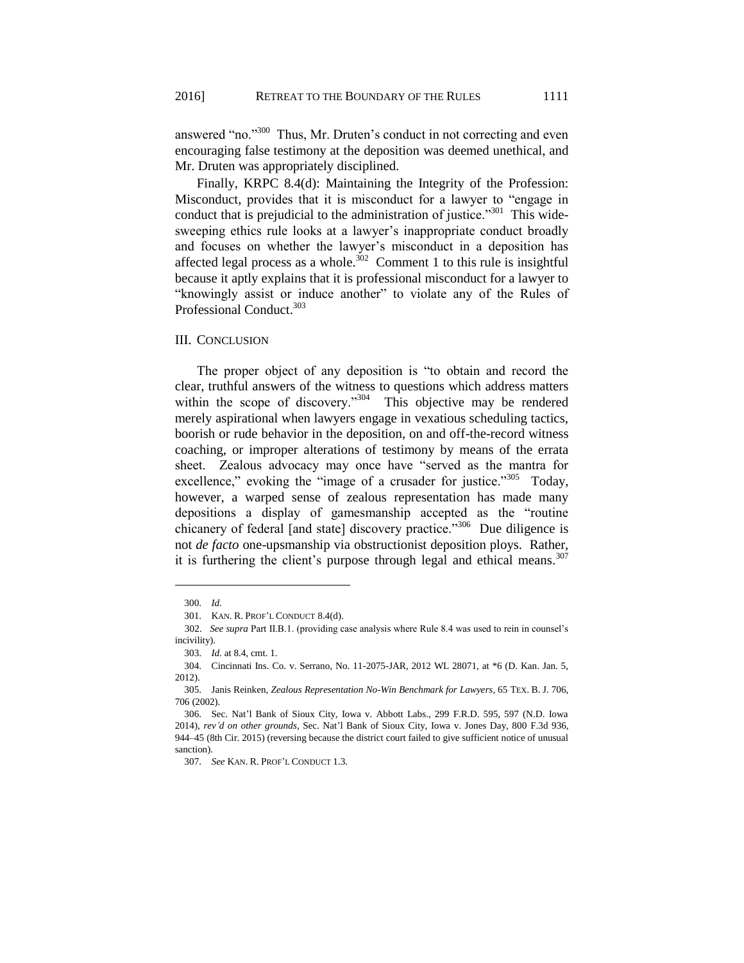answered "no."<sup>300</sup> Thus, Mr. Druten's conduct in not correcting and even encouraging false testimony at the deposition was deemed unethical, and Mr. Druten was appropriately disciplined.

Finally, KRPC 8.4(d): Maintaining the Integrity of the Profession: Misconduct, provides that it is misconduct for a lawyer to "engage in conduct that is prejudicial to the administration of justice."<sup>301</sup> This widesweeping ethics rule looks at a lawyer's inappropriate conduct broadly and focuses on whether the lawyer's misconduct in a deposition has affected legal process as a whole.<sup>302</sup> Comment 1 to this rule is insightful because it aptly explains that it is professional misconduct for a lawyer to "knowingly assist or induce another" to violate any of the Rules of Professional Conduct.<sup>303</sup>

## III. CONCLUSION

The proper object of any deposition is "to obtain and record the clear, truthful answers of the witness to questions which address matters within the scope of discovery."<sup>304</sup> This objective may be rendered merely aspirational when lawyers engage in vexatious scheduling tactics, boorish or rude behavior in the deposition, on and off-the-record witness coaching, or improper alterations of testimony by means of the errata sheet. Zealous advocacy may once have "served as the mantra for excellence," evoking the "image of a crusader for justice."<sup>305</sup> Today, however, a warped sense of zealous representation has made many depositions a display of gamesmanship accepted as the "routine chicanery of federal [and state] discovery practice."<sup>306</sup> Due diligence is not *de facto* one-upsmanship via obstructionist deposition ploys. Rather, it is furthering the client's purpose through legal and ethical means. $307$ 

<sup>300.</sup> *Id.*

<sup>301.</sup> KAN. R. PROF'L CONDUCT 8.4(d).

 <sup>302.</sup> *See supra* Part II.B.1. (providing case analysis where Rule 8.4 was used to rein in counsel's incivility).

<sup>303.</sup> *Id.* at 8.4, cmt. 1.

<sup>304.</sup> Cincinnati Ins. Co. v. Serrano, No. 11-2075-JAR, 2012 WL 28071, at \*6 (D. Kan. Jan. 5, 2012).

<sup>305.</sup> Janis Reinken, *Zealous Representation No-Win Benchmark for Lawyers*, 65 TEX. B. J. 706, 706 (2002).

<sup>306.</sup> Sec. Nat'l Bank of Sioux City, Iowa v. Abbott Labs., 299 F.R.D. 595, 597 (N.D. Iowa 2014), *rev'd on other grounds*, Sec. Nat'l Bank of Sioux City, Iowa v. Jones Day, 800 F.3d 936, 944–45 (8th Cir. 2015) (reversing because the district court failed to give sufficient notice of unusual sanction).

<sup>307.</sup> *See* KAN. R. PROF'L CONDUCT 1.3.